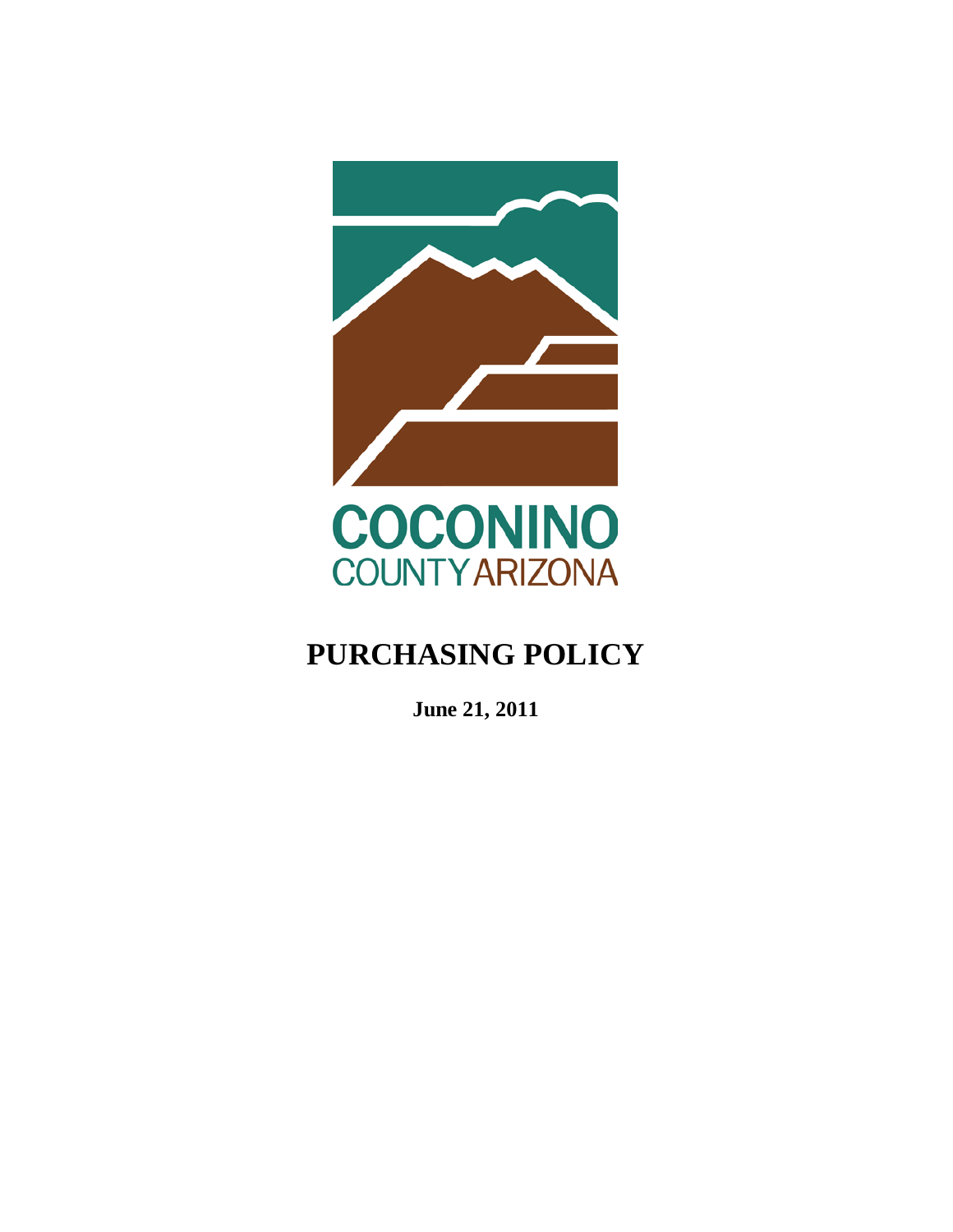

# **PURCHASING POLICY**

**June 21, 2011**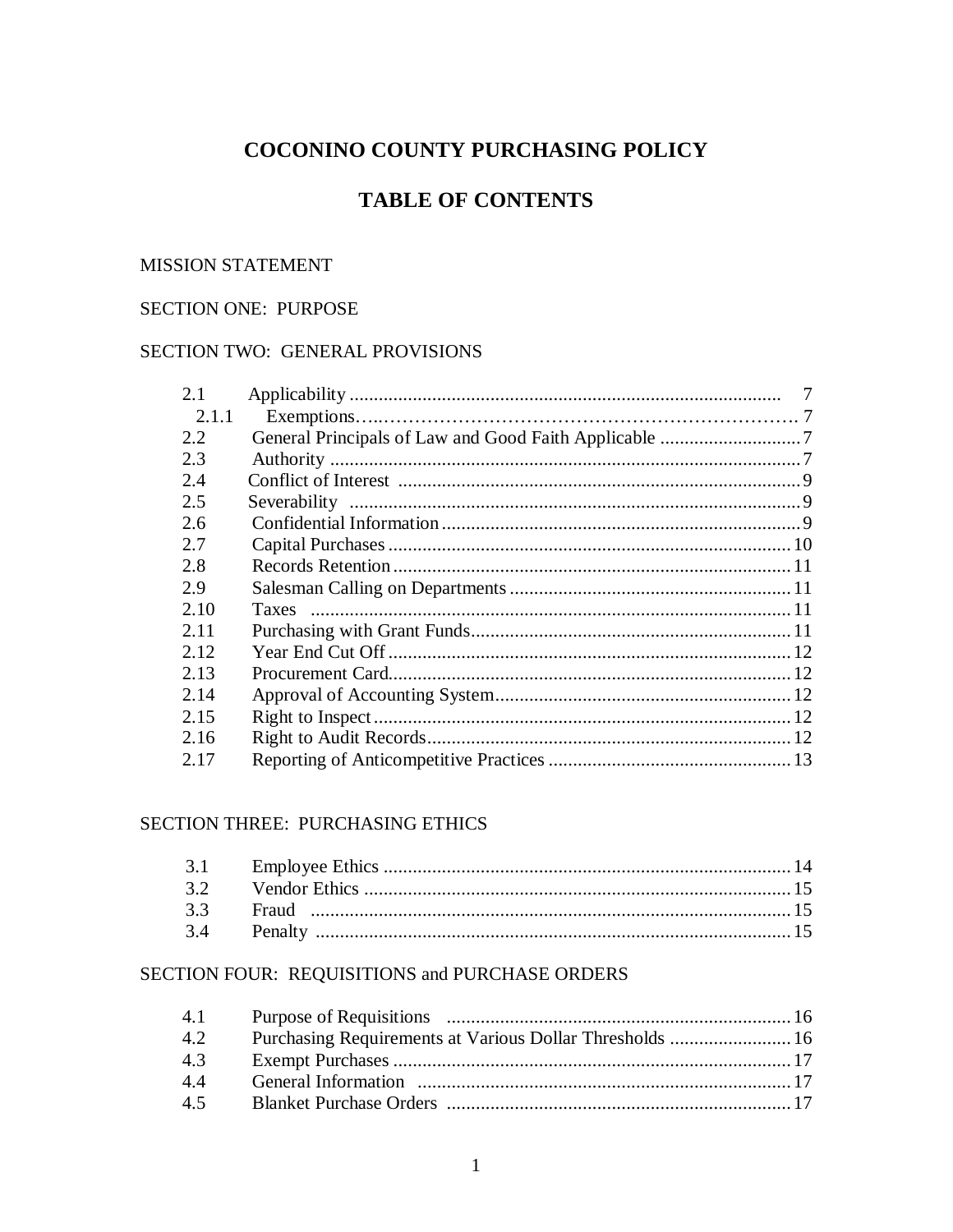## COCONINO COUNTY PURCHASING POLICY

## **TABLE OF CONTENTS**

#### **MISSION STATEMENT**

#### SECTION ONE: PURPOSE

#### SECTION TWO: GENERAL PROVISIONS

| 2.1   |  |
|-------|--|
| 2.1.1 |  |
| 2.2   |  |
| 2.3   |  |
| 2.4   |  |
| 2.5   |  |
| 2.6   |  |
| 2.7   |  |
| 2.8   |  |
| 2.9   |  |
| 2.10  |  |
| 2.11  |  |
| 2.12  |  |
| 2.13  |  |
| 2.14  |  |
| 2.15  |  |
| 2.16  |  |
| 2.17  |  |

#### **SECTION THREE: PURCHASING ETHICS**

### SECTION FOUR: REQUISITIONS and PURCHASE ORDERS

| 4.1 |                                                          |  |
|-----|----------------------------------------------------------|--|
| 4.2 | Purchasing Requirements at Various Dollar Thresholds  16 |  |
| 4.3 |                                                          |  |
| 44  |                                                          |  |
| 4.5 |                                                          |  |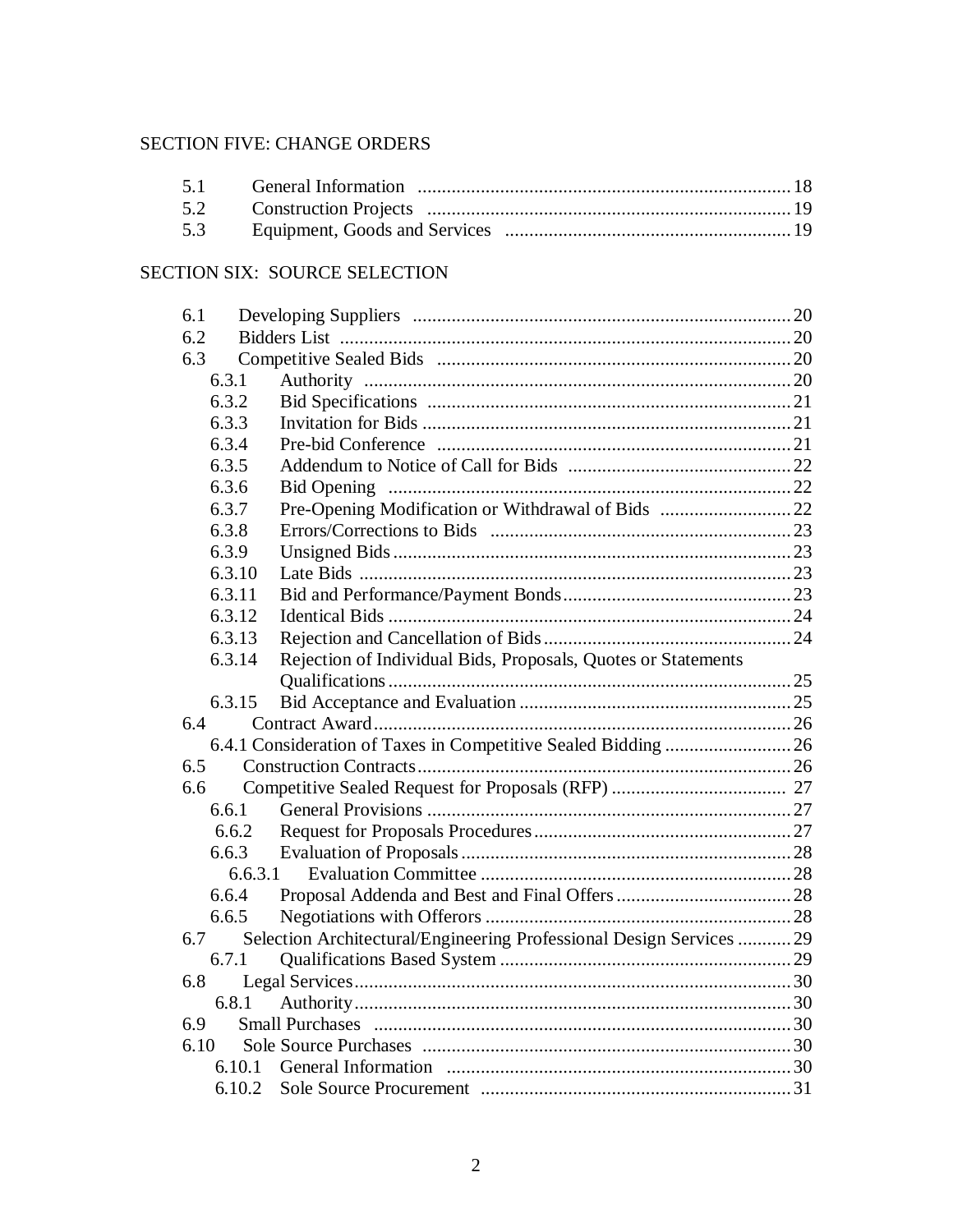### SECTION FIVE: CHANGE ORDERS

### SECTION SIX: SOURCE SELECTION

| 6.1     |                                                                      |  |
|---------|----------------------------------------------------------------------|--|
| 6.2     |                                                                      |  |
| 6.3     |                                                                      |  |
| 6.3.1   |                                                                      |  |
| 6.3.2   |                                                                      |  |
| 6.3.3   |                                                                      |  |
| 6.3.4   |                                                                      |  |
| 6.3.5   |                                                                      |  |
| 6.3.6   |                                                                      |  |
| 6.3.7   | Pre-Opening Modification or Withdrawal of Bids  22                   |  |
| 6.3.8   |                                                                      |  |
| 6.3.9   |                                                                      |  |
| 6.3.10  |                                                                      |  |
| 6.3.11  |                                                                      |  |
| 6.3.12  |                                                                      |  |
| 6.3.13  |                                                                      |  |
| 6.3.14  | Rejection of Individual Bids, Proposals, Quotes or Statements        |  |
|         |                                                                      |  |
| 6.3.15  |                                                                      |  |
| 6.4     |                                                                      |  |
|         | 6.4.1 Consideration of Taxes in Competitive Sealed Bidding  26       |  |
| 6.5     |                                                                      |  |
| 6.6     |                                                                      |  |
| 6.6.1   |                                                                      |  |
| 6.6.2   |                                                                      |  |
| 6.6.3   |                                                                      |  |
| 6,6,3,1 |                                                                      |  |
| 6.6.4   |                                                                      |  |
| 6.6.5   |                                                                      |  |
| 6.7     | Selection Architectural/Engineering Professional Design Services  29 |  |
| 6.7.1   |                                                                      |  |
| 6.8     |                                                                      |  |
| 6.8.1   |                                                                      |  |
| 6.9     |                                                                      |  |
| 6.10    |                                                                      |  |
| 6.10.1  |                                                                      |  |
|         |                                                                      |  |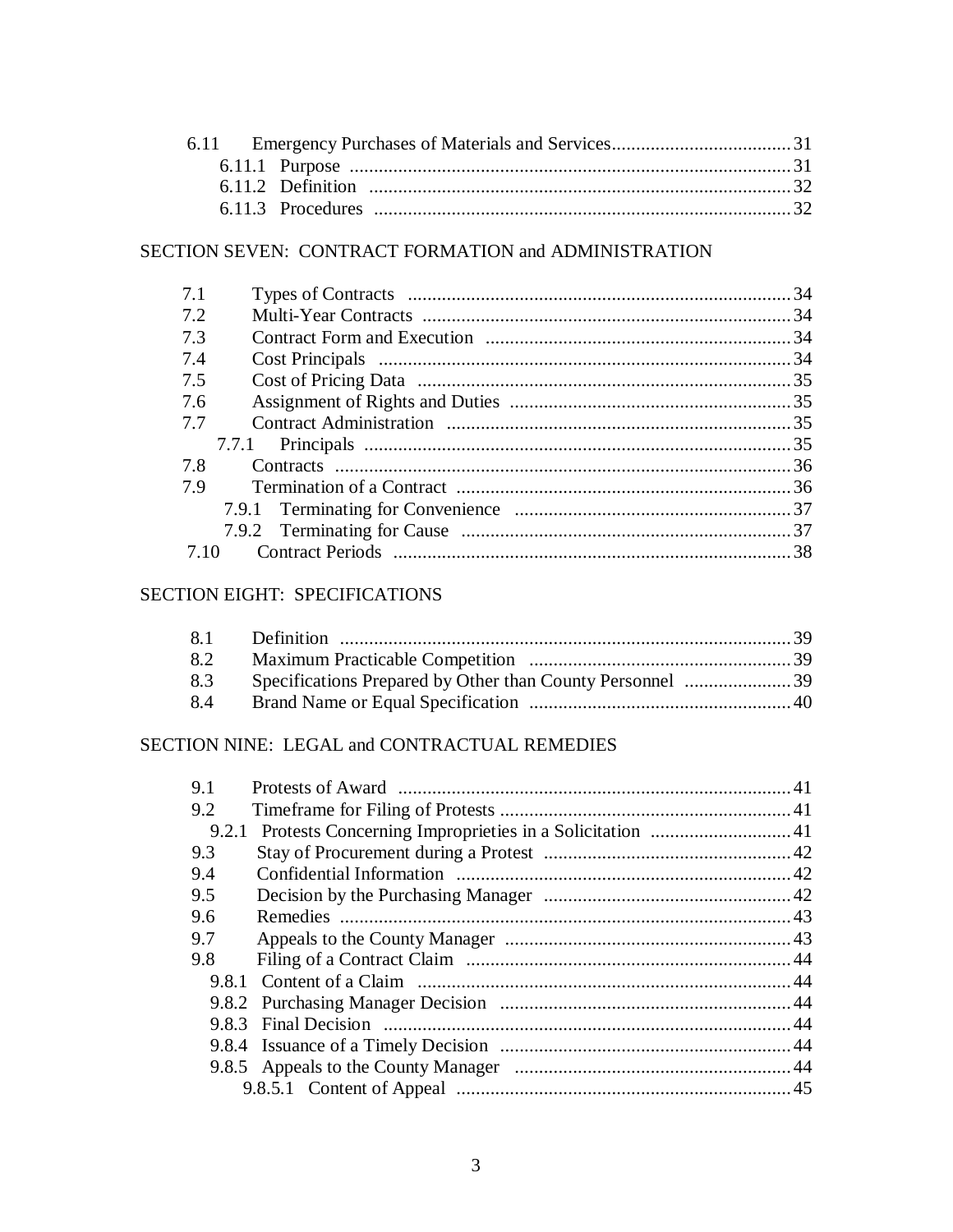### SECTION SEVEN: CONTRACT FORMATION and ADMINISTRATION

| 7.1 |  |
|-----|--|
| 7.2 |  |
| 73  |  |
| 7.4 |  |
| 7.5 |  |
| 7.6 |  |
| 7.7 |  |
|     |  |
| 7.8 |  |
| 7.9 |  |
|     |  |
|     |  |
| 710 |  |

### SECTION EIGHT: SPECIFICATIONS

| 8.2 |  |
|-----|--|
| 8.3 |  |
| 8.4 |  |

### SECTION NINE: LEGAL and CONTRACTUAL REMEDIES

| 9.1 |  |
|-----|--|
| 9.2 |  |
|     |  |
| 9.3 |  |
| 9.4 |  |
| 9.5 |  |
| 9.6 |  |
| 9.7 |  |
| 9.8 |  |
|     |  |
|     |  |
|     |  |
|     |  |
|     |  |
|     |  |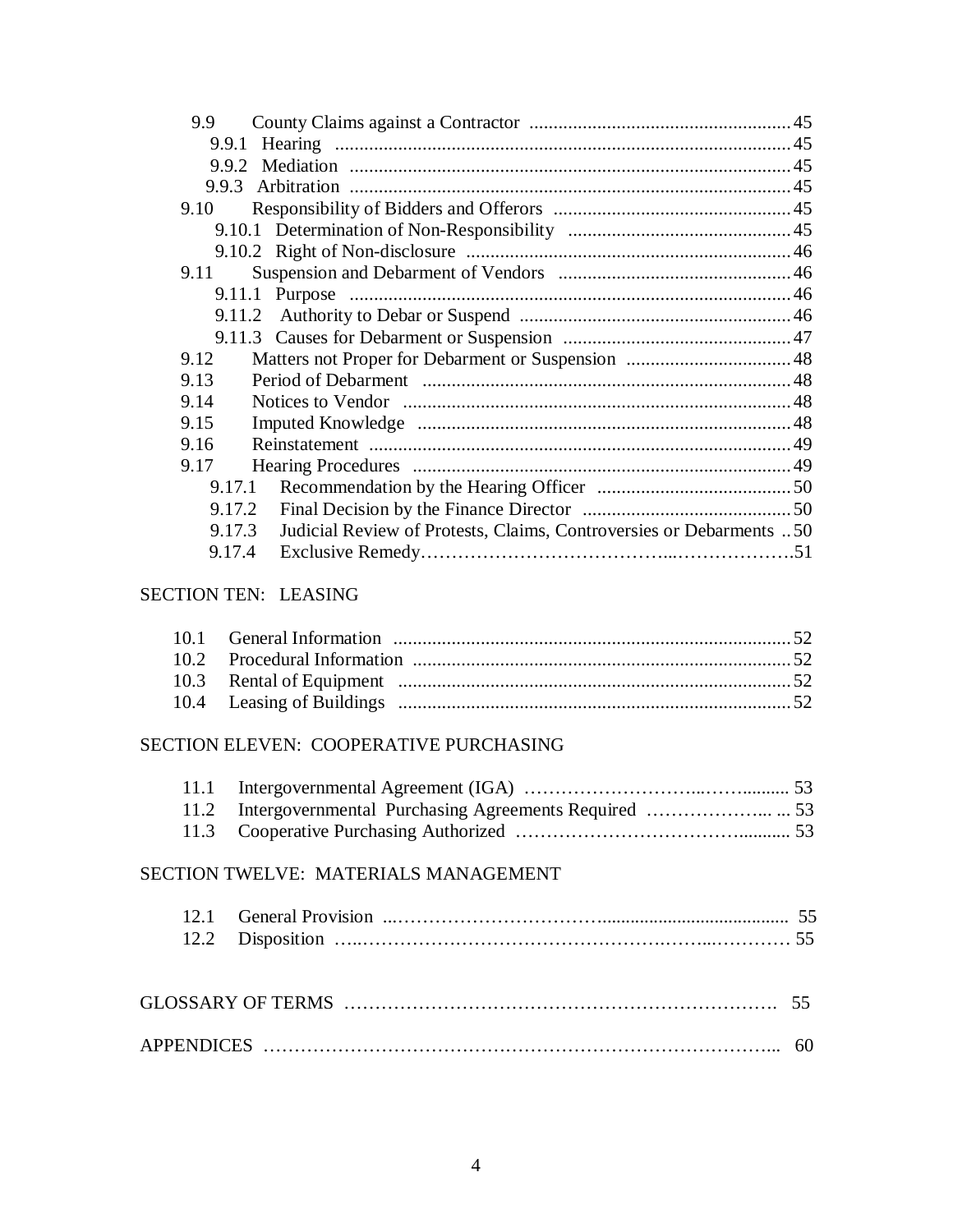| 9.9    |                                                                     |  |
|--------|---------------------------------------------------------------------|--|
|        |                                                                     |  |
|        |                                                                     |  |
| 9.9.3  |                                                                     |  |
| 9.10   |                                                                     |  |
|        |                                                                     |  |
|        |                                                                     |  |
| 9.11   |                                                                     |  |
|        |                                                                     |  |
|        |                                                                     |  |
|        |                                                                     |  |
| 9.12   |                                                                     |  |
| 9.13   |                                                                     |  |
| 9.14   |                                                                     |  |
| 9.15   |                                                                     |  |
| 9.16   |                                                                     |  |
| 9.17   |                                                                     |  |
| 9.17.1 |                                                                     |  |
| 9.17.2 |                                                                     |  |
| 9.17.3 | Judicial Review of Protests, Claims, Controversies or Debarments 50 |  |
| 9.17.4 |                                                                     |  |
|        |                                                                     |  |

### SECTION TEN: LEASING

### SECTION ELEVEN: COOPERATIVE PURCHASING

### SECTION TWELVE: MATERIALS MANAGEMENT

| <b>GLOSSARY OF TERMS</b> |  |
|--------------------------|--|
| <b>APPENDICES</b>        |  |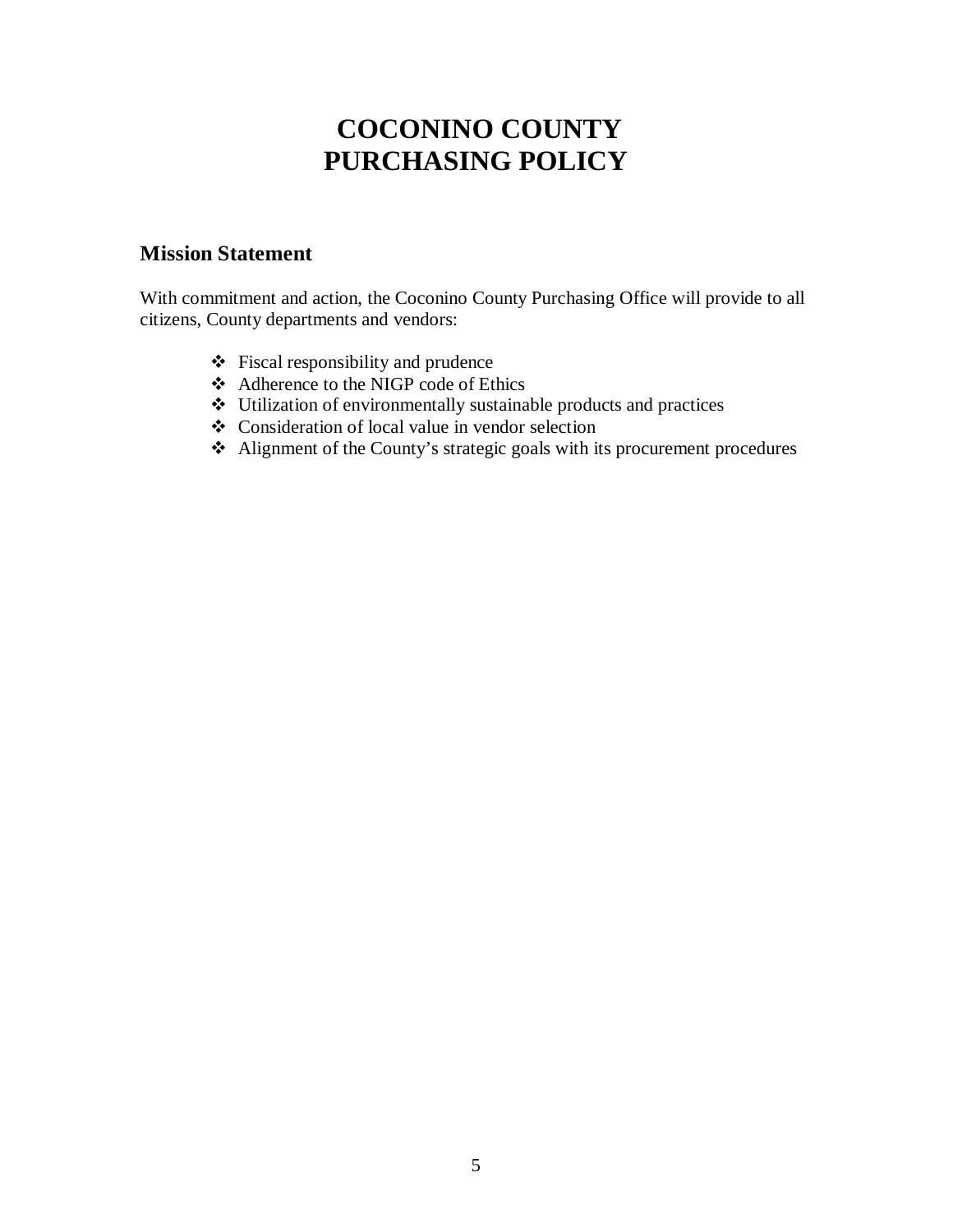# **COCONINO COUNTY PURCHASING POLICY**

### **Mission Statement**

With commitment and action, the Coconino County Purchasing Office will provide to all citizens, County departments and vendors:

- $\div$  Fiscal responsibility and prudence
- Adherence to the NIGP code of Ethics
- Utilization of environmentally sustainable products and practices
- Consideration of local value in vendor selection
- Alignment of the County's strategic goals with its procurement procedures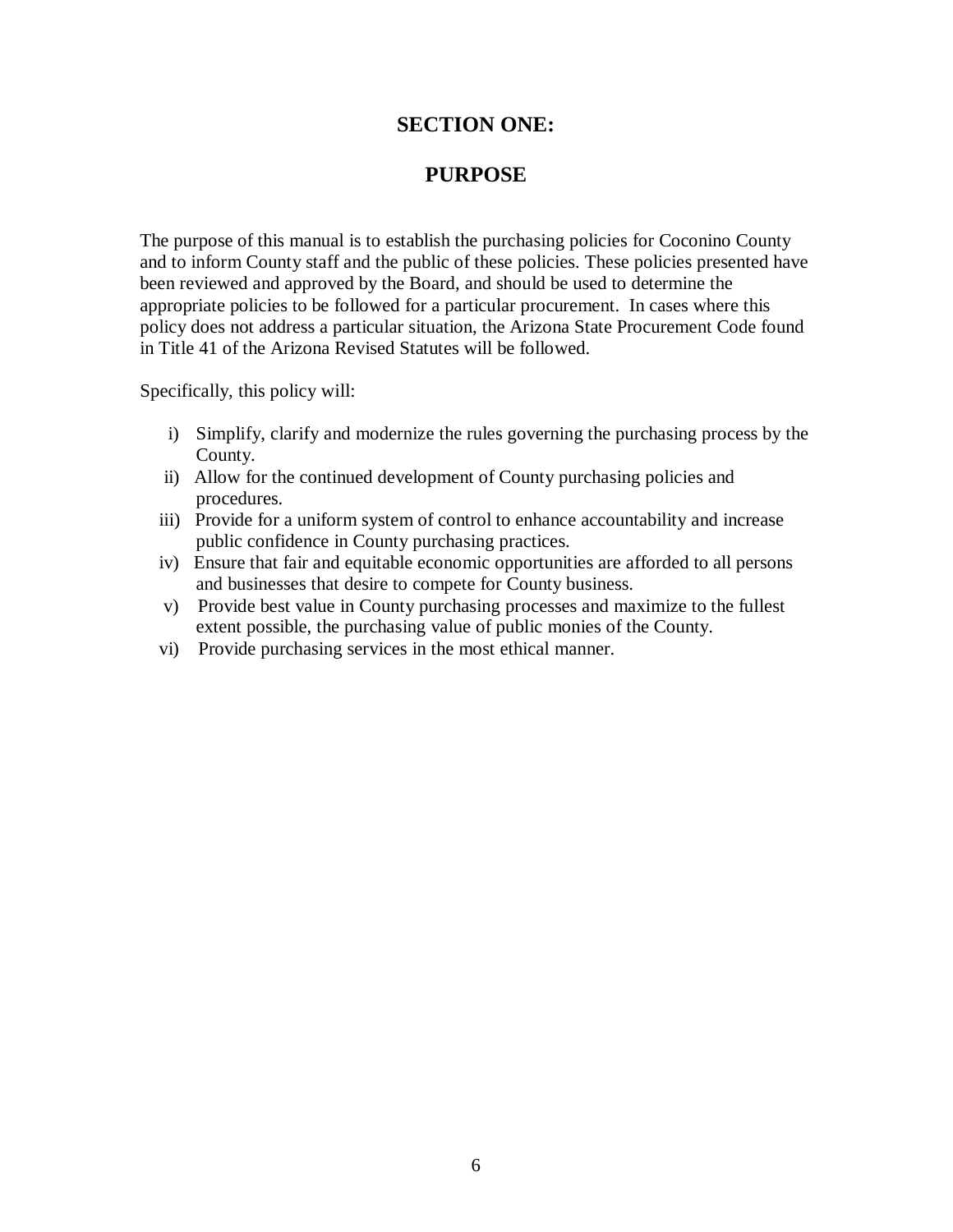### **SECTION ONE:**

### **PURPOSE**

The purpose of this manual is to establish the purchasing policies for Coconino County and to inform County staff and the public of these policies. These policies presented have been reviewed and approved by the Board, and should be used to determine the appropriate policies to be followed for a particular procurement. In cases where this policy does not address a particular situation, the Arizona State Procurement Code found in Title 41 of the Arizona Revised Statutes will be followed.

Specifically, this policy will:

- i) Simplify, clarify and modernize the rules governing the purchasing process by the County.
- ii) Allow for the continued development of County purchasing policies and procedures.
- iii) Provide for a uniform system of control to enhance accountability and increase public confidence in County purchasing practices.
- iv) Ensure that fair and equitable economic opportunities are afforded to all persons and businesses that desire to compete for County business.
- v) Provide best value in County purchasing processes and maximize to the fullest extent possible, the purchasing value of public monies of the County.
- vi) Provide purchasing services in the most ethical manner.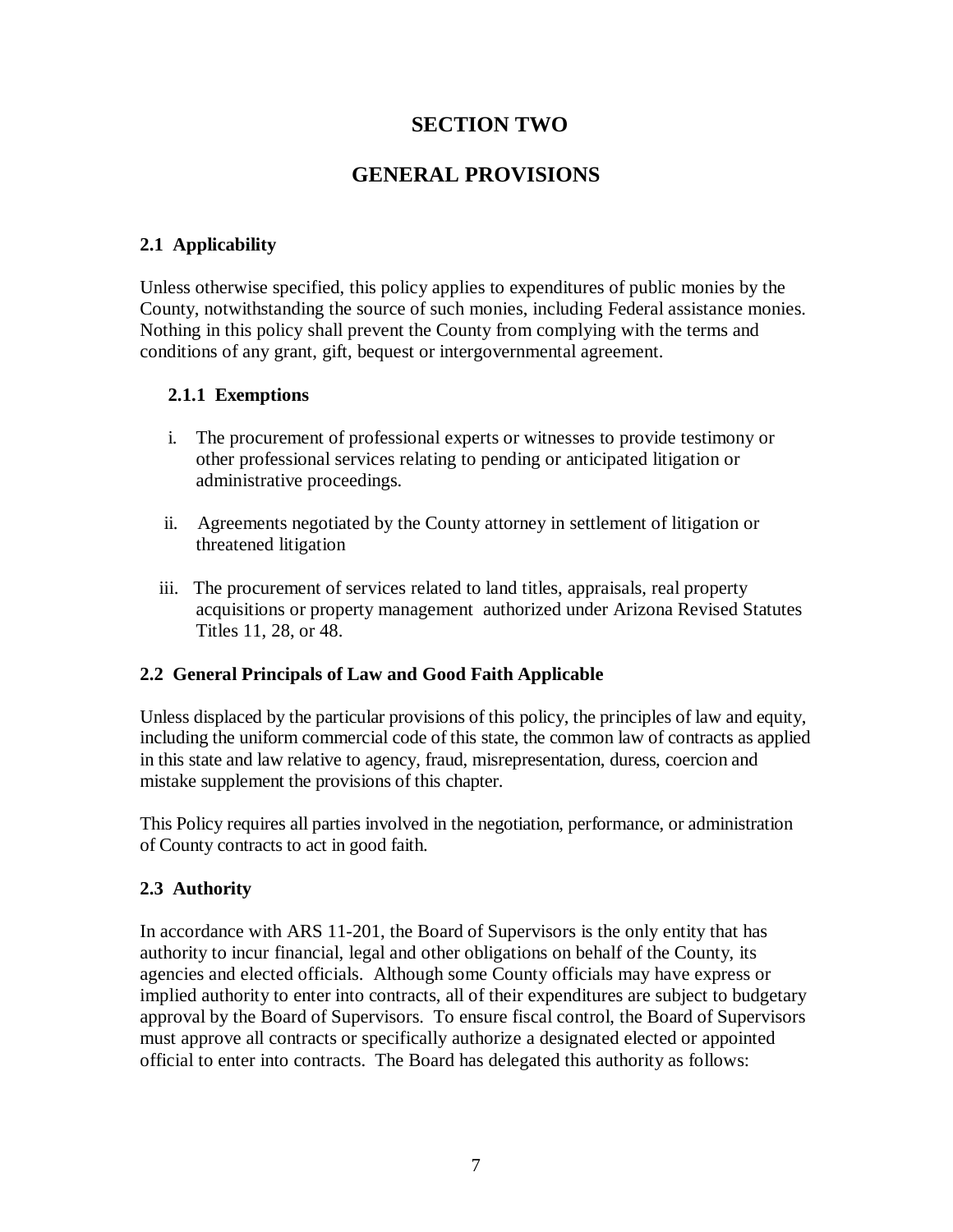### **SECTION TWO**

## **GENERAL PROVISIONS**

### **2.1 Applicability**

Unless otherwise specified, this policy applies to expenditures of public monies by the County, notwithstanding the source of such monies, including Federal assistance monies. Nothing in this policy shall prevent the County from complying with the terms and conditions of any grant, gift, bequest or intergovernmental agreement.

#### **2.1.1 Exemptions**

- i. The procurement of professional experts or witnesses to provide testimony or other professional services relating to pending or anticipated litigation or administrative proceedings.
- ii. Agreements negotiated by the County attorney in settlement of litigation or threatened litigation
- iii. The procurement of services related to land titles, appraisals, real property acquisitions or property management authorized under Arizona Revised Statutes Titles 11, 28, or 48.

#### **2.2 General Principals of Law and Good Faith Applicable**

Unless displaced by the particular provisions of this policy, the principles of law and equity, including the uniform commercial code of this state, the common law of contracts as applied in this state and law relative to agency, fraud, misrepresentation, duress, coercion and mistake supplement the provisions of this chapter.

This Policy requires all parties involved in the negotiation, performance, or administration of County contracts to act in good faith.

#### **2.3 Authority**

In accordance with ARS 11-201, the Board of Supervisors is the only entity that has authority to incur financial, legal and other obligations on behalf of the County, its agencies and elected officials. Although some County officials may have express or implied authority to enter into contracts, all of their expenditures are subject to budgetary approval by the Board of Supervisors. To ensure fiscal control, the Board of Supervisors must approve all contracts or specifically authorize a designated elected or appointed official to enter into contracts. The Board has delegated this authority as follows: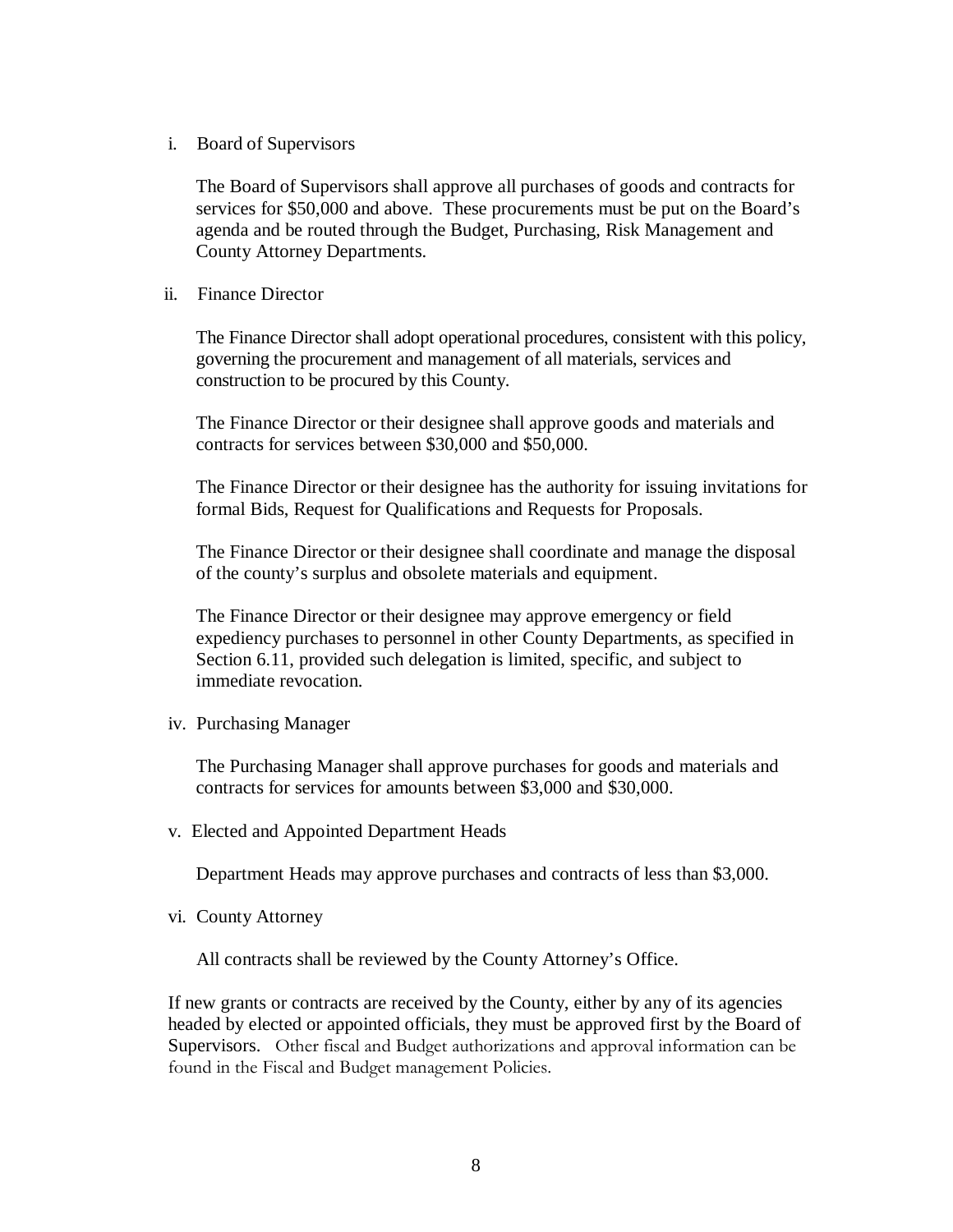i. Board of Supervisors

The Board of Supervisors shall approve all purchases of goods and contracts for services for \$50,000 and above. These procurements must be put on the Board's agenda and be routed through the Budget, Purchasing, Risk Management and County Attorney Departments.

ii. Finance Director

The Finance Director shall adopt operational procedures, consistent with this policy, governing the procurement and management of all materials, services and construction to be procured by this County.

The Finance Director or their designee shall approve goods and materials and contracts for services between \$30,000 and \$50,000.

The Finance Director or their designee has the authority for issuing invitations for formal Bids, Request for Qualifications and Requests for Proposals.

The Finance Director or their designee shall coordinate and manage the disposal of the county's surplus and obsolete materials and equipment.

The Finance Director or their designee may approve emergency or field expediency purchases to personnel in other County Departments, as specified in Section 6.11, provided such delegation is limited, specific, and subject to immediate revocation.

iv. Purchasing Manager

The Purchasing Manager shall approve purchases for goods and materials and contracts for services for amounts between \$3,000 and \$30,000.

v. Elected and Appointed Department Heads

Department Heads may approve purchases and contracts of less than \$3,000.

vi. County Attorney

All contracts shall be reviewed by the County Attorney's Office.

If new grants or contracts are received by the County, either by any of its agencies headed by elected or appointed officials, they must be approved first by the Board of Supervisors. Other fiscal and Budget authorizations and approval information can be found in the Fiscal and Budget management Policies.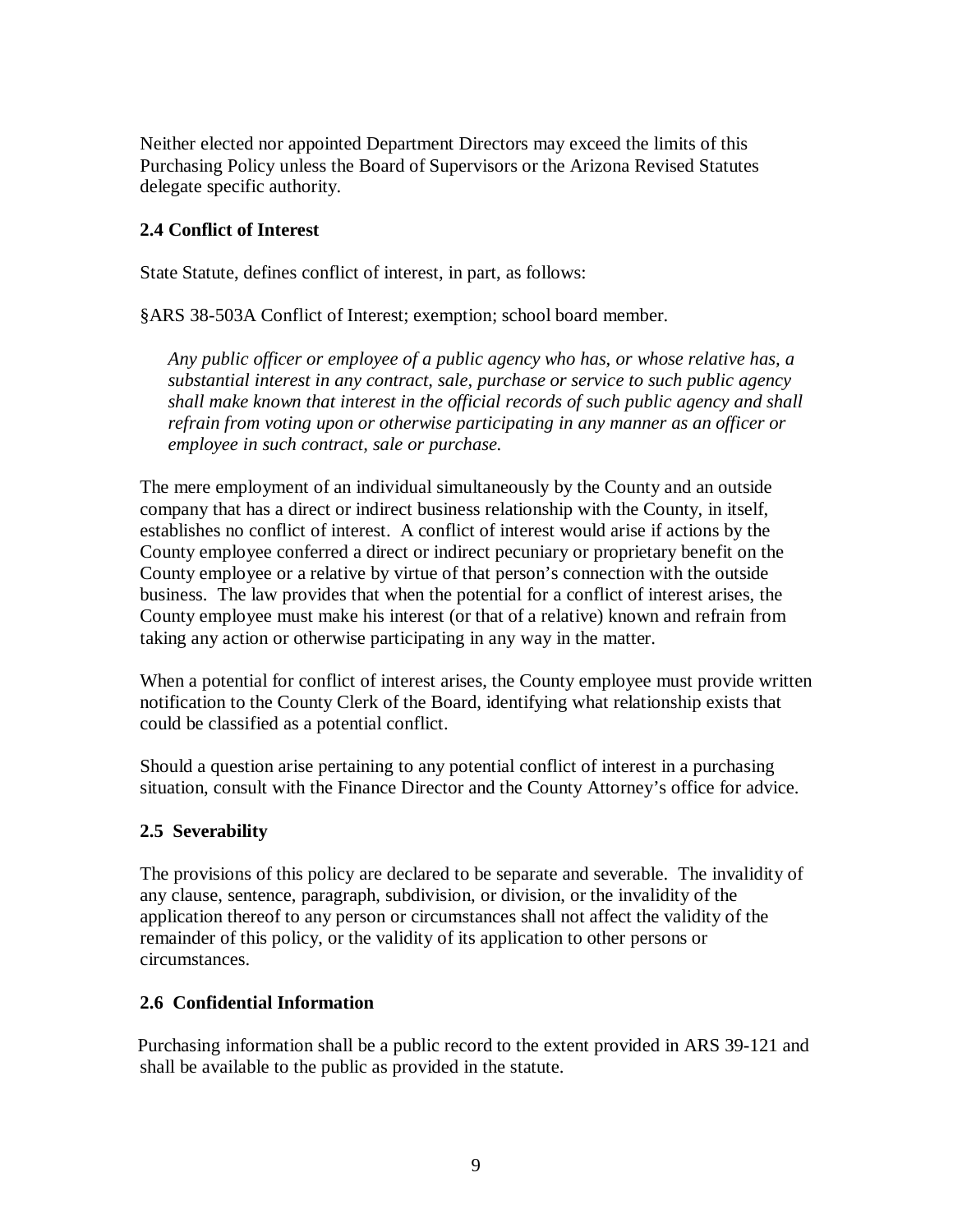Neither elected nor appointed Department Directors may exceed the limits of this Purchasing Policy unless the Board of Supervisors or the Arizona Revised Statutes delegate specific authority.

#### **2.4 Conflict of Interest**

State Statute, defines conflict of interest, in part, as follows:

§ARS 38-503A Conflict of Interest; exemption; school board member.

*Any public officer or employee of a public agency who has, or whose relative has, a substantial interest in any contract, sale, purchase or service to such public agency shall make known that interest in the official records of such public agency and shall refrain from voting upon or otherwise participating in any manner as an officer or employee in such contract, sale or purchase.*

The mere employment of an individual simultaneously by the County and an outside company that has a direct or indirect business relationship with the County, in itself, establishes no conflict of interest. A conflict of interest would arise if actions by the County employee conferred a direct or indirect pecuniary or proprietary benefit on the County employee or a relative by virtue of that person's connection with the outside business. The law provides that when the potential for a conflict of interest arises, the County employee must make his interest (or that of a relative) known and refrain from taking any action or otherwise participating in any way in the matter.

When a potential for conflict of interest arises, the County employee must provide written notification to the County Clerk of the Board, identifying what relationship exists that could be classified as a potential conflict.

Should a question arise pertaining to any potential conflict of interest in a purchasing situation, consult with the Finance Director and the County Attorney's office for advice.

#### **2.5 Severability**

The provisions of this policy are declared to be separate and severable. The invalidity of any clause, sentence, paragraph, subdivision, or division, or the invalidity of the application thereof to any person or circumstances shall not affect the validity of the remainder of this policy, or the validity of its application to other persons or circumstances.

#### **2.6 Confidential Information**

Purchasing information shall be a public record to the extent provided in ARS 39-121 and shall be available to the public as provided in the statute.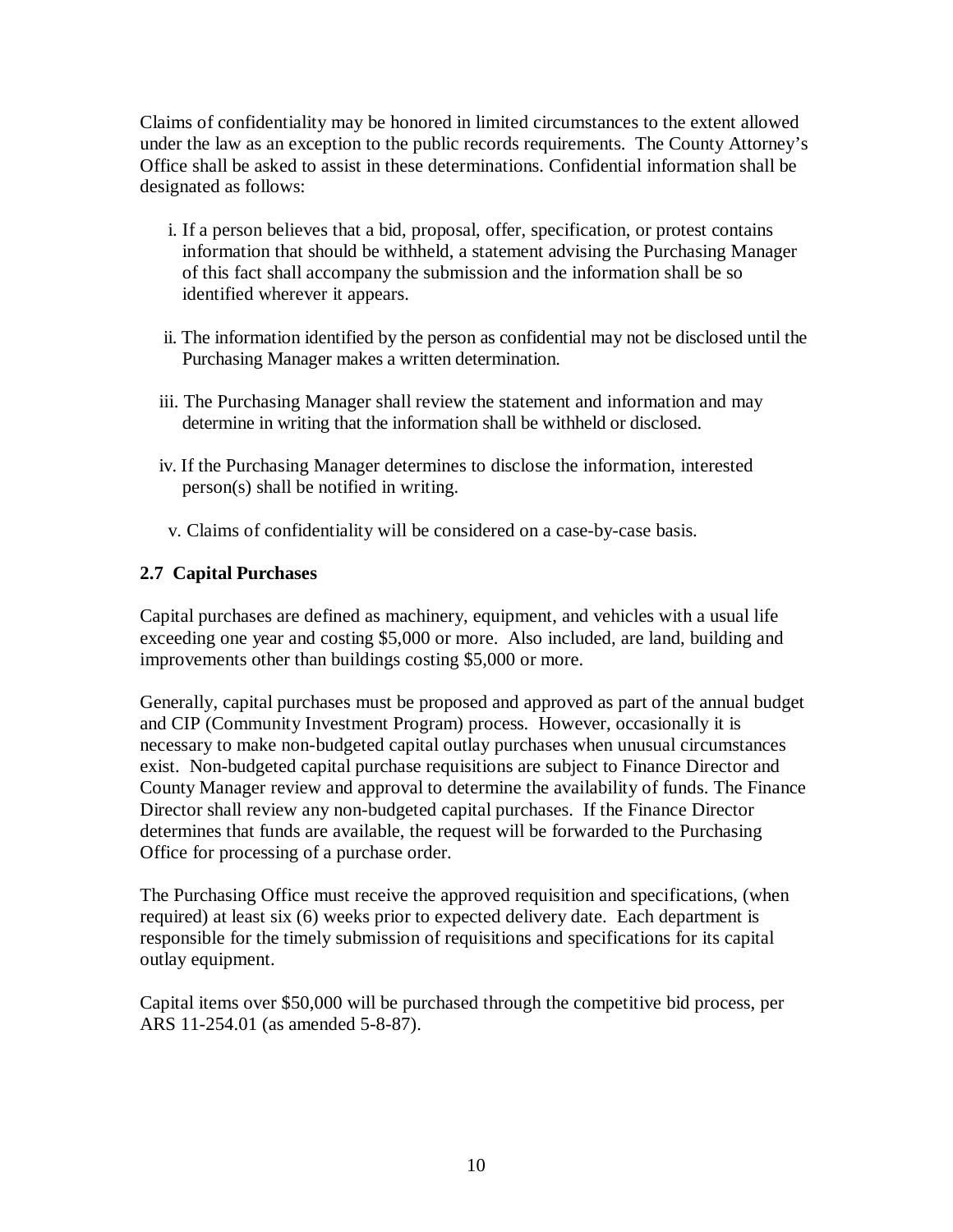Claims of confidentiality may be honored in limited circumstances to the extent allowed under the law as an exception to the public records requirements. The County Attorney's Office shall be asked to assist in these determinations. Confidential information shall be designated as follows:

- i. If a person believes that a bid, proposal, offer, specification, or protest contains information that should be withheld, a statement advising the Purchasing Manager of this fact shall accompany the submission and the information shall be so identified wherever it appears.
- ii. The information identified by the person as confidential may not be disclosed until the Purchasing Manager makes a written determination.
- iii. The Purchasing Manager shall review the statement and information and may determine in writing that the information shall be withheld or disclosed.
- iv. If the Purchasing Manager determines to disclose the information, interested person(s) shall be notified in writing.
- v. Claims of confidentiality will be considered on a case-by-case basis.

#### **2.7 Capital Purchases**

Capital purchases are defined as machinery, equipment, and vehicles with a usual life exceeding one year and costing \$5,000 or more. Also included, are land, building and improvements other than buildings costing \$5,000 or more.

Generally, capital purchases must be proposed and approved as part of the annual budget and CIP (Community Investment Program) process. However, occasionally it is necessary to make non-budgeted capital outlay purchases when unusual circumstances exist. Non-budgeted capital purchase requisitions are subject to Finance Director and County Manager review and approval to determine the availability of funds. The Finance Director shall review any non-budgeted capital purchases. If the Finance Director determines that funds are available, the request will be forwarded to the Purchasing Office for processing of a purchase order.

The Purchasing Office must receive the approved requisition and specifications, (when required) at least six (6) weeks prior to expected delivery date. Each department is responsible for the timely submission of requisitions and specifications for its capital outlay equipment.

Capital items over \$50,000 will be purchased through the competitive bid process, per ARS 11-254.01 (as amended 5-8-87).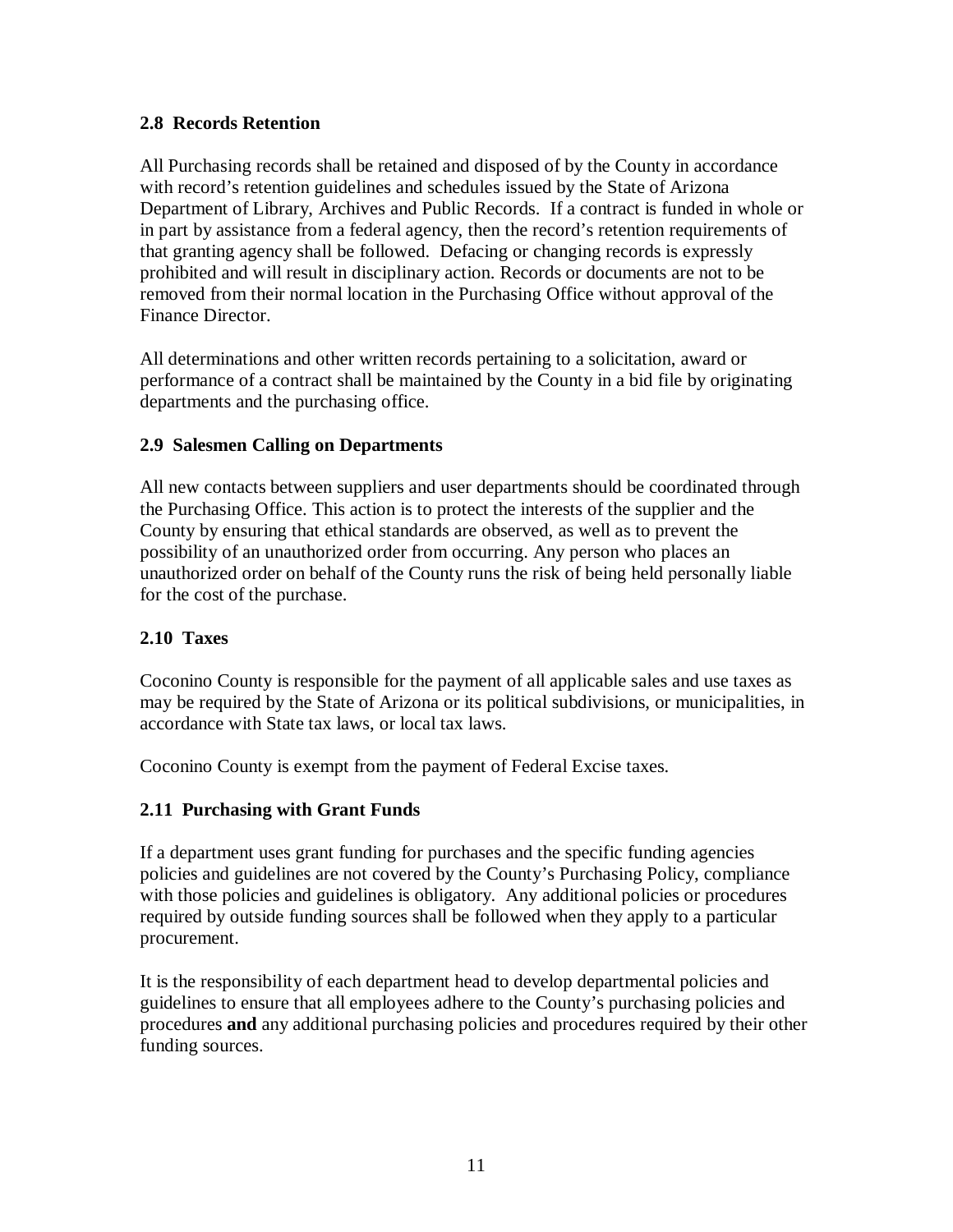#### **2.8 Records Retention**

All Purchasing records shall be retained and disposed of by the County in accordance with record's retention guidelines and schedules issued by the State of Arizona Department of Library, Archives and Public Records. If a contract is funded in whole or in part by assistance from a federal agency, then the record's retention requirements of that granting agency shall be followed. Defacing or changing records is expressly prohibited and will result in disciplinary action. Records or documents are not to be removed from their normal location in the Purchasing Office without approval of the Finance Director.

All determinations and other written records pertaining to a solicitation, award or performance of a contract shall be maintained by the County in a bid file by originating departments and the purchasing office.

#### **2.9 Salesmen Calling on Departments**

All new contacts between suppliers and user departments should be coordinated through the Purchasing Office. This action is to protect the interests of the supplier and the County by ensuring that ethical standards are observed, as well as to prevent the possibility of an unauthorized order from occurring. Any person who places an unauthorized order on behalf of the County runs the risk of being held personally liable for the cost of the purchase.

#### **2.10 Taxes**

Coconino County is responsible for the payment of all applicable sales and use taxes as may be required by the State of Arizona or its political subdivisions, or municipalities, in accordance with State tax laws, or local tax laws.

Coconino County is exempt from the payment of Federal Excise taxes.

#### **2.11 Purchasing with Grant Funds**

If a department uses grant funding for purchases and the specific funding agencies policies and guidelines are not covered by the County's Purchasing Policy, compliance with those policies and guidelines is obligatory. Any additional policies or procedures required by outside funding sources shall be followed when they apply to a particular procurement.

It is the responsibility of each department head to develop departmental policies and guidelines to ensure that all employees adhere to the County's purchasing policies and procedures **and** any additional purchasing policies and procedures required by their other funding sources.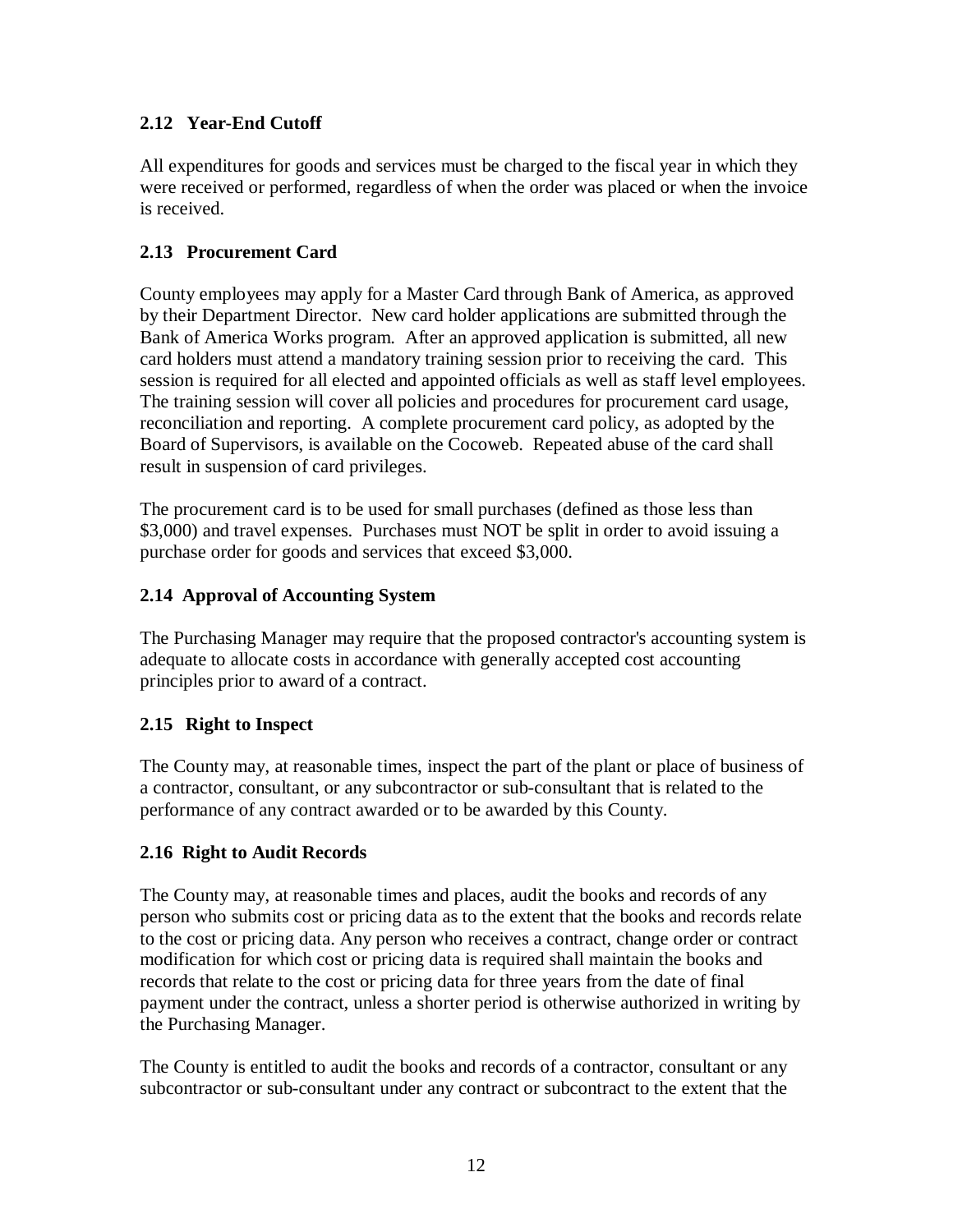### **2.12 Year-End Cutoff**

All expenditures for goods and services must be charged to the fiscal year in which they were received or performed, regardless of when the order was placed or when the invoice is received.

### **2.13 Procurement Card**

County employees may apply for a Master Card through Bank of America, as approved by their Department Director. New card holder applications are submitted through the Bank of America Works program. After an approved application is submitted, all new card holders must attend a mandatory training session prior to receiving the card. This session is required for all elected and appointed officials as well as staff level employees. The training session will cover all policies and procedures for procurement card usage, reconciliation and reporting. A complete procurement card policy, as adopted by the Board of Supervisors, is available on the Cocoweb. Repeated abuse of the card shall result in suspension of card privileges.

The procurement card is to be used for small purchases (defined as those less than \$3,000) and travel expenses. Purchases must NOT be split in order to avoid issuing a purchase order for goods and services that exceed \$3,000.

### **2.14 Approval of Accounting System**

The Purchasing Manager may require that the proposed contractor's accounting system is adequate to allocate costs in accordance with generally accepted cost accounting principles prior to award of a contract.

#### **2.15 Right to Inspect**

The County may, at reasonable times, inspect the part of the plant or place of business of a contractor, consultant, or any subcontractor or sub-consultant that is related to the performance of any contract awarded or to be awarded by this County.

#### **2.16 Right to Audit Records**

The County may, at reasonable times and places, audit the books and records of any person who submits cost or pricing data as to the extent that the books and records relate to the cost or pricing data. Any person who receives a contract, change order or contract modification for which cost or pricing data is required shall maintain the books and records that relate to the cost or pricing data for three years from the date of final payment under the contract, unless a shorter period is otherwise authorized in writing by the Purchasing Manager.

The County is entitled to audit the books and records of a contractor, consultant or any subcontractor or sub-consultant under any contract or subcontract to the extent that the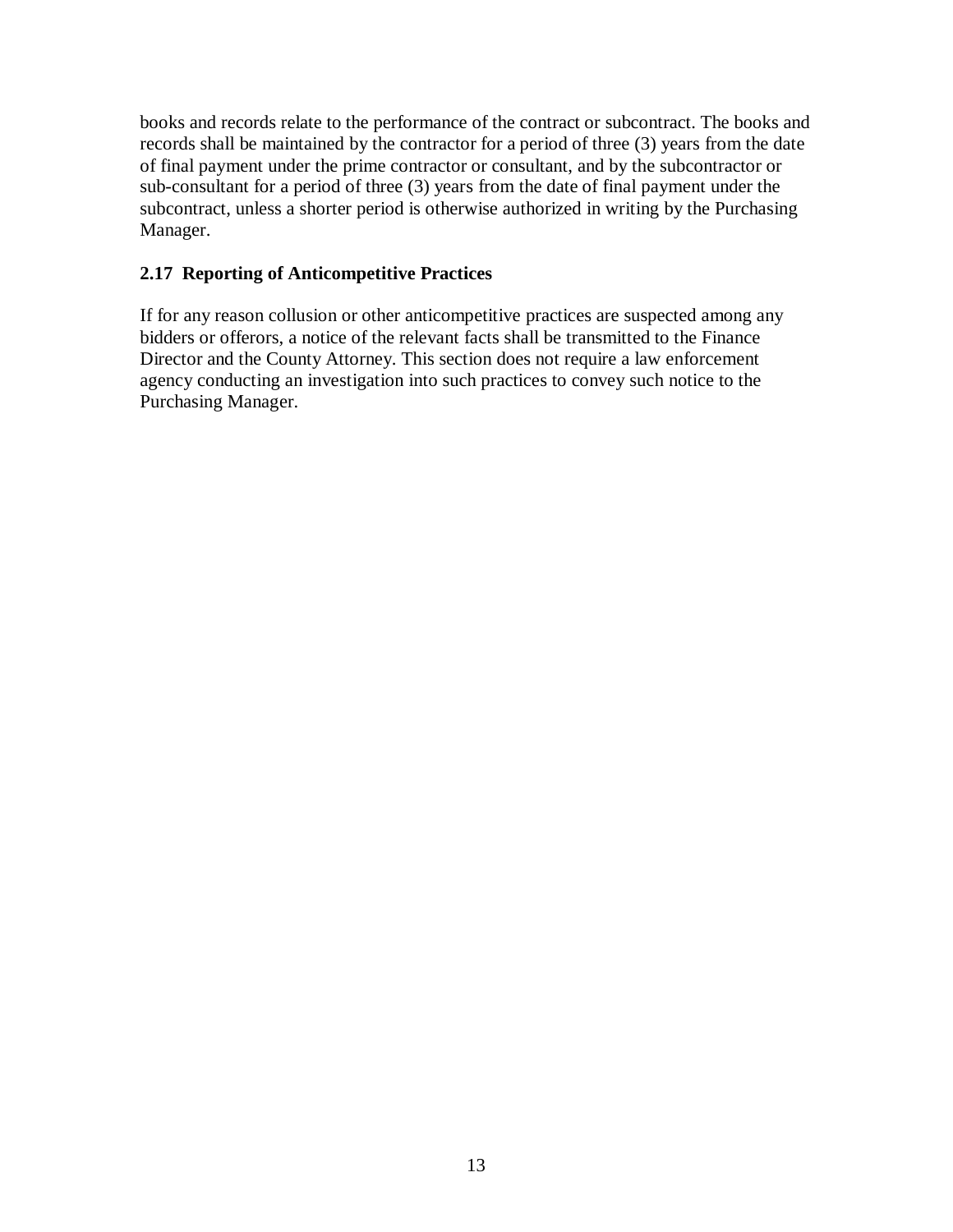books and records relate to the performance of the contract or subcontract. The books and records shall be maintained by the contractor for a period of three (3) years from the date of final payment under the prime contractor or consultant, and by the subcontractor or sub-consultant for a period of three (3) years from the date of final payment under the subcontract, unless a shorter period is otherwise authorized in writing by the Purchasing Manager.

#### **2.17 Reporting of Anticompetitive Practices**

If for any reason collusion or other anticompetitive practices are suspected among any bidders or offerors, a notice of the relevant facts shall be transmitted to the Finance Director and the County Attorney. This section does not require a law enforcement agency conducting an investigation into such practices to convey such notice to the Purchasing Manager.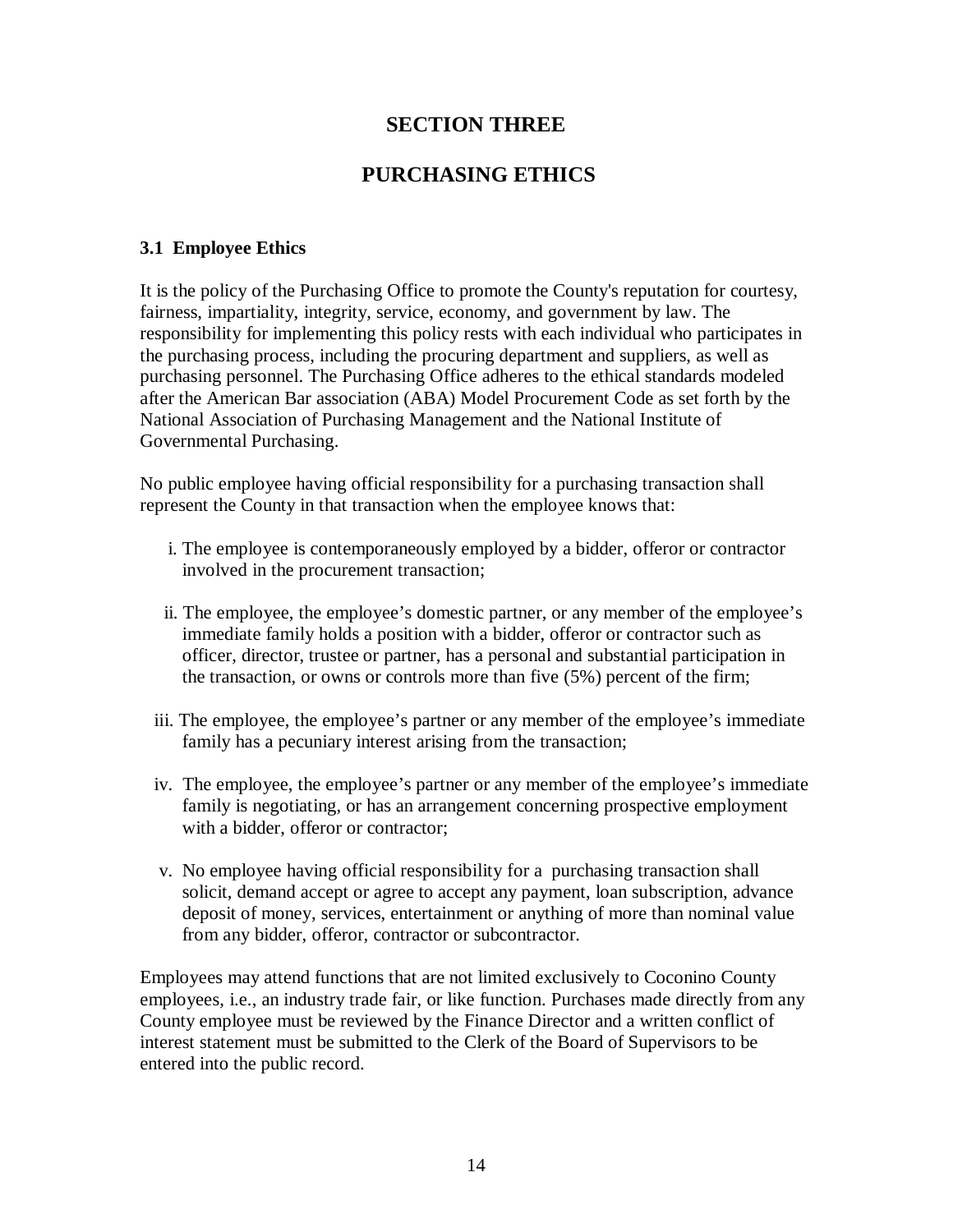### **SECTION THREE**

### **PURCHASING ETHICS**

#### **3.1 Employee Ethics**

It is the policy of the Purchasing Office to promote the County's reputation for courtesy, fairness, impartiality, integrity, service, economy, and government by law. The responsibility for implementing this policy rests with each individual who participates in the purchasing process, including the procuring department and suppliers, as well as purchasing personnel. The Purchasing Office adheres to the ethical standards modeled after the American Bar association (ABA) Model Procurement Code as set forth by the National Association of Purchasing Management and the National Institute of Governmental Purchasing.

No public employee having official responsibility for a purchasing transaction shall represent the County in that transaction when the employee knows that:

- i. The employee is contemporaneously employed by a bidder, offeror or contractor involved in the procurement transaction;
- ii. The employee, the employee's domestic partner, or any member of the employee's immediate family holds a position with a bidder, offeror or contractor such as officer, director, trustee or partner, has a personal and substantial participation in the transaction, or owns or controls more than five (5%) percent of the firm;
- iii. The employee, the employee's partner or any member of the employee's immediate family has a pecuniary interest arising from the transaction;
- iv. The employee, the employee's partner or any member of the employee's immediate family is negotiating, or has an arrangement concerning prospective employment with a bidder, offeror or contractor;
- v. No employee having official responsibility for a purchasing transaction shall solicit, demand accept or agree to accept any payment, loan subscription, advance deposit of money, services, entertainment or anything of more than nominal value from any bidder, offeror, contractor or subcontractor.

Employees may attend functions that are not limited exclusively to Coconino County employees, i.e., an industry trade fair, or like function. Purchases made directly from any County employee must be reviewed by the Finance Director and a written conflict of interest statement must be submitted to the Clerk of the Board of Supervisors to be entered into the public record.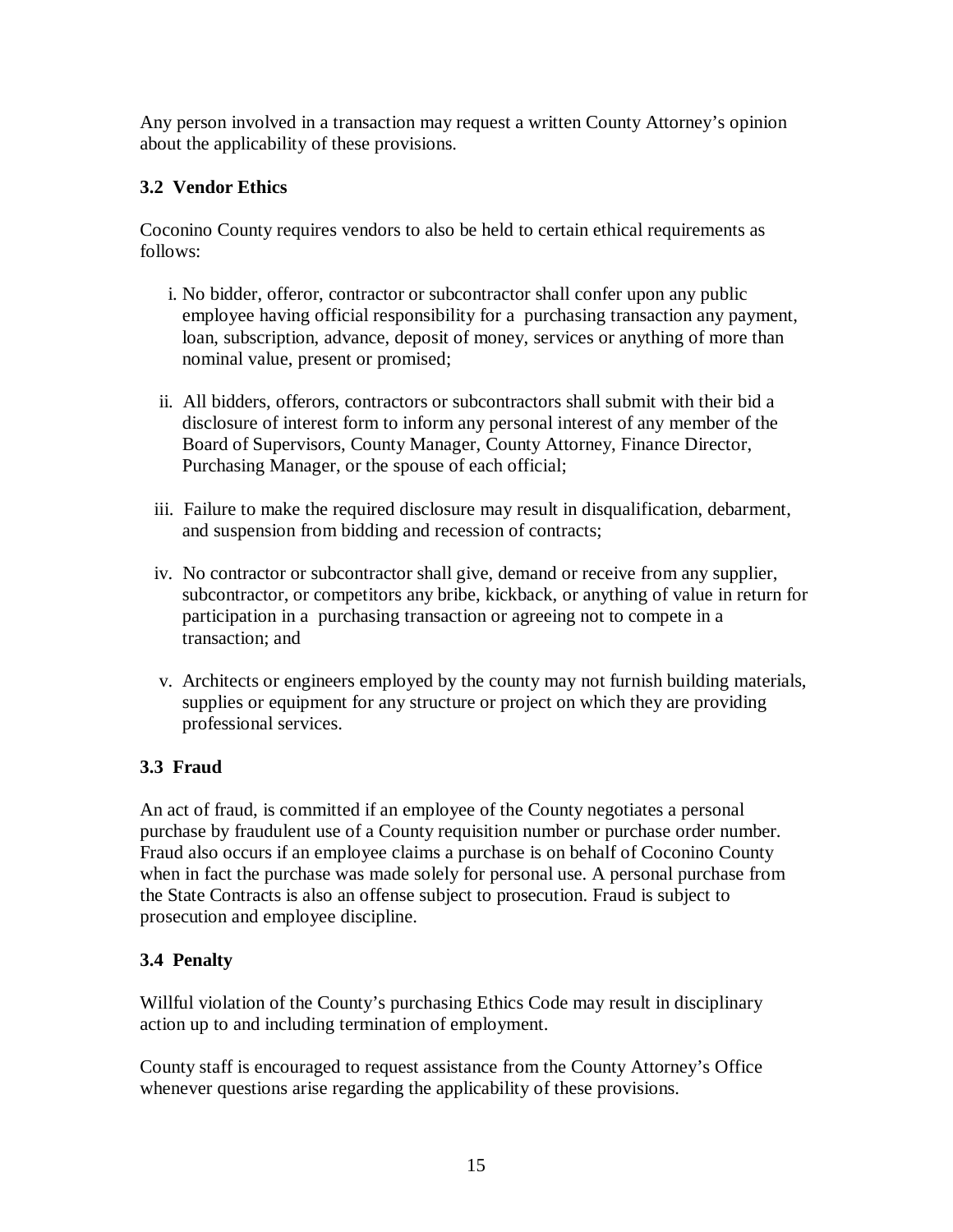Any person involved in a transaction may request a written County Attorney's opinion about the applicability of these provisions.

### **3.2 Vendor Ethics**

Coconino County requires vendors to also be held to certain ethical requirements as follows:

- i. No bidder, offeror, contractor or subcontractor shall confer upon any public employee having official responsibility for a purchasing transaction any payment, loan, subscription, advance, deposit of money, services or anything of more than nominal value, present or promised;
- ii. All bidders, offerors, contractors or subcontractors shall submit with their bid a disclosure of interest form to inform any personal interest of any member of the Board of Supervisors, County Manager, County Attorney, Finance Director, Purchasing Manager, or the spouse of each official;
- iii. Failure to make the required disclosure may result in disqualification, debarment, and suspension from bidding and recession of contracts;
- iv. No contractor or subcontractor shall give, demand or receive from any supplier, subcontractor, or competitors any bribe, kickback, or anything of value in return for participation in a purchasing transaction or agreeing not to compete in a transaction; and
- v. Architects or engineers employed by the county may not furnish building materials, supplies or equipment for any structure or project on which they are providing professional services.

### **3.3 Fraud**

An act of fraud, is committed if an employee of the County negotiates a personal purchase by fraudulent use of a County requisition number or purchase order number. Fraud also occurs if an employee claims a purchase is on behalf of Coconino County when in fact the purchase was made solely for personal use. A personal purchase from the State Contracts is also an offense subject to prosecution. Fraud is subject to prosecution and employee discipline.

#### **3.4 Penalty**

Willful violation of the County's purchasing Ethics Code may result in disciplinary action up to and including termination of employment.

County staff is encouraged to request assistance from the County Attorney's Office whenever questions arise regarding the applicability of these provisions.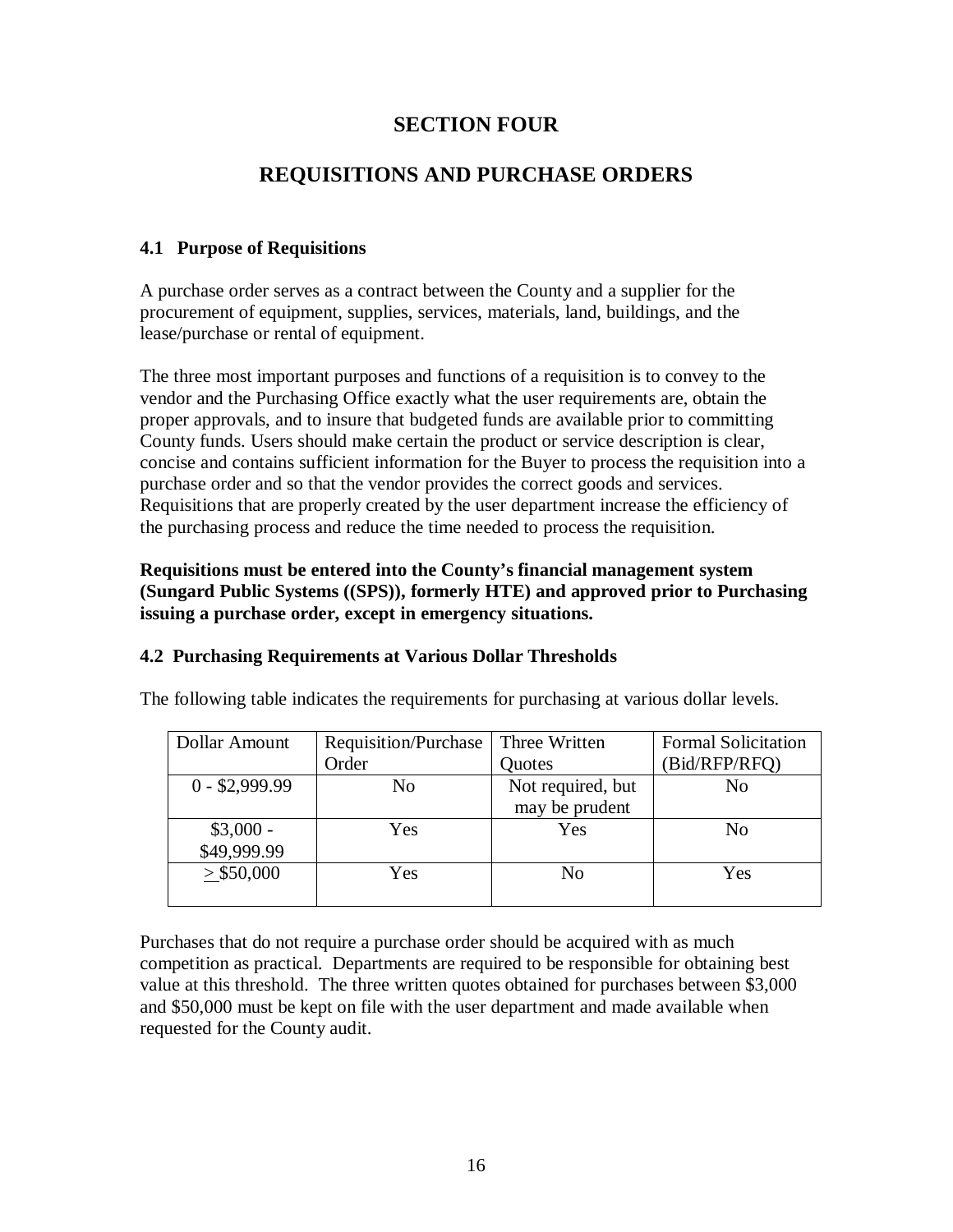### **SECTION FOUR**

### **REQUISITIONS AND PURCHASE ORDERS**

#### **4.1 Purpose of Requisitions**

A purchase order serves as a contract between the County and a supplier for the procurement of equipment, supplies, services, materials, land, buildings, and the lease/purchase or rental of equipment.

The three most important purposes and functions of a requisition is to convey to the vendor and the Purchasing Office exactly what the user requirements are, obtain the proper approvals, and to insure that budgeted funds are available prior to committing County funds. Users should make certain the product or service description is clear, concise and contains sufficient information for the Buyer to process the requisition into a purchase order and so that the vendor provides the correct goods and services. Requisitions that are properly created by the user department increase the efficiency of the purchasing process and reduce the time needed to process the requisition.

#### **Requisitions must be entered into the County's financial management system (Sungard Public Systems ((SPS)), formerly HTE) and approved prior to Purchasing issuing a purchase order, except in emergency situations.**

#### **4.2 Purchasing Requirements at Various Dollar Thresholds**

| Dollar Amount   | Requisition/Purchase | Three Written     | <b>Formal Solicitation</b> |
|-----------------|----------------------|-------------------|----------------------------|
|                 | Order                | Quotes            | (Bid/RFP/RFQ)              |
| $0 - $2,999.99$ | No                   | Not required, but | No                         |
|                 |                      | may be prudent    |                            |
| $$3,000 -$      | Yes                  | Yes               | N <sub>0</sub>             |
| \$49,999.99     |                      |                   |                            |
| $>$ \$50,000    | Yes                  | N <sub>0</sub>    | Yes                        |
|                 |                      |                   |                            |

The following table indicates the requirements for purchasing at various dollar levels.

Purchases that do not require a purchase order should be acquired with as much competition as practical. Departments are required to be responsible for obtaining best value at this threshold. The three written quotes obtained for purchases between \$3,000 and \$50,000 must be kept on file with the user department and made available when requested for the County audit.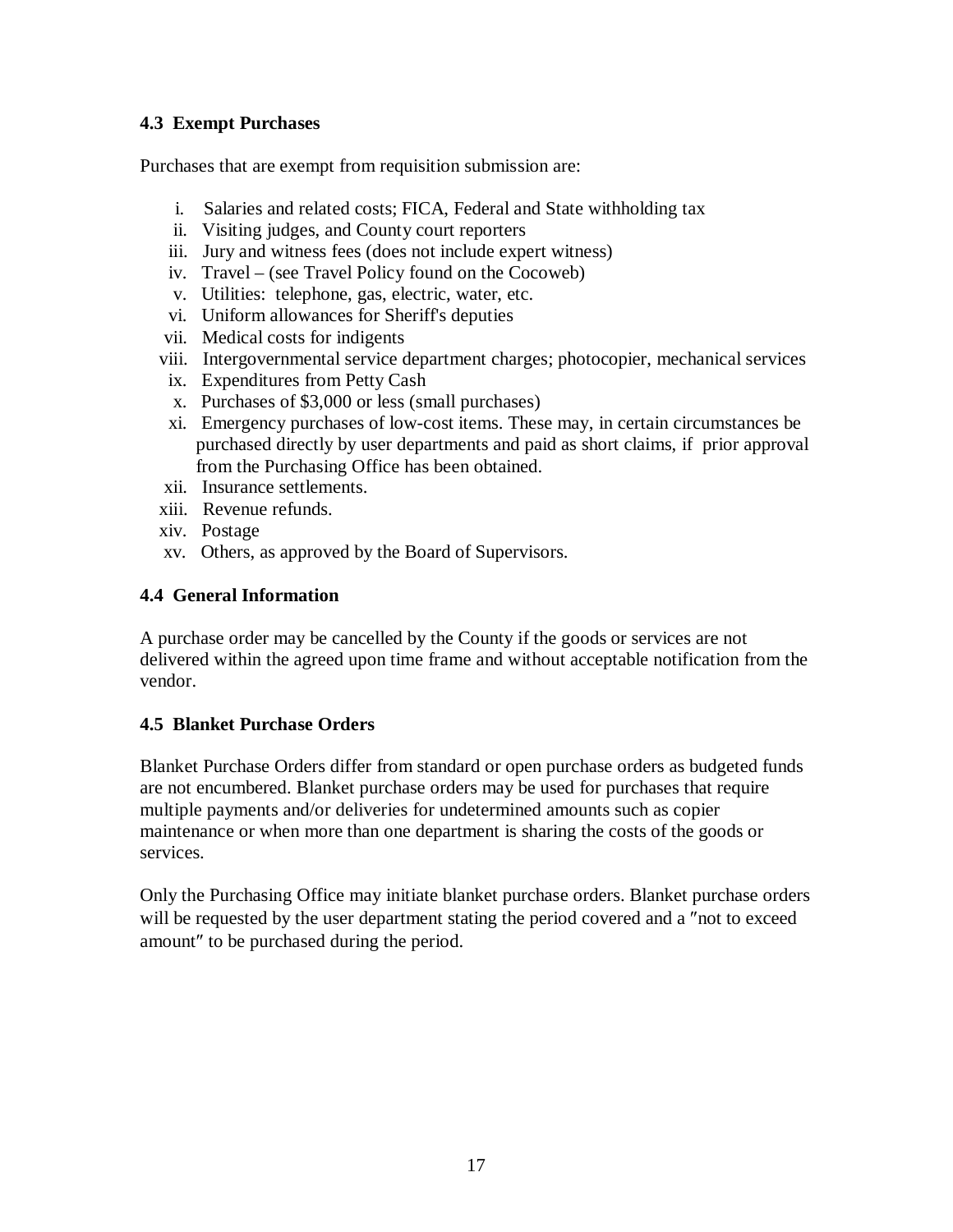#### **4.3 Exempt Purchases**

Purchases that are exempt from requisition submission are:

- i. Salaries and related costs; FICA, Federal and State withholding tax
- ii. Visiting judges, and County court reporters
- iii. Jury and witness fees (does not include expert witness)
- iv. Travel (see Travel Policy found on the Cocoweb)
- v. Utilities: telephone, gas, electric, water, etc.
- vi. Uniform allowances for Sheriff's deputies
- vii. Medical costs for indigents
- viii. Intergovernmental service department charges; photocopier, mechanical services
- ix. Expenditures from Petty Cash
- x. Purchases of \$3,000 or less (small purchases)
- xi. Emergency purchases of low-cost items. These may, in certain circumstances be purchased directly by user departments and paid as short claims, if prior approval from the Purchasing Office has been obtained.
- xii. Insurance settlements.
- xiii. Revenue refunds.
- xiv. Postage
- xv. Others, as approved by the Board of Supervisors.

#### **4.4 General Information**

A purchase order may be cancelled by the County if the goods or services are not delivered within the agreed upon time frame and without acceptable notification from the vendor.

#### **4.5 Blanket Purchase Orders**

Blanket Purchase Orders differ from standard or open purchase orders as budgeted funds are not encumbered. Blanket purchase orders may be used for purchases that require multiple payments and/or deliveries for undetermined amounts such as copier maintenance or when more than one department is sharing the costs of the goods or services.

Only the Purchasing Office may initiate blanket purchase orders. Blanket purchase orders will be requested by the user department stating the period covered and a "not to exceed" amount″ to be purchased during the period.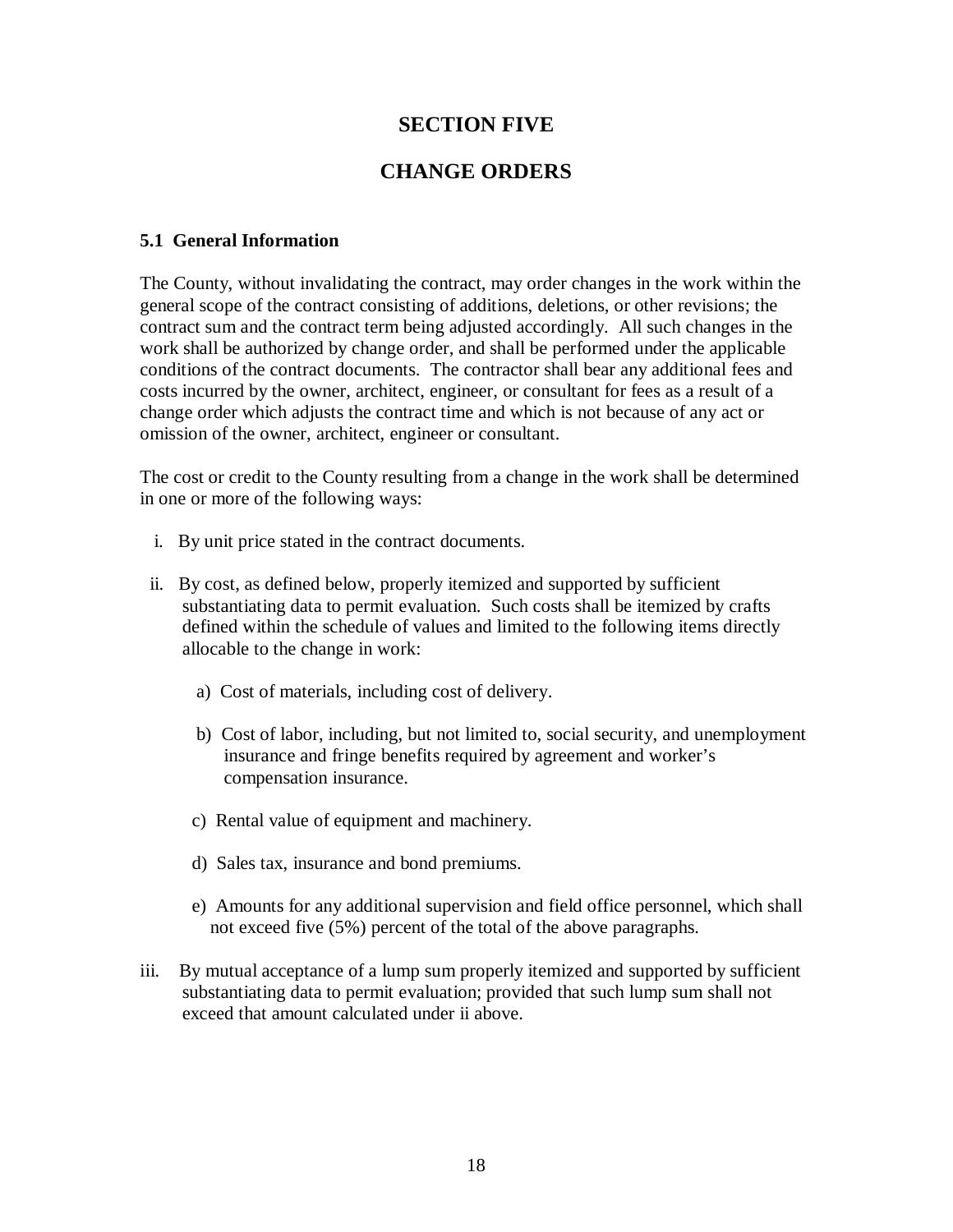### **SECTION FIVE**

### **CHANGE ORDERS**

#### **5.1 General Information**

The County, without invalidating the contract, may order changes in the work within the general scope of the contract consisting of additions, deletions, or other revisions; the contract sum and the contract term being adjusted accordingly. All such changes in the work shall be authorized by change order, and shall be performed under the applicable conditions of the contract documents. The contractor shall bear any additional fees and costs incurred by the owner, architect, engineer, or consultant for fees as a result of a change order which adjusts the contract time and which is not because of any act or omission of the owner, architect, engineer or consultant.

The cost or credit to the County resulting from a change in the work shall be determined in one or more of the following ways:

- i. By unit price stated in the contract documents.
- ii. By cost, as defined below, properly itemized and supported by sufficient substantiating data to permit evaluation. Such costs shall be itemized by crafts defined within the schedule of values and limited to the following items directly allocable to the change in work:
	- a) Cost of materials, including cost of delivery.
	- b) Cost of labor, including, but not limited to, social security, and unemployment insurance and fringe benefits required by agreement and worker's compensation insurance.
	- c) Rental value of equipment and machinery.
	- d) Sales tax, insurance and bond premiums.
	- e) Amounts for any additional supervision and field office personnel, which shall not exceed five (5%) percent of the total of the above paragraphs.
- iii. By mutual acceptance of a lump sum properly itemized and supported by sufficient substantiating data to permit evaluation; provided that such lump sum shall not exceed that amount calculated under ii above.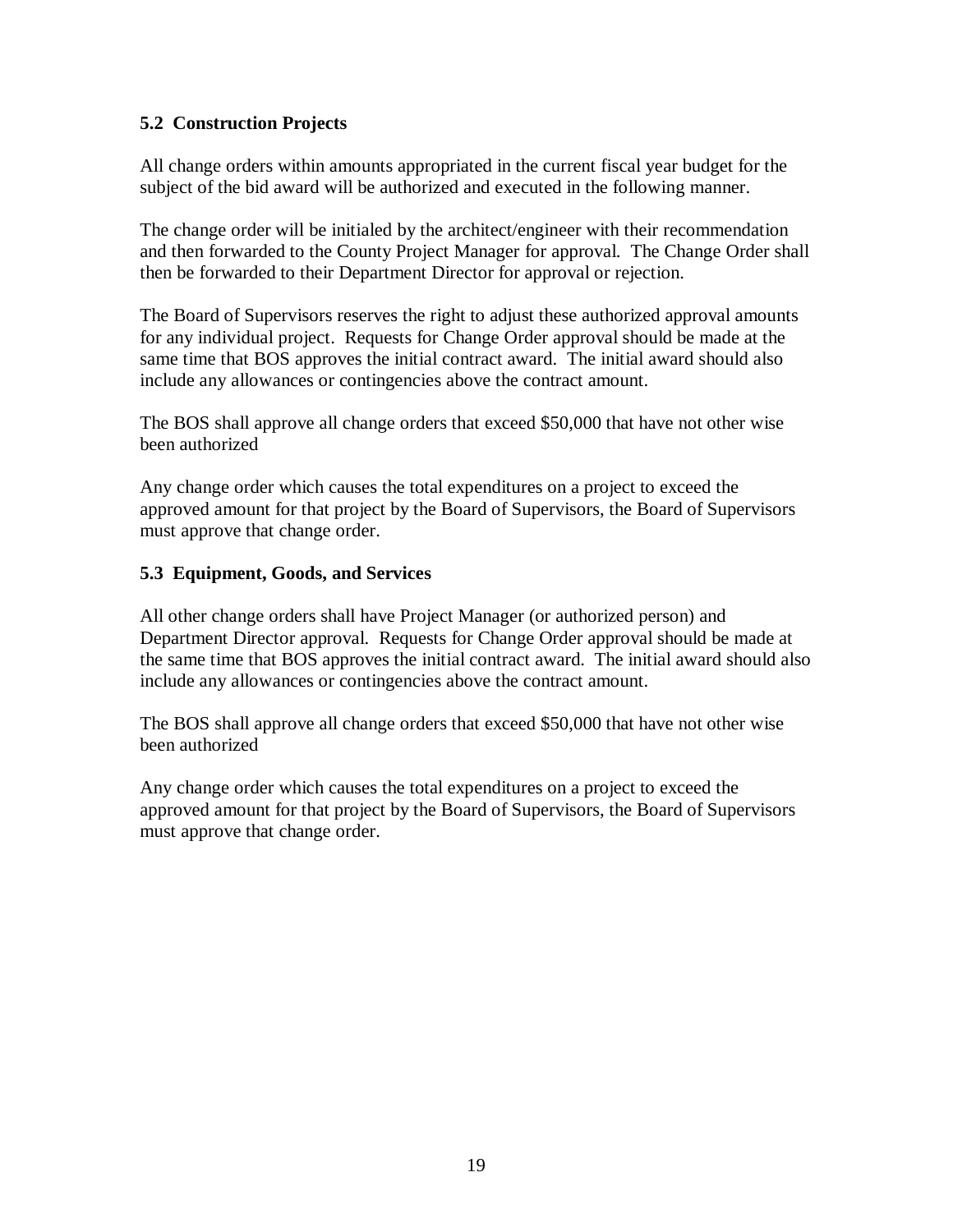#### **5.2 Construction Projects**

All change orders within amounts appropriated in the current fiscal year budget for the subject of the bid award will be authorized and executed in the following manner.

The change order will be initialed by the architect/engineer with their recommendation and then forwarded to the County Project Manager for approval. The Change Order shall then be forwarded to their Department Director for approval or rejection.

The Board of Supervisors reserves the right to adjust these authorized approval amounts for any individual project. Requests for Change Order approval should be made at the same time that BOS approves the initial contract award. The initial award should also include any allowances or contingencies above the contract amount.

The BOS shall approve all change orders that exceed \$50,000 that have not other wise been authorized

Any change order which causes the total expenditures on a project to exceed the approved amount for that project by the Board of Supervisors, the Board of Supervisors must approve that change order.

#### **5.3 Equipment, Goods, and Services**

All other change orders shall have Project Manager (or authorized person) and Department Director approval. Requests for Change Order approval should be made at the same time that BOS approves the initial contract award. The initial award should also include any allowances or contingencies above the contract amount.

The BOS shall approve all change orders that exceed \$50,000 that have not other wise been authorized

Any change order which causes the total expenditures on a project to exceed the approved amount for that project by the Board of Supervisors, the Board of Supervisors must approve that change order.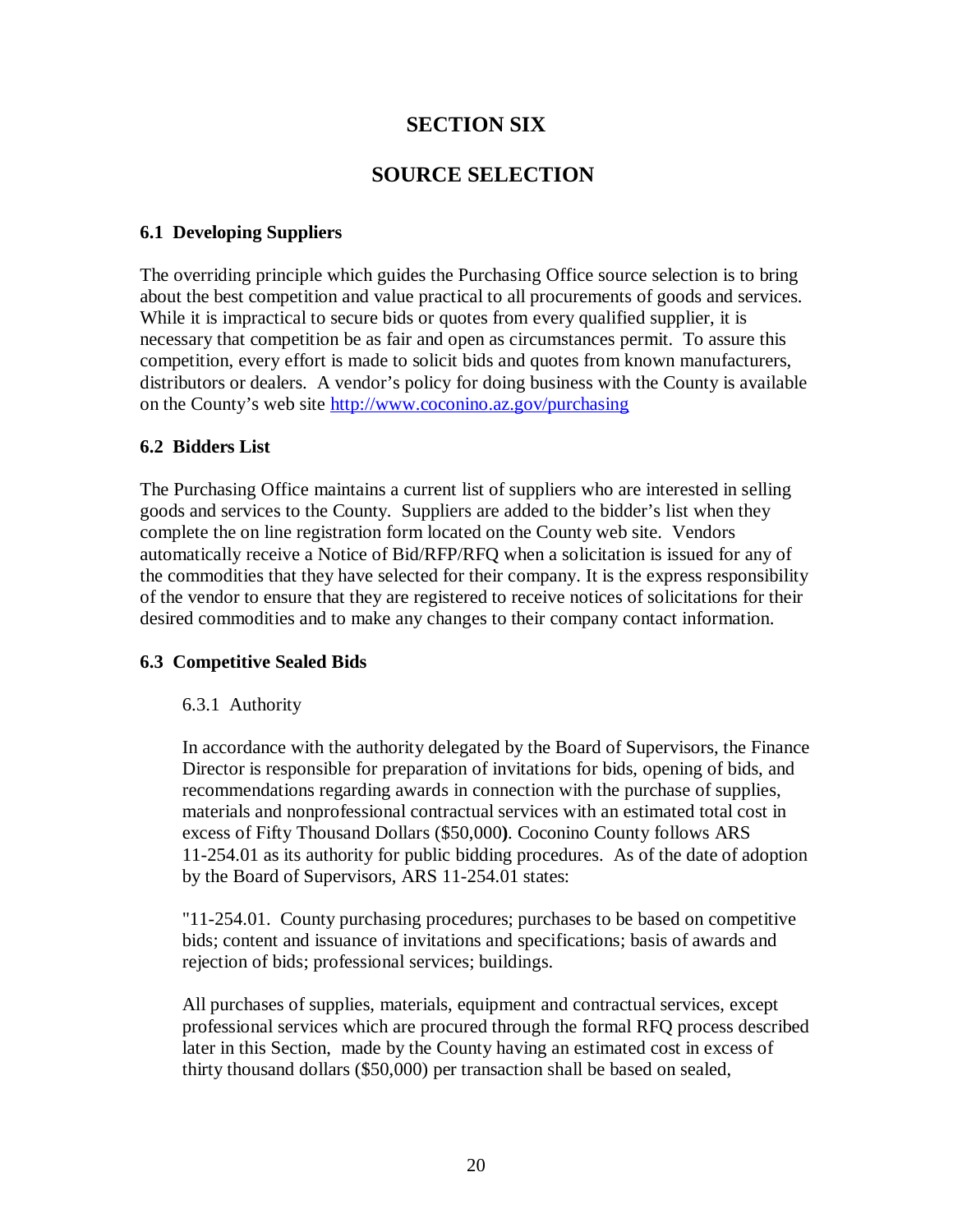### **SECTION SIX**

### **SOURCE SELECTION**

#### **6.1 Developing Suppliers**

The overriding principle which guides the Purchasing Office source selection is to bring about the best competition and value practical to all procurements of goods and services. While it is impractical to secure bids or quotes from every qualified supplier, it is necessary that competition be as fair and open as circumstances permit. To assure this competition, every effort is made to solicit bids and quotes from known manufacturers, distributors or dealers. A vendor's policy for doing business with the County is available on the County's web site<http://www.coconino.az.gov/purchasing>

#### **6.2 Bidders List**

The Purchasing Office maintains a current list of suppliers who are interested in selling goods and services to the County. Suppliers are added to the bidder's list when they complete the on line registration form located on the County web site. Vendors automatically receive a Notice of Bid/RFP/RFQ when a solicitation is issued for any of the commodities that they have selected for their company. It is the express responsibility of the vendor to ensure that they are registered to receive notices of solicitations for their desired commodities and to make any changes to their company contact information.

#### **6.3 Competitive Sealed Bids**

#### 6.3.1 Authority

In accordance with the authority delegated by the Board of Supervisors, the Finance Director is responsible for preparation of invitations for bids, opening of bids, and recommendations regarding awards in connection with the purchase of supplies, materials and nonprofessional contractual services with an estimated total cost in excess of Fifty Thousand Dollars (\$50,000**)**. Coconino County follows ARS 11-254.01 as its authority for public bidding procedures. As of the date of adoption by the Board of Supervisors, ARS 11-254.01 states:

"11-254.01. County purchasing procedures; purchases to be based on competitive bids; content and issuance of invitations and specifications; basis of awards and rejection of bids; professional services; buildings.

All purchases of supplies, materials, equipment and contractual services, except professional services which are procured through the formal RFQ process described later in this Section, made by the County having an estimated cost in excess of thirty thousand dollars (\$50,000) per transaction shall be based on sealed,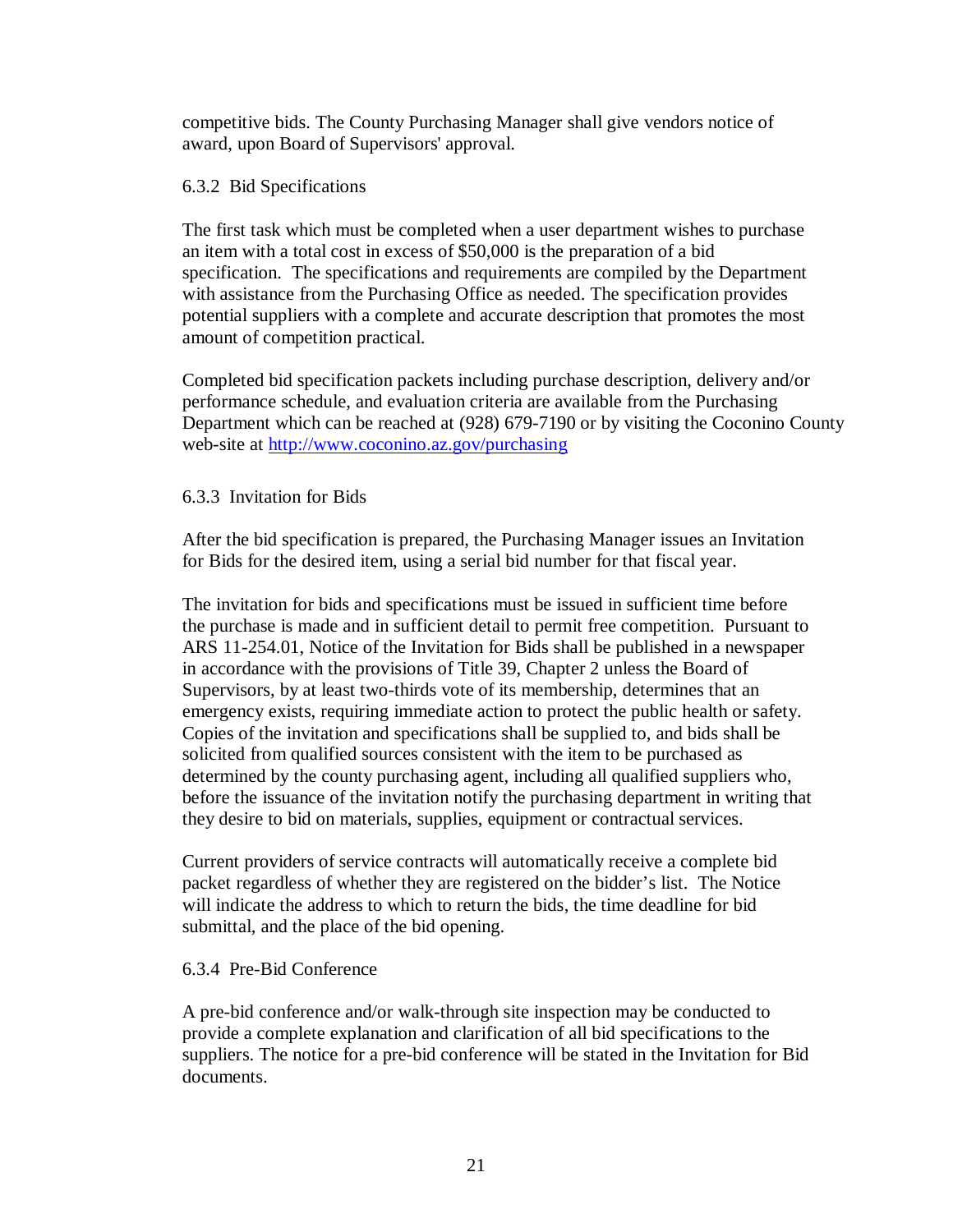competitive bids. The County Purchasing Manager shall give vendors notice of award, upon Board of Supervisors' approval.

#### 6.3.2 Bid Specifications

The first task which must be completed when a user department wishes to purchase an item with a total cost in excess of \$50,000 is the preparation of a bid specification. The specifications and requirements are compiled by the Department with assistance from the Purchasing Office as needed. The specification provides potential suppliers with a complete and accurate description that promotes the most amount of competition practical.

Completed bid specification packets including purchase description, delivery and/or performance schedule, and evaluation criteria are available from the Purchasing Department which can be reached at (928) 679-7190 or by visiting the Coconino County web-site at<http://www.coconino.az.gov/purchasing>

#### 6.3.3 Invitation for Bids

After the bid specification is prepared, the Purchasing Manager issues an Invitation for Bids for the desired item, using a serial bid number for that fiscal year.

The invitation for bids and specifications must be issued in sufficient time before the purchase is made and in sufficient detail to permit free competition. Pursuant to ARS 11-254.01, Notice of the Invitation for Bids shall be published in a newspaper in accordance with the provisions of Title 39, Chapter 2 unless the Board of Supervisors, by at least two-thirds vote of its membership, determines that an emergency exists, requiring immediate action to protect the public health or safety. Copies of the invitation and specifications shall be supplied to, and bids shall be solicited from qualified sources consistent with the item to be purchased as determined by the county purchasing agent, including all qualified suppliers who, before the issuance of the invitation notify the purchasing department in writing that they desire to bid on materials, supplies, equipment or contractual services.

Current providers of service contracts will automatically receive a complete bid packet regardless of whether they are registered on the bidder's list. The Notice will indicate the address to which to return the bids, the time deadline for bid submittal, and the place of the bid opening.

#### 6.3.4 Pre-Bid Conference

A pre-bid conference and/or walk-through site inspection may be conducted to provide a complete explanation and clarification of all bid specifications to the suppliers. The notice for a pre-bid conference will be stated in the Invitation for Bid documents.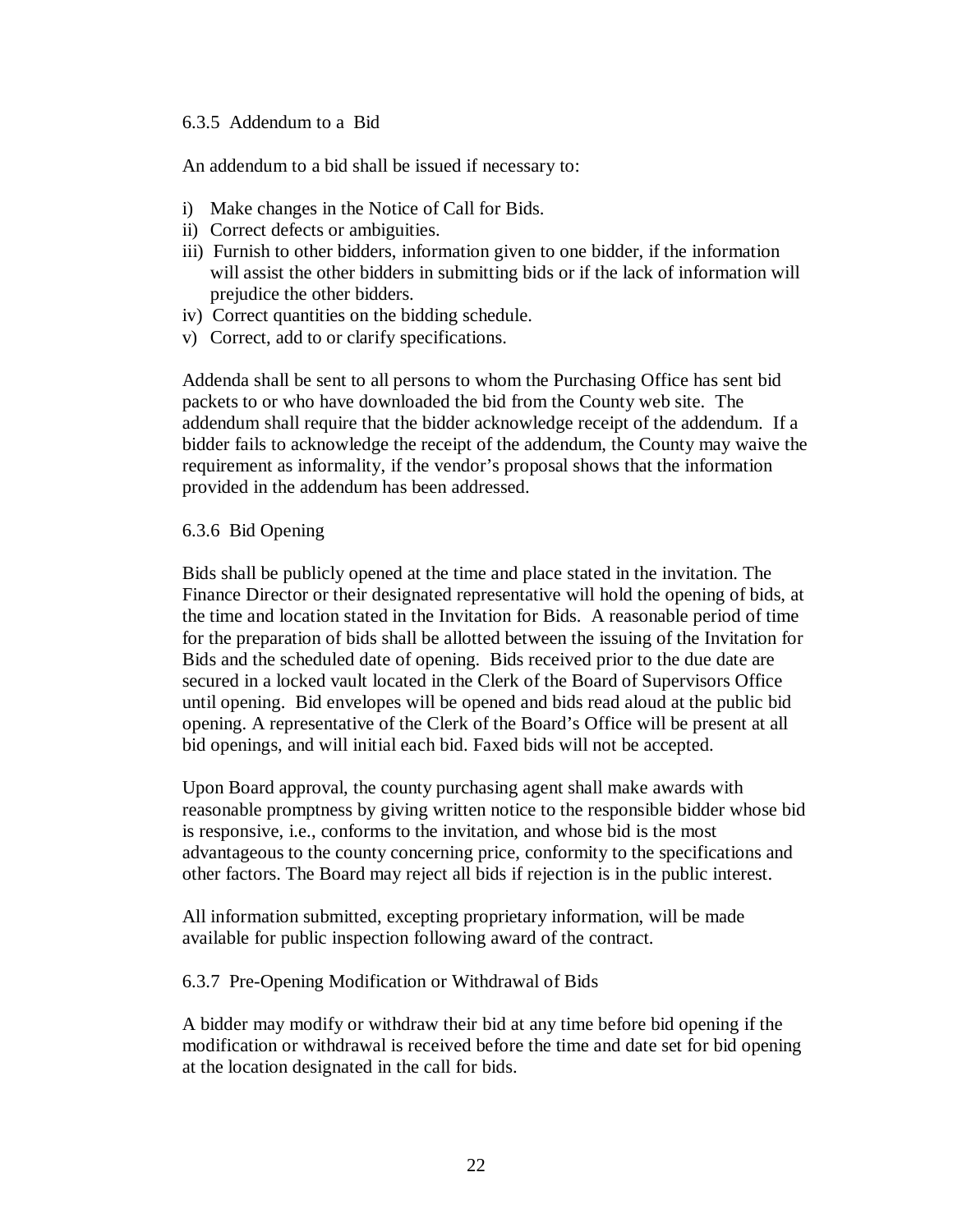#### 6.3.5 Addendum to a Bid

An addendum to a bid shall be issued if necessary to:

- i) Make changes in the Notice of Call for Bids.
- ii) Correct defects or ambiguities.
- iii) Furnish to other bidders, information given to one bidder, if the information will assist the other bidders in submitting bids or if the lack of information will prejudice the other bidders.
- iv) Correct quantities on the bidding schedule.
- v) Correct, add to or clarify specifications.

Addenda shall be sent to all persons to whom the Purchasing Office has sent bid packets to or who have downloaded the bid from the County web site. The addendum shall require that the bidder acknowledge receipt of the addendum. If a bidder fails to acknowledge the receipt of the addendum, the County may waive the requirement as informality, if the vendor's proposal shows that the information provided in the addendum has been addressed.

#### 6.3.6 Bid Opening

Bids shall be publicly opened at the time and place stated in the invitation. The Finance Director or their designated representative will hold the opening of bids, at the time and location stated in the Invitation for Bids. A reasonable period of time for the preparation of bids shall be allotted between the issuing of the Invitation for Bids and the scheduled date of opening. Bids received prior to the due date are secured in a locked vault located in the Clerk of the Board of Supervisors Office until opening. Bid envelopes will be opened and bids read aloud at the public bid opening. A representative of the Clerk of the Board's Office will be present at all bid openings, and will initial each bid. Faxed bids will not be accepted.

Upon Board approval, the county purchasing agent shall make awards with reasonable promptness by giving written notice to the responsible bidder whose bid is responsive, i.e., conforms to the invitation, and whose bid is the most advantageous to the county concerning price, conformity to the specifications and other factors. The Board may reject all bids if rejection is in the public interest.

All information submitted, excepting proprietary information, will be made available for public inspection following award of the contract.

#### 6.3.7 Pre-Opening Modification or Withdrawal of Bids

A bidder may modify or withdraw their bid at any time before bid opening if the modification or withdrawal is received before the time and date set for bid opening at the location designated in the call for bids.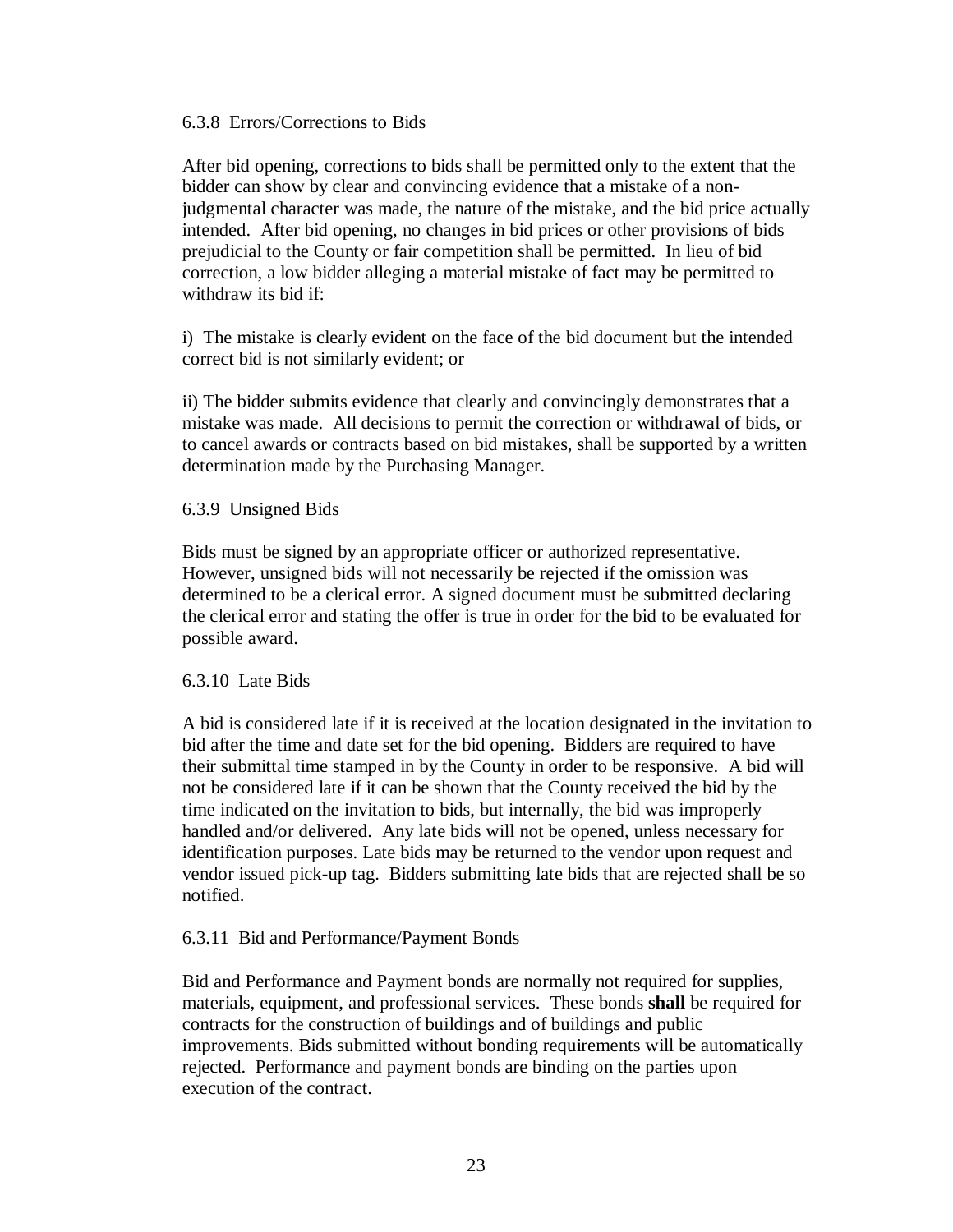#### 6.3.8 Errors/Corrections to Bids

After bid opening, corrections to bids shall be permitted only to the extent that the bidder can show by clear and convincing evidence that a mistake of a nonjudgmental character was made, the nature of the mistake, and the bid price actually intended. After bid opening, no changes in bid prices or other provisions of bids prejudicial to the County or fair competition shall be permitted. In lieu of bid correction, a low bidder alleging a material mistake of fact may be permitted to withdraw its bid if:

i) The mistake is clearly evident on the face of the bid document but the intended correct bid is not similarly evident; or

ii) The bidder submits evidence that clearly and convincingly demonstrates that a mistake was made. All decisions to permit the correction or withdrawal of bids, or to cancel awards or contracts based on bid mistakes, shall be supported by a written determination made by the Purchasing Manager.

6.3.9 Unsigned Bids

Bids must be signed by an appropriate officer or authorized representative. However, unsigned bids will not necessarily be rejected if the omission was determined to be a clerical error. A signed document must be submitted declaring the clerical error and stating the offer is true in order for the bid to be evaluated for possible award.

#### 6.3.10 Late Bids

A bid is considered late if it is received at the location designated in the invitation to bid after the time and date set for the bid opening. Bidders are required to have their submittal time stamped in by the County in order to be responsive. A bid will not be considered late if it can be shown that the County received the bid by the time indicated on the invitation to bids, but internally, the bid was improperly handled and/or delivered. Any late bids will not be opened, unless necessary for identification purposes. Late bids may be returned to the vendor upon request and vendor issued pick-up tag. Bidders submitting late bids that are rejected shall be so notified.

#### 6.3.11 Bid and Performance/Payment Bonds

Bid and Performance and Payment bonds are normally not required for supplies, materials, equipment, and professional services. These bonds **shall** be required for contracts for the construction of buildings and of buildings and public improvements. Bids submitted without bonding requirements will be automatically rejected. Performance and payment bonds are binding on the parties upon execution of the contract.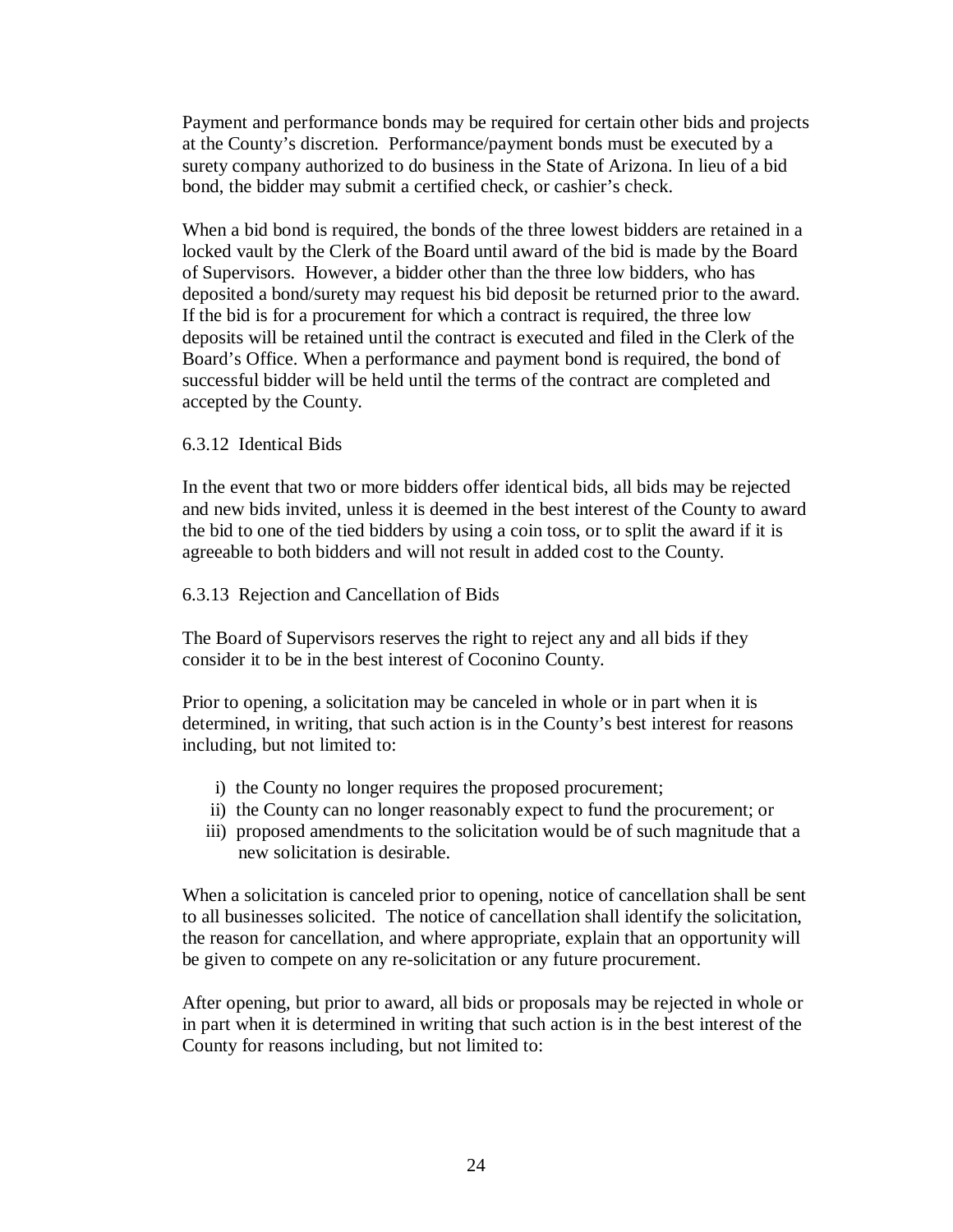Payment and performance bonds may be required for certain other bids and projects at the County's discretion. Performance/payment bonds must be executed by a surety company authorized to do business in the State of Arizona. In lieu of a bid bond, the bidder may submit a certified check, or cashier's check.

When a bid bond is required, the bonds of the three lowest bidders are retained in a locked vault by the Clerk of the Board until award of the bid is made by the Board of Supervisors. However, a bidder other than the three low bidders, who has deposited a bond/surety may request his bid deposit be returned prior to the award. If the bid is for a procurement for which a contract is required, the three low deposits will be retained until the contract is executed and filed in the Clerk of the Board's Office. When a performance and payment bond is required, the bond of successful bidder will be held until the terms of the contract are completed and accepted by the County.

#### 6.3.12 Identical Bids

In the event that two or more bidders offer identical bids, all bids may be rejected and new bids invited, unless it is deemed in the best interest of the County to award the bid to one of the tied bidders by using a coin toss, or to split the award if it is agreeable to both bidders and will not result in added cost to the County.

#### 6.3.13 Rejection and Cancellation of Bids

The Board of Supervisors reserves the right to reject any and all bids if they consider it to be in the best interest of Coconino County.

Prior to opening, a solicitation may be canceled in whole or in part when it is determined, in writing, that such action is in the County's best interest for reasons including, but not limited to:

- i) the County no longer requires the proposed procurement;
- ii) the County can no longer reasonably expect to fund the procurement; or
- iii) proposed amendments to the solicitation would be of such magnitude that a new solicitation is desirable.

When a solicitation is canceled prior to opening, notice of cancellation shall be sent to all businesses solicited. The notice of cancellation shall identify the solicitation, the reason for cancellation, and where appropriate, explain that an opportunity will be given to compete on any re-solicitation or any future procurement.

After opening, but prior to award, all bids or proposals may be rejected in whole or in part when it is determined in writing that such action is in the best interest of the County for reasons including, but not limited to: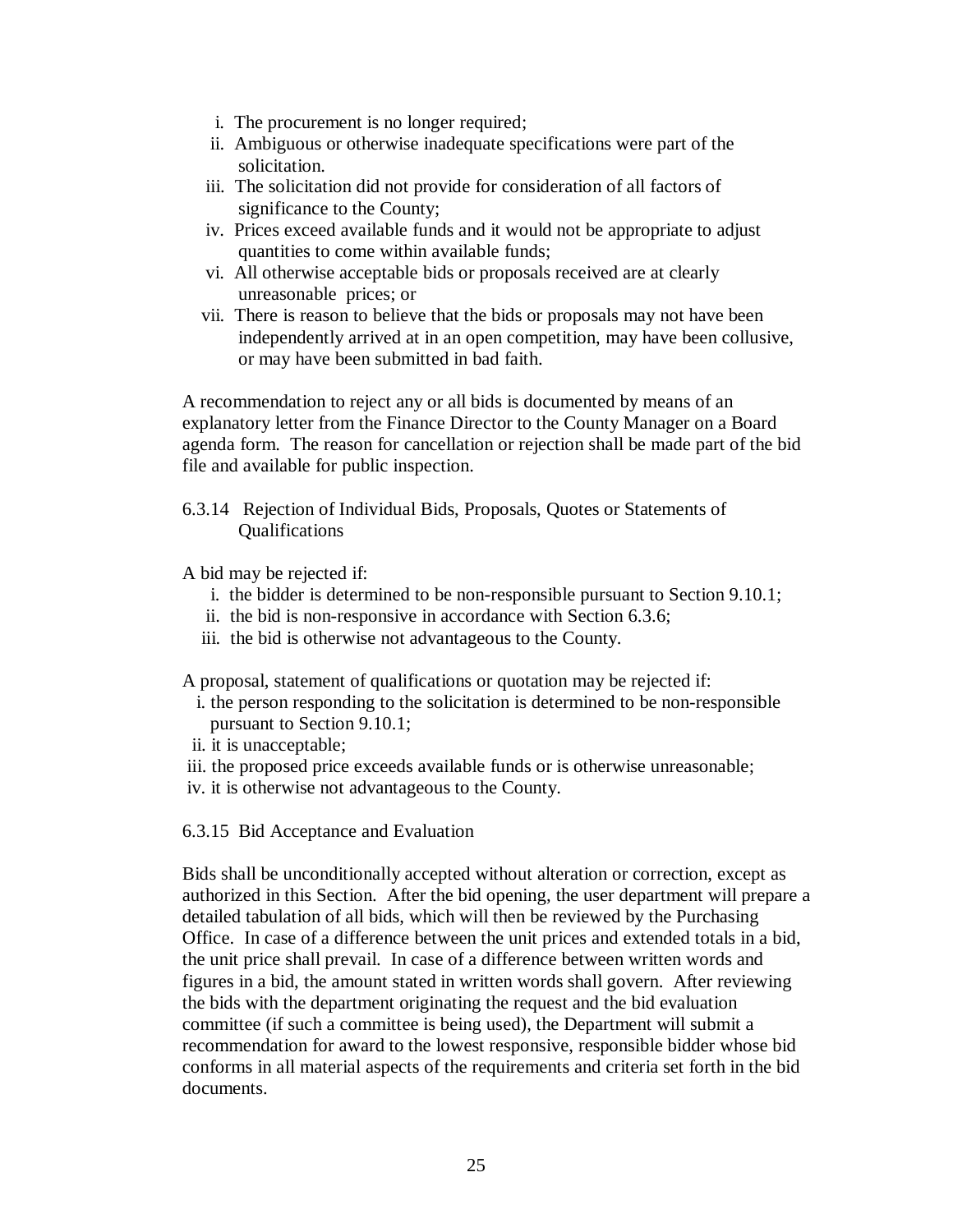- i. The procurement is no longer required;
- ii. Ambiguous or otherwise inadequate specifications were part of the solicitation.
- iii. The solicitation did not provide for consideration of all factors of significance to the County;
- iv. Prices exceed available funds and it would not be appropriate to adjust quantities to come within available funds;
- vi. All otherwise acceptable bids or proposals received are at clearly unreasonable prices; or
- vii. There is reason to believe that the bids or proposals may not have been independently arrived at in an open competition, may have been collusive, or may have been submitted in bad faith.

A recommendation to reject any or all bids is documented by means of an explanatory letter from the Finance Director to the County Manager on a Board agenda form. The reason for cancellation or rejection shall be made part of the bid file and available for public inspection.

6.3.14 Rejection of Individual Bids, Proposals, Quotes or Statements of Qualifications

A bid may be rejected if:

- i. the bidder is determined to be non-responsible pursuant to Section 9.10.1;
- ii. the bid is non-responsive in accordance with Section 6.3.6;
- iii. the bid is otherwise not advantageous to the County.

A proposal, statement of qualifications or quotation may be rejected if:

- i. the person responding to the solicitation is determined to be non-responsible pursuant to Section 9.10.1;
- ii. it is unacceptable;
- iii. the proposed price exceeds available funds or is otherwise unreasonable;
- iv. it is otherwise not advantageous to the County.

6.3.15 Bid Acceptance and Evaluation

Bids shall be unconditionally accepted without alteration or correction, except as authorized in this Section. After the bid opening, the user department will prepare a detailed tabulation of all bids, which will then be reviewed by the Purchasing Office. In case of a difference between the unit prices and extended totals in a bid, the unit price shall prevail. In case of a difference between written words and figures in a bid, the amount stated in written words shall govern. After reviewing the bids with the department originating the request and the bid evaluation committee (if such a committee is being used), the Department will submit a recommendation for award to the lowest responsive, responsible bidder whose bid conforms in all material aspects of the requirements and criteria set forth in the bid documents.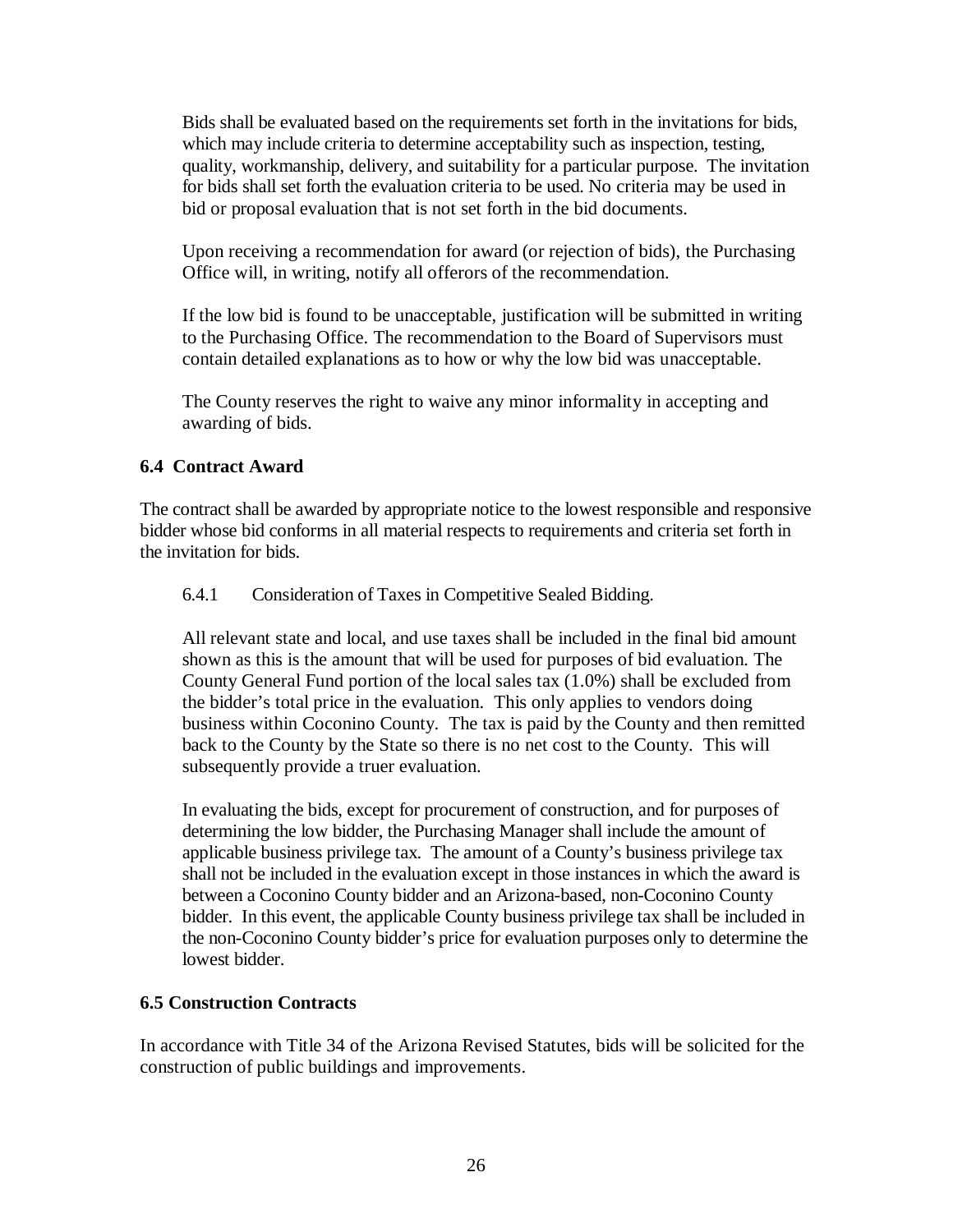Bids shall be evaluated based on the requirements set forth in the invitations for bids, which may include criteria to determine acceptability such as inspection, testing, quality, workmanship, delivery, and suitability for a particular purpose. The invitation for bids shall set forth the evaluation criteria to be used. No criteria may be used in bid or proposal evaluation that is not set forth in the bid documents.

Upon receiving a recommendation for award (or rejection of bids), the Purchasing Office will, in writing, notify all offerors of the recommendation.

If the low bid is found to be unacceptable, justification will be submitted in writing to the Purchasing Office. The recommendation to the Board of Supervisors must contain detailed explanations as to how or why the low bid was unacceptable.

The County reserves the right to waive any minor informality in accepting and awarding of bids.

#### **6.4 Contract Award**

The contract shall be awarded by appropriate notice to the lowest responsible and responsive bidder whose bid conforms in all material respects to requirements and criteria set forth in the invitation for bids.

6.4.1 Consideration of Taxes in Competitive Sealed Bidding.

All relevant state and local, and use taxes shall be included in the final bid amount shown as this is the amount that will be used for purposes of bid evaluation. The County General Fund portion of the local sales tax (1.0%) shall be excluded from the bidder's total price in the evaluation. This only applies to vendors doing business within Coconino County. The tax is paid by the County and then remitted back to the County by the State so there is no net cost to the County. This will subsequently provide a truer evaluation.

In evaluating the bids, except for procurement of construction, and for purposes of determining the low bidder, the Purchasing Manager shall include the amount of applicable business privilege tax. The amount of a County's business privilege tax shall not be included in the evaluation except in those instances in which the award is between a Coconino County bidder and an Arizona-based, non-Coconino County bidder. In this event, the applicable County business privilege tax shall be included in the non-Coconino County bidder's price for evaluation purposes only to determine the lowest bidder.

#### **6.5 Construction Contracts**

In accordance with Title 34 of the Arizona Revised Statutes, bids will be solicited for the construction of public buildings and improvements.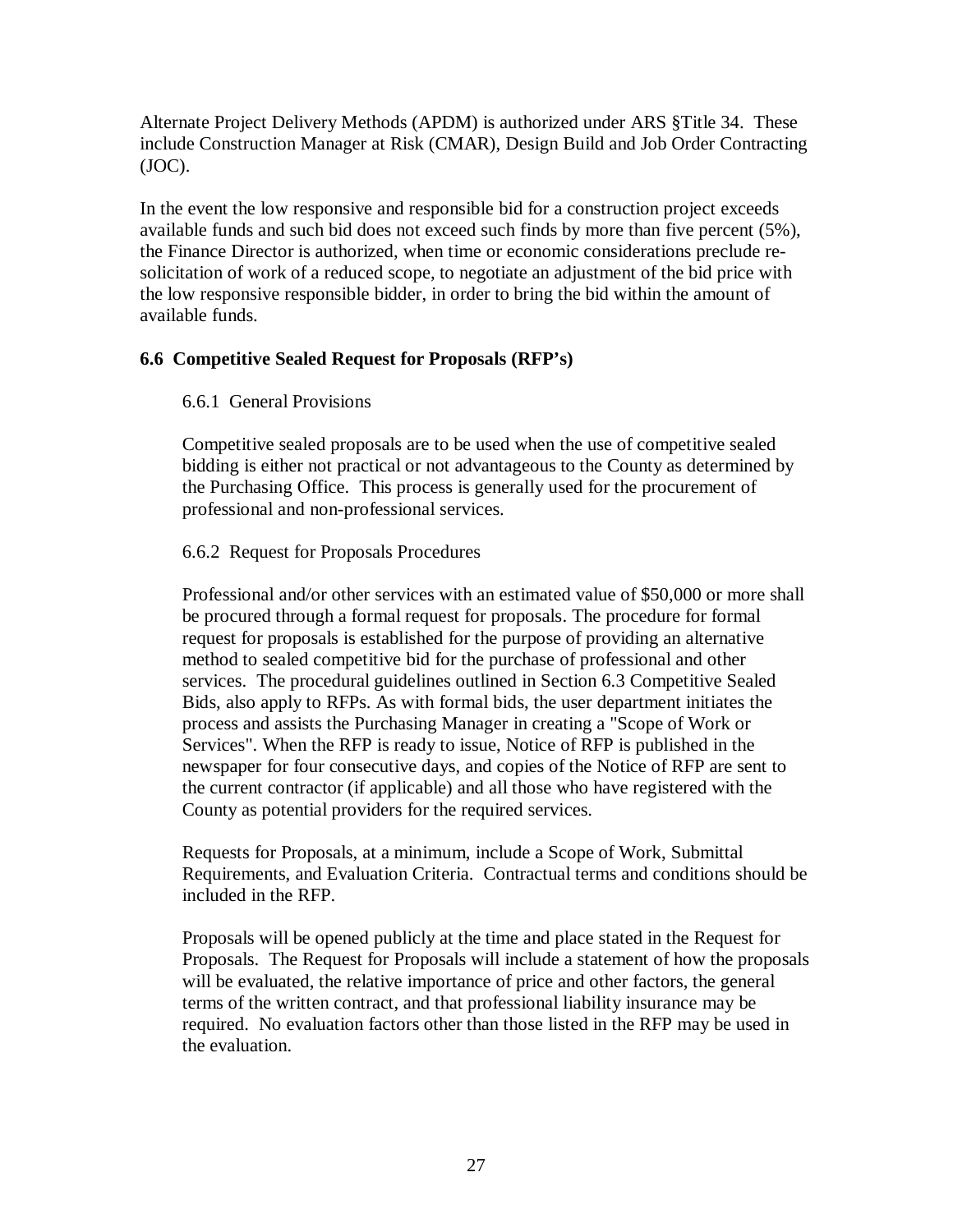Alternate Project Delivery Methods (APDM) is authorized under ARS §Title 34. These include Construction Manager at Risk (CMAR), Design Build and Job Order Contracting (JOC).

In the event the low responsive and responsible bid for a construction project exceeds available funds and such bid does not exceed such finds by more than five percent (5%), the Finance Director is authorized, when time or economic considerations preclude resolicitation of work of a reduced scope, to negotiate an adjustment of the bid price with the low responsive responsible bidder, in order to bring the bid within the amount of available funds.

#### **6.6 Competitive Sealed Request for Proposals (RFP's)**

#### 6.6.1 General Provisions

Competitive sealed proposals are to be used when the use of competitive sealed bidding is either not practical or not advantageous to the County as determined by the Purchasing Office. This process is generally used for the procurement of professional and non-professional services.

#### 6.6.2 Request for Proposals Procedures

Professional and/or other services with an estimated value of \$50,000 or more shall be procured through a formal request for proposals. The procedure for formal request for proposals is established for the purpose of providing an alternative method to sealed competitive bid for the purchase of professional and other services. The procedural guidelines outlined in Section 6.3 Competitive Sealed Bids, also apply to RFPs. As with formal bids, the user department initiates the process and assists the Purchasing Manager in creating a "Scope of Work or Services". When the RFP is ready to issue, Notice of RFP is published in the newspaper for four consecutive days, and copies of the Notice of RFP are sent to the current contractor (if applicable) and all those who have registered with the County as potential providers for the required services.

Requests for Proposals, at a minimum, include a Scope of Work, Submittal Requirements, and Evaluation Criteria. Contractual terms and conditions should be included in the RFP.

Proposals will be opened publicly at the time and place stated in the Request for Proposals. The Request for Proposals will include a statement of how the proposals will be evaluated, the relative importance of price and other factors, the general terms of the written contract, and that professional liability insurance may be required. No evaluation factors other than those listed in the RFP may be used in the evaluation.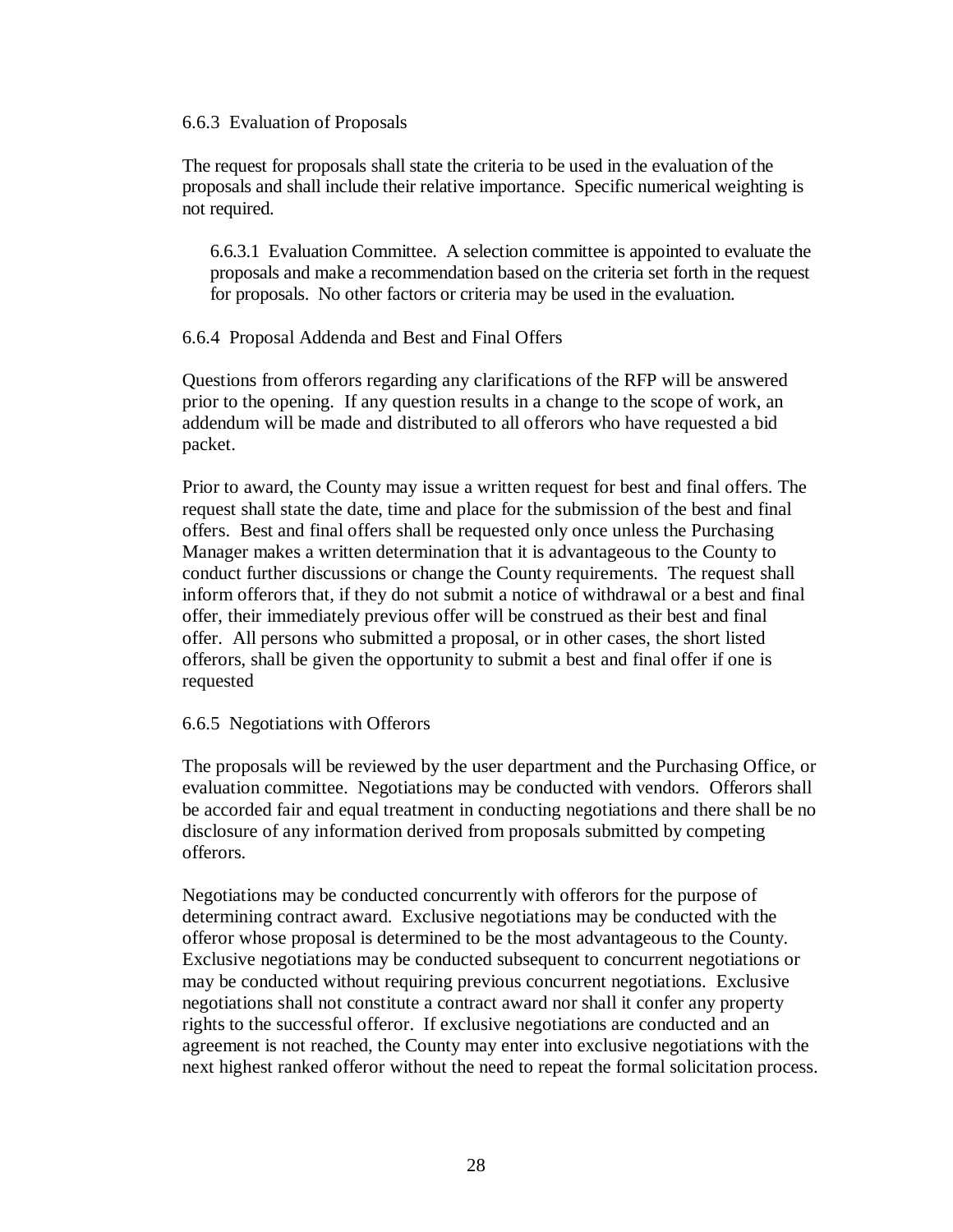#### 6.6.3 Evaluation of Proposals

The request for proposals shall state the criteria to be used in the evaluation of the proposals and shall include their relative importance. Specific numerical weighting is not required.

6.6.3.1 Evaluation Committee. A selection committee is appointed to evaluate the proposals and make a recommendation based on the criteria set forth in the request for proposals. No other factors or criteria may be used in the evaluation.

6.6.4 Proposal Addenda and Best and Final Offers

Questions from offerors regarding any clarifications of the RFP will be answered prior to the opening. If any question results in a change to the scope of work, an addendum will be made and distributed to all offerors who have requested a bid packet.

Prior to award, the County may issue a written request for best and final offers. The request shall state the date, time and place for the submission of the best and final offers. Best and final offers shall be requested only once unless the Purchasing Manager makes a written determination that it is advantageous to the County to conduct further discussions or change the County requirements. The request shall inform offerors that, if they do not submit a notice of withdrawal or a best and final offer, their immediately previous offer will be construed as their best and final offer. All persons who submitted a proposal, or in other cases, the short listed offerors, shall be given the opportunity to submit a best and final offer if one is requested

#### 6.6.5 Negotiations with Offerors

The proposals will be reviewed by the user department and the Purchasing Office, or evaluation committee. Negotiations may be conducted with vendors. Offerors shall be accorded fair and equal treatment in conducting negotiations and there shall be no disclosure of any information derived from proposals submitted by competing offerors.

Negotiations may be conducted concurrently with offerors for the purpose of determining contract award. Exclusive negotiations may be conducted with the offeror whose proposal is determined to be the most advantageous to the County. Exclusive negotiations may be conducted subsequent to concurrent negotiations or may be conducted without requiring previous concurrent negotiations. Exclusive negotiations shall not constitute a contract award nor shall it confer any property rights to the successful offeror. If exclusive negotiations are conducted and an agreement is not reached, the County may enter into exclusive negotiations with the next highest ranked offeror without the need to repeat the formal solicitation process.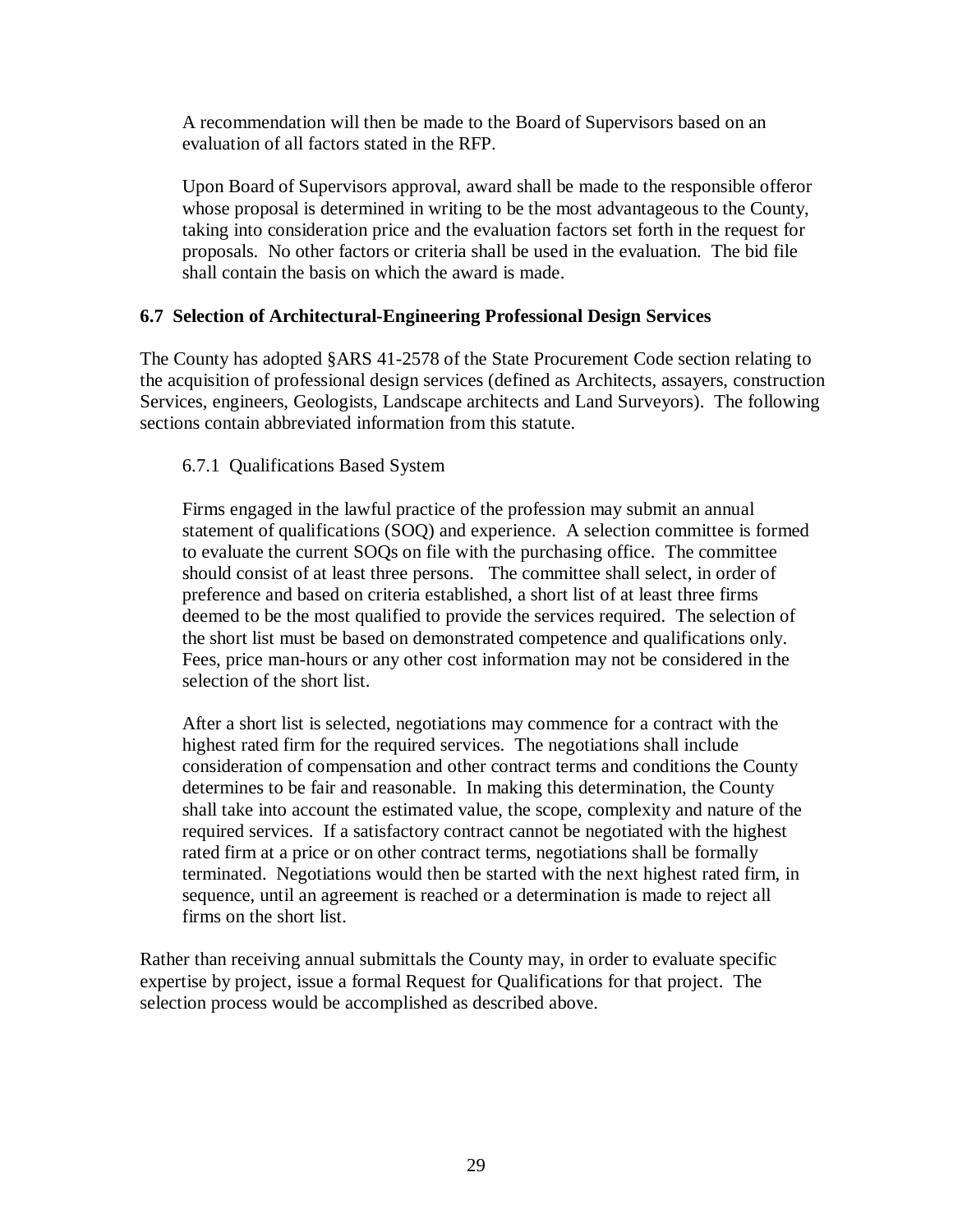A recommendation will then be made to the Board of Supervisors based on an evaluation of all factors stated in the RFP.

Upon Board of Supervisors approval, award shall be made to the responsible offeror whose proposal is determined in writing to be the most advantageous to the County, taking into consideration price and the evaluation factors set forth in the request for proposals. No other factors or criteria shall be used in the evaluation. The bid file shall contain the basis on which the award is made.

#### **6.7 Selection of Architectural-Engineering Professional Design Services**

The County has adopted §ARS 41-2578 of the State Procurement Code section relating to the acquisition of professional design services (defined as Architects, assayers, construction Services, engineers, Geologists, Landscape architects and Land Surveyors). The following sections contain abbreviated information from this statute.

#### 6.7.1 Qualifications Based System

Firms engaged in the lawful practice of the profession may submit an annual statement of qualifications (SOQ) and experience. A selection committee is formed to evaluate the current SOQs on file with the purchasing office. The committee should consist of at least three persons. The committee shall select, in order of preference and based on criteria established, a short list of at least three firms deemed to be the most qualified to provide the services required. The selection of the short list must be based on demonstrated competence and qualifications only. Fees, price man-hours or any other cost information may not be considered in the selection of the short list.

After a short list is selected, negotiations may commence for a contract with the highest rated firm for the required services. The negotiations shall include consideration of compensation and other contract terms and conditions the County determines to be fair and reasonable. In making this determination, the County shall take into account the estimated value, the scope, complexity and nature of the required services. If a satisfactory contract cannot be negotiated with the highest rated firm at a price or on other contract terms, negotiations shall be formally terminated. Negotiations would then be started with the next highest rated firm, in sequence, until an agreement is reached or a determination is made to reject all firms on the short list.

Rather than receiving annual submittals the County may, in order to evaluate specific expertise by project, issue a formal Request for Qualifications for that project. The selection process would be accomplished as described above.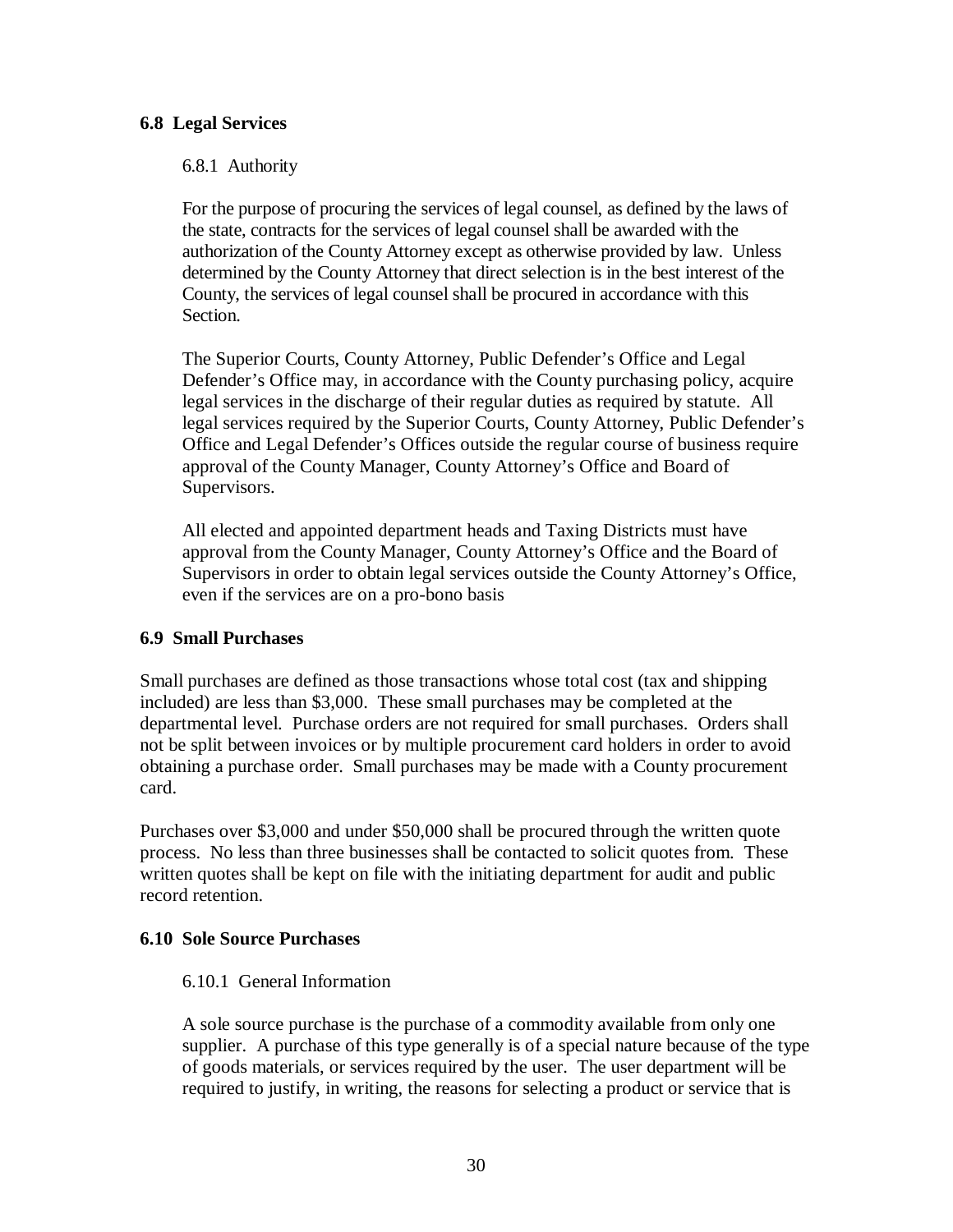#### **6.8 Legal Services**

6.8.1 Authority

For the purpose of procuring the services of legal counsel, as defined by the laws of the state, contracts for the services of legal counsel shall be awarded with the authorization of the County Attorney except as otherwise provided by law. Unless determined by the County Attorney that direct selection is in the best interest of the County, the services of legal counsel shall be procured in accordance with this Section.

The Superior Courts, County Attorney, Public Defender's Office and Legal Defender's Office may, in accordance with the County purchasing policy, acquire legal services in the discharge of their regular duties as required by statute. All legal services required by the Superior Courts, County Attorney, Public Defender's Office and Legal Defender's Offices outside the regular course of business require approval of the County Manager, County Attorney's Office and Board of Supervisors.

All elected and appointed department heads and Taxing Districts must have approval from the County Manager, County Attorney's Office and the Board of Supervisors in order to obtain legal services outside the County Attorney's Office, even if the services are on a pro-bono basis

#### **6.9 Small Purchases**

Small purchases are defined as those transactions whose total cost (tax and shipping included) are less than \$3,000. These small purchases may be completed at the departmental level. Purchase orders are not required for small purchases. Orders shall not be split between invoices or by multiple procurement card holders in order to avoid obtaining a purchase order. Small purchases may be made with a County procurement card.

Purchases over \$3,000 and under \$50,000 shall be procured through the written quote process. No less than three businesses shall be contacted to solicit quotes from. These written quotes shall be kept on file with the initiating department for audit and public record retention.

#### **6.10 Sole Source Purchases**

#### 6.10.1 General Information

A sole source purchase is the purchase of a commodity available from only one supplier. A purchase of this type generally is of a special nature because of the type of goods materials, or services required by the user. The user department will be required to justify, in writing, the reasons for selecting a product or service that is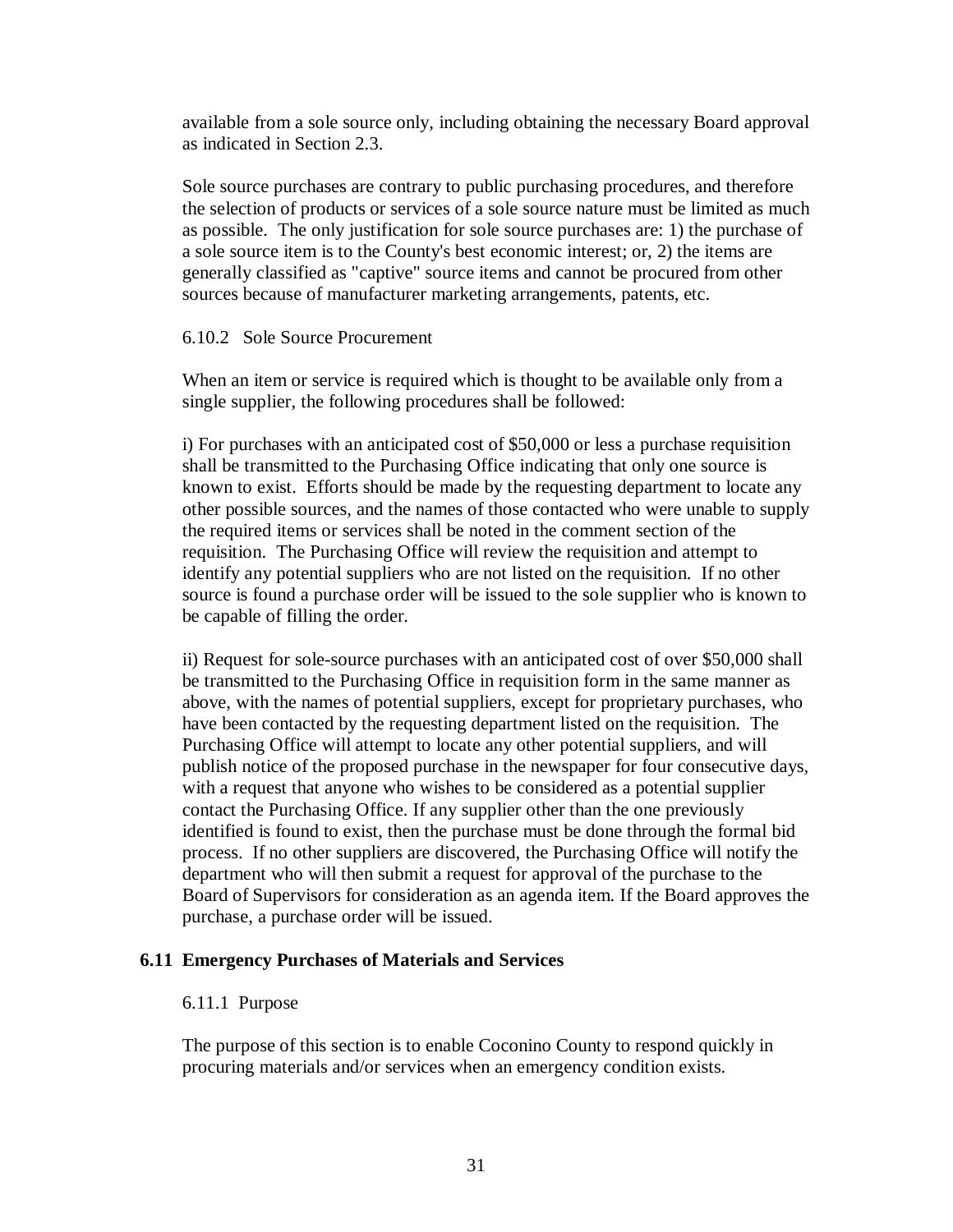available from a sole source only, including obtaining the necessary Board approval as indicated in Section 2.3.

Sole source purchases are contrary to public purchasing procedures, and therefore the selection of products or services of a sole source nature must be limited as much as possible. The only justification for sole source purchases are: 1) the purchase of a sole source item is to the County's best economic interest; or, 2) the items are generally classified as "captive" source items and cannot be procured from other sources because of manufacturer marketing arrangements, patents, etc.

#### 6.10.2 Sole Source Procurement

When an item or service is required which is thought to be available only from a single supplier, the following procedures shall be followed:

i) For purchases with an anticipated cost of \$50,000 or less a purchase requisition shall be transmitted to the Purchasing Office indicating that only one source is known to exist. Efforts should be made by the requesting department to locate any other possible sources, and the names of those contacted who were unable to supply the required items or services shall be noted in the comment section of the requisition. The Purchasing Office will review the requisition and attempt to identify any potential suppliers who are not listed on the requisition. If no other source is found a purchase order will be issued to the sole supplier who is known to be capable of filling the order.

ii) Request for sole-source purchases with an anticipated cost of over \$50,000 shall be transmitted to the Purchasing Office in requisition form in the same manner as above, with the names of potential suppliers, except for proprietary purchases, who have been contacted by the requesting department listed on the requisition. The Purchasing Office will attempt to locate any other potential suppliers, and will publish notice of the proposed purchase in the newspaper for four consecutive days, with a request that anyone who wishes to be considered as a potential supplier contact the Purchasing Office. If any supplier other than the one previously identified is found to exist, then the purchase must be done through the formal bid process. If no other suppliers are discovered, the Purchasing Office will notify the department who will then submit a request for approval of the purchase to the Board of Supervisors for consideration as an agenda item. If the Board approves the purchase, a purchase order will be issued.

#### **6.11 Emergency Purchases of Materials and Services**

#### 6.11.1 Purpose

The purpose of this section is to enable Coconino County to respond quickly in procuring materials and/or services when an emergency condition exists.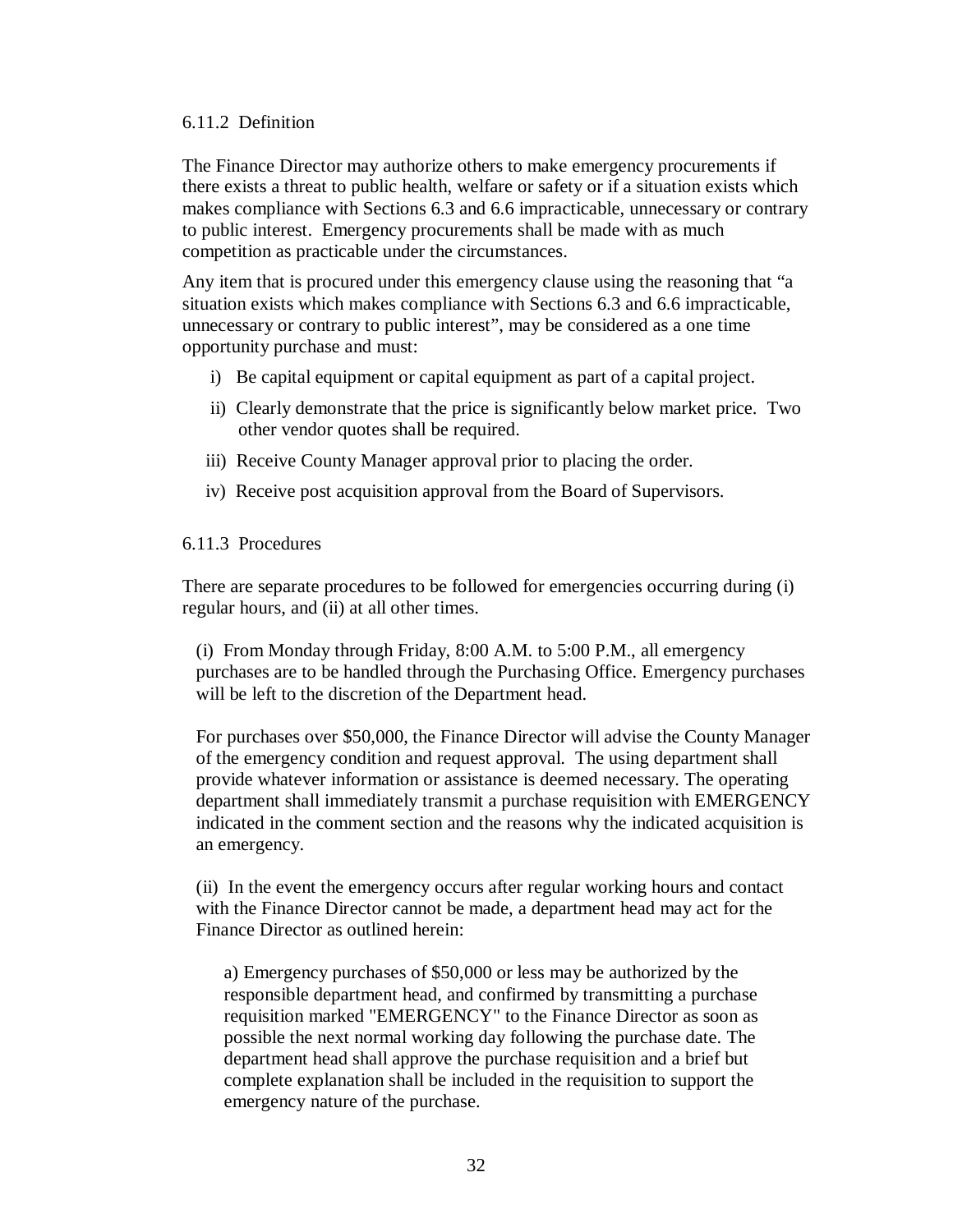#### 6.11.2 Definition

The Finance Director may authorize others to make emergency procurements if there exists a threat to public health, welfare or safety or if a situation exists which makes compliance with Sections 6.3 and 6.6 impracticable, unnecessary or contrary to public interest. Emergency procurements shall be made with as much competition as practicable under the circumstances.

Any item that is procured under this emergency clause using the reasoning that "a situation exists which makes compliance with Sections 6.3 and 6.6 impracticable, unnecessary or contrary to public interest", may be considered as a one time opportunity purchase and must:

- i) Be capital equipment or capital equipment as part of a capital project.
- ii) Clearly demonstrate that the price is significantly below market price. Two other vendor quotes shall be required.
- iii) Receive County Manager approval prior to placing the order.
- iv) Receive post acquisition approval from the Board of Supervisors.

#### 6.11.3 Procedures

There are separate procedures to be followed for emergencies occurring during (i) regular hours, and (ii) at all other times.

(i) From Monday through Friday, 8:00 A.M. to 5:00 P.M., all emergency purchases are to be handled through the Purchasing Office. Emergency purchases will be left to the discretion of the Department head.

For purchases over \$50,000, the Finance Director will advise the County Manager of the emergency condition and request approval. The using department shall provide whatever information or assistance is deemed necessary. The operating department shall immediately transmit a purchase requisition with EMERGENCY indicated in the comment section and the reasons why the indicated acquisition is an emergency.

(ii) In the event the emergency occurs after regular working hours and contact with the Finance Director cannot be made, a department head may act for the Finance Director as outlined herein:

a) Emergency purchases of \$50,000 or less may be authorized by the responsible department head, and confirmed by transmitting a purchase requisition marked "EMERGENCY" to the Finance Director as soon as possible the next normal working day following the purchase date. The department head shall approve the purchase requisition and a brief but complete explanation shall be included in the requisition to support the emergency nature of the purchase.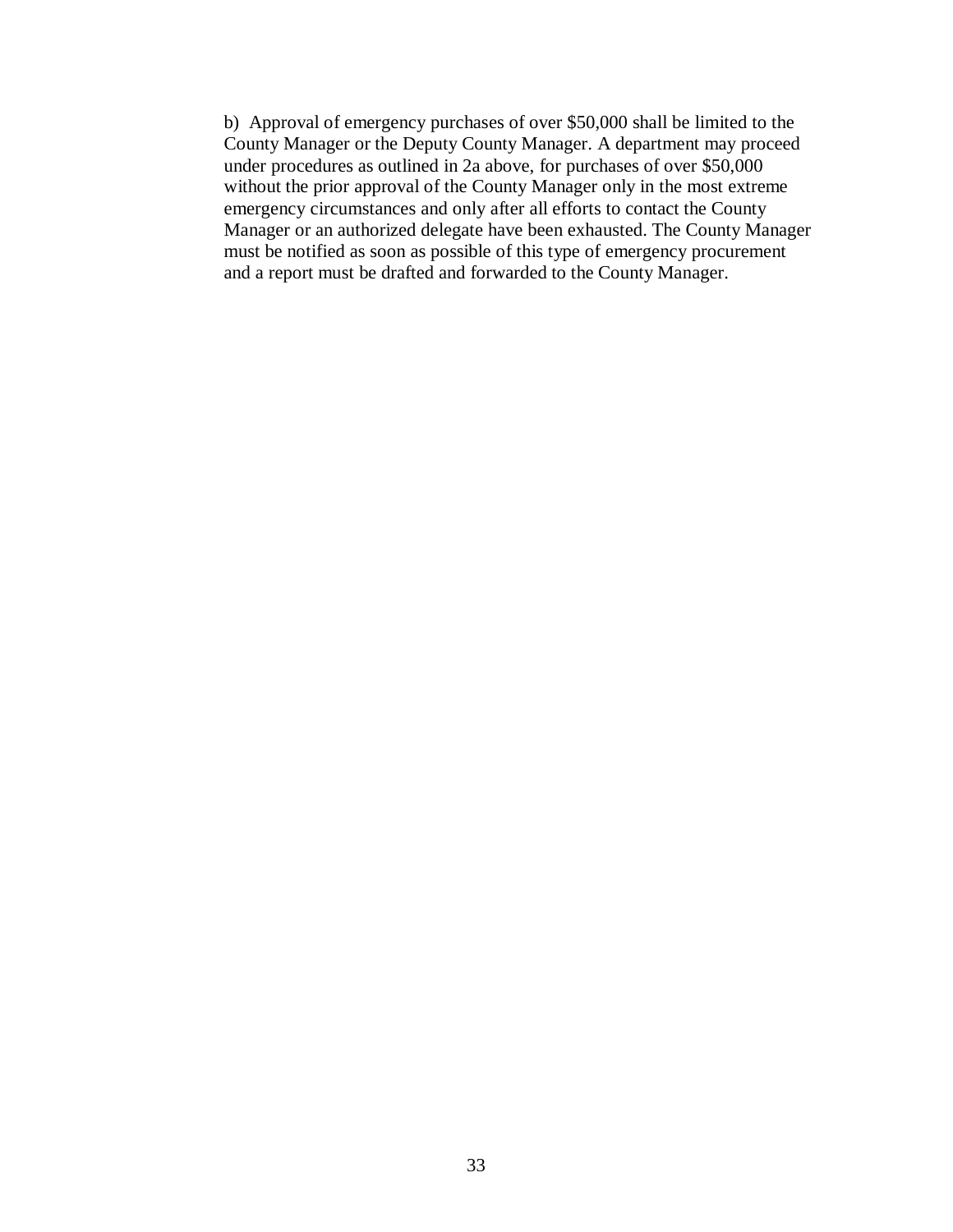b) Approval of emergency purchases of over \$50,000 shall be limited to the County Manager or the Deputy County Manager. A department may proceed under procedures as outlined in 2a above, for purchases of over \$50,000 without the prior approval of the County Manager only in the most extreme emergency circumstances and only after all efforts to contact the County Manager or an authorized delegate have been exhausted. The County Manager must be notified as soon as possible of this type of emergency procurement and a report must be drafted and forwarded to the County Manager.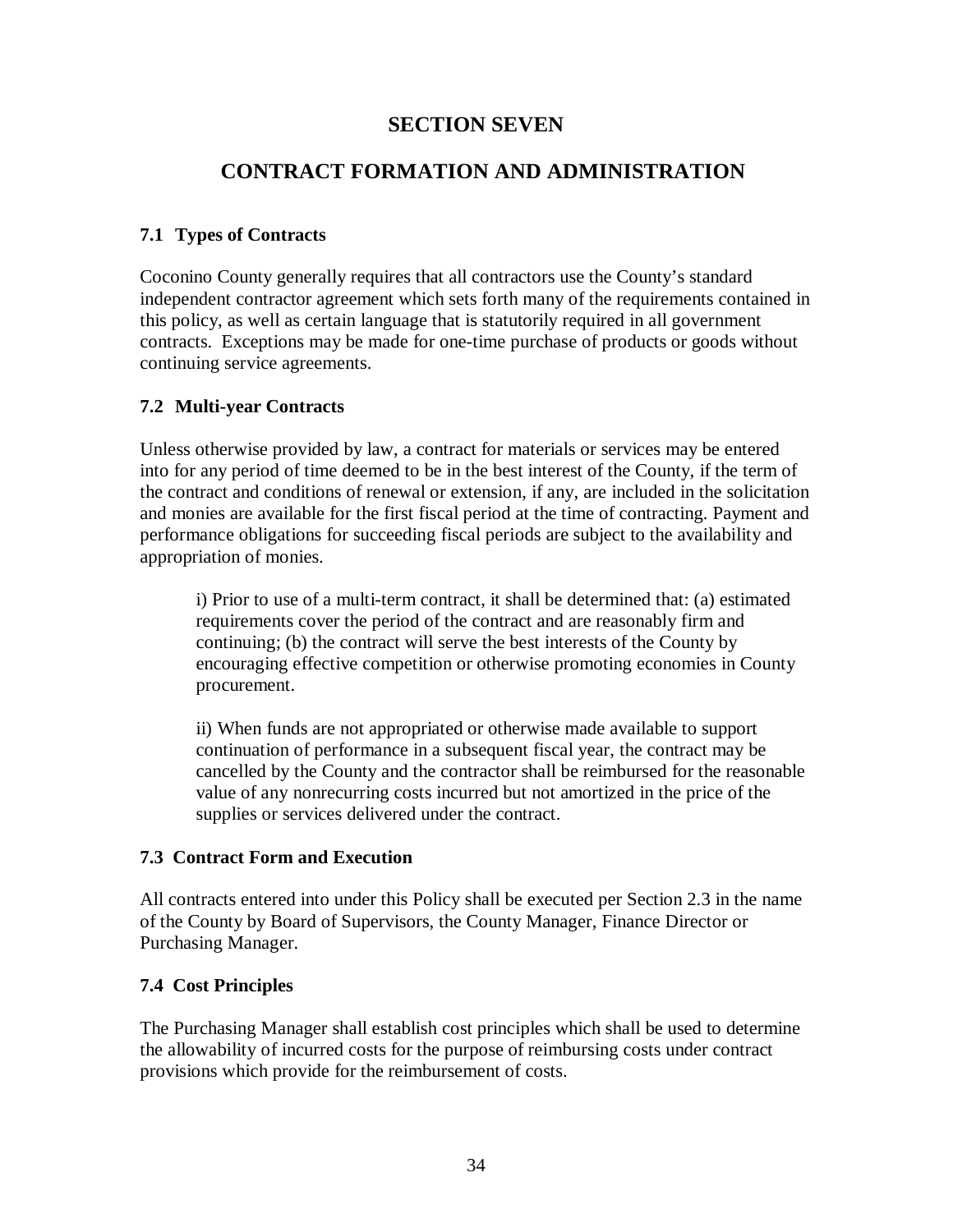### **SECTION SEVEN**

### **CONTRACT FORMATION AND ADMINISTRATION**

#### **7.1 Types of Contracts**

Coconino County generally requires that all contractors use the County's standard independent contractor agreement which sets forth many of the requirements contained in this policy, as well as certain language that is statutorily required in all government contracts. Exceptions may be made for one-time purchase of products or goods without continuing service agreements.

#### **7.2 Multi-year Contracts**

Unless otherwise provided by law, a contract for materials or services may be entered into for any period of time deemed to be in the best interest of the County, if the term of the contract and conditions of renewal or extension, if any, are included in the solicitation and monies are available for the first fiscal period at the time of contracting. Payment and performance obligations for succeeding fiscal periods are subject to the availability and appropriation of monies.

i) Prior to use of a multi-term contract, it shall be determined that: (a) estimated requirements cover the period of the contract and are reasonably firm and continuing; (b) the contract will serve the best interests of the County by encouraging effective competition or otherwise promoting economies in County procurement.

ii) When funds are not appropriated or otherwise made available to support continuation of performance in a subsequent fiscal year, the contract may be cancelled by the County and the contractor shall be reimbursed for the reasonable value of any nonrecurring costs incurred but not amortized in the price of the supplies or services delivered under the contract.

#### **7.3 Contract Form and Execution**

All contracts entered into under this Policy shall be executed per Section 2.3 in the name of the County by Board of Supervisors, the County Manager, Finance Director or Purchasing Manager.

#### **7.4 Cost Principles**

The Purchasing Manager shall establish cost principles which shall be used to determine the allowability of incurred costs for the purpose of reimbursing costs under contract provisions which provide for the reimbursement of costs.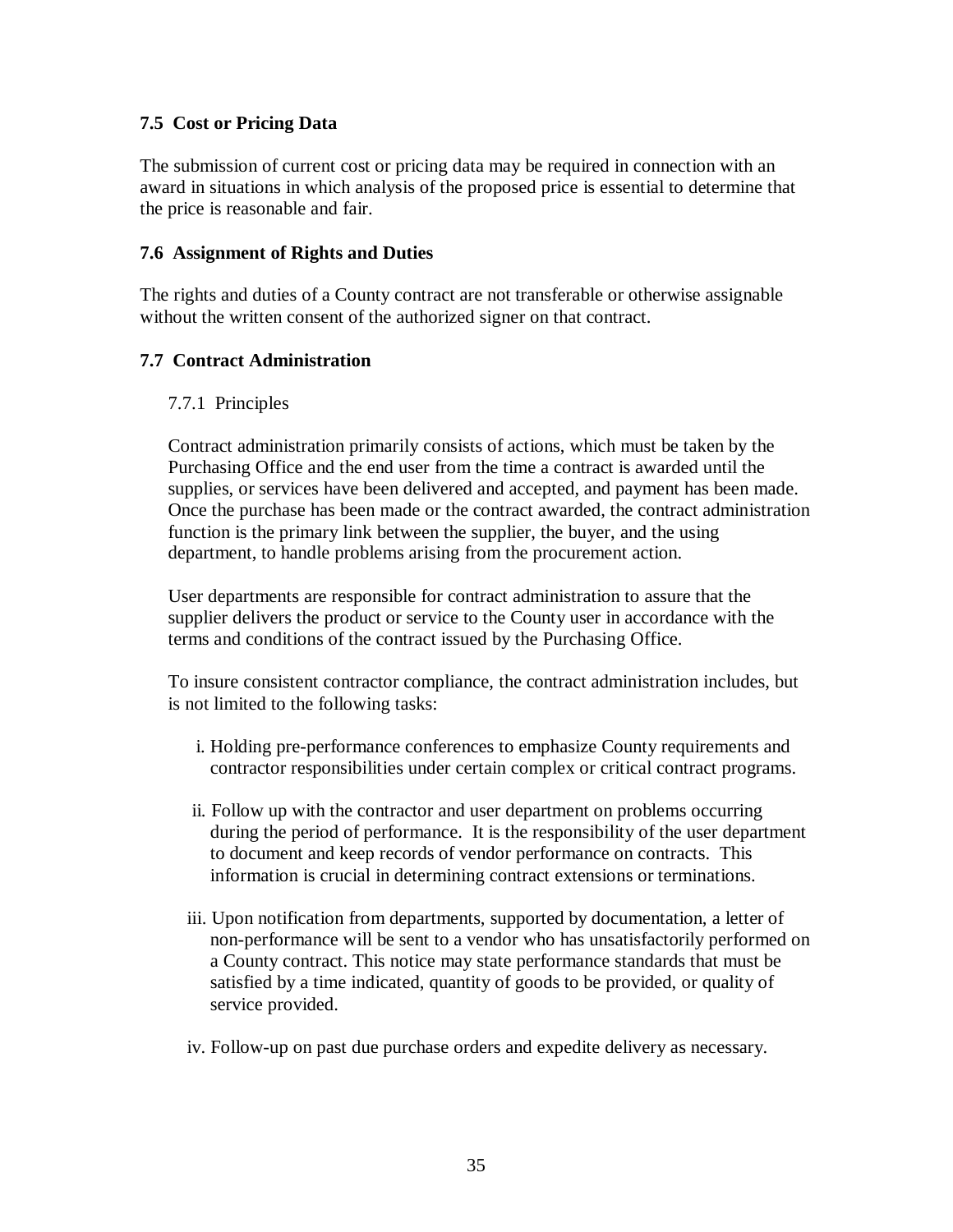#### **7.5 Cost or Pricing Data**

The submission of current cost or pricing data may be required in connection with an award in situations in which analysis of the proposed price is essential to determine that the price is reasonable and fair.

#### **7.6 Assignment of Rights and Duties**

The rights and duties of a County contract are not transferable or otherwise assignable without the written consent of the authorized signer on that contract.

#### **7.7 Contract Administration**

#### 7.7.1 Principles

Contract administration primarily consists of actions, which must be taken by the Purchasing Office and the end user from the time a contract is awarded until the supplies, or services have been delivered and accepted, and payment has been made. Once the purchase has been made or the contract awarded, the contract administration function is the primary link between the supplier, the buyer, and the using department, to handle problems arising from the procurement action.

User departments are responsible for contract administration to assure that the supplier delivers the product or service to the County user in accordance with the terms and conditions of the contract issued by the Purchasing Office.

To insure consistent contractor compliance, the contract administration includes, but is not limited to the following tasks:

- i. Holding pre-performance conferences to emphasize County requirements and contractor responsibilities under certain complex or critical contract programs.
- ii. Follow up with the contractor and user department on problems occurring during the period of performance. It is the responsibility of the user department to document and keep records of vendor performance on contracts. This information is crucial in determining contract extensions or terminations.
- iii. Upon notification from departments, supported by documentation, a letter of non-performance will be sent to a vendor who has unsatisfactorily performed on a County contract. This notice may state performance standards that must be satisfied by a time indicated, quantity of goods to be provided, or quality of service provided.
- iv. Follow-up on past due purchase orders and expedite delivery as necessary.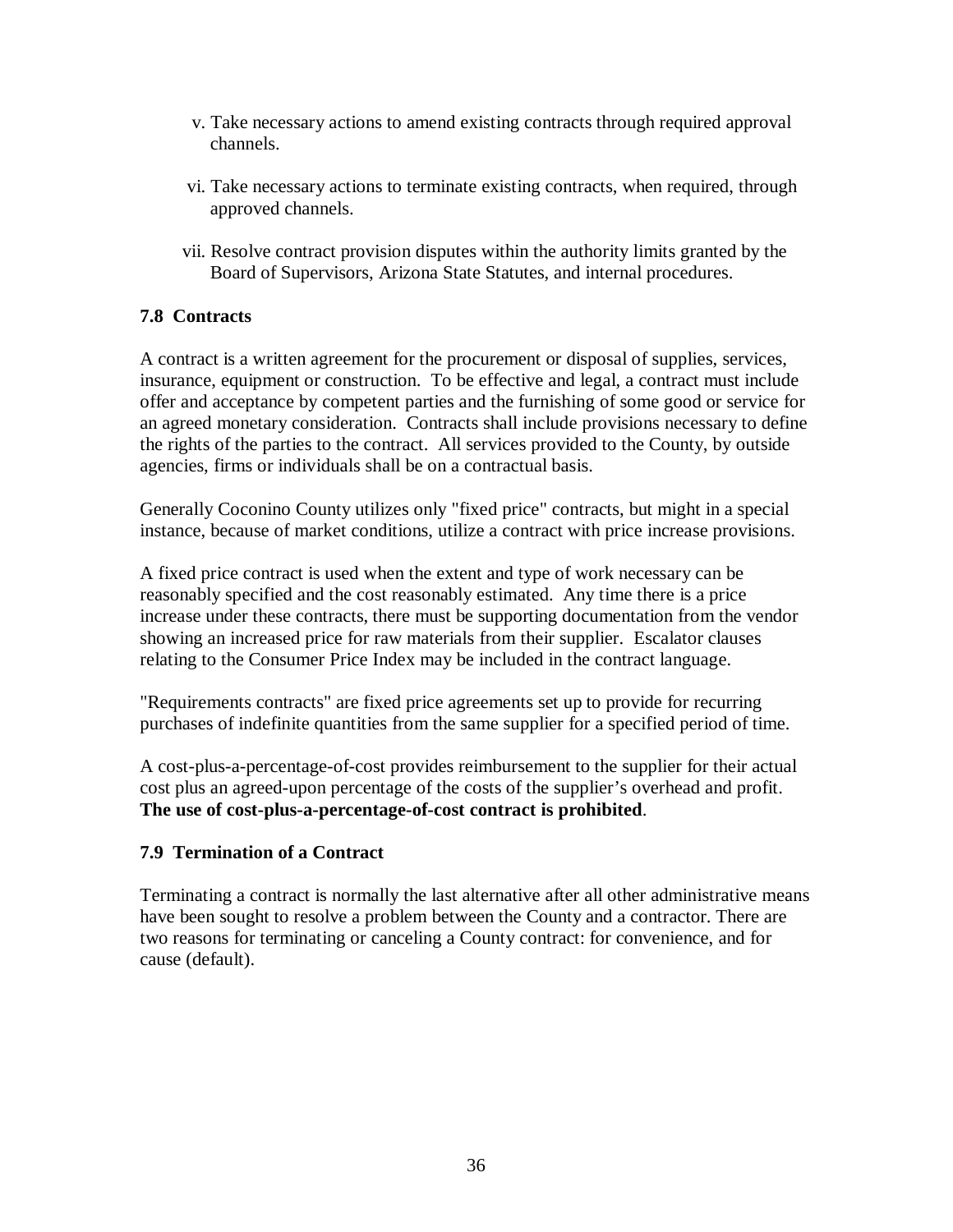- v. Take necessary actions to amend existing contracts through required approval channels.
- vi. Take necessary actions to terminate existing contracts, when required, through approved channels.
- vii. Resolve contract provision disputes within the authority limits granted by the Board of Supervisors, Arizona State Statutes, and internal procedures.

### **7.8 Contracts**

A contract is a written agreement for the procurement or disposal of supplies, services, insurance, equipment or construction. To be effective and legal, a contract must include offer and acceptance by competent parties and the furnishing of some good or service for an agreed monetary consideration. Contracts shall include provisions necessary to define the rights of the parties to the contract. All services provided to the County, by outside agencies, firms or individuals shall be on a contractual basis.

Generally Coconino County utilizes only "fixed price" contracts, but might in a special instance, because of market conditions, utilize a contract with price increase provisions.

A fixed price contract is used when the extent and type of work necessary can be reasonably specified and the cost reasonably estimated. Any time there is a price increase under these contracts, there must be supporting documentation from the vendor showing an increased price for raw materials from their supplier. Escalator clauses relating to the Consumer Price Index may be included in the contract language.

"Requirements contracts" are fixed price agreements set up to provide for recurring purchases of indefinite quantities from the same supplier for a specified period of time.

A cost-plus-a-percentage-of-cost provides reimbursement to the supplier for their actual cost plus an agreed-upon percentage of the costs of the supplier's overhead and profit. **The use of cost-plus-a-percentage-of-cost contract is prohibited**.

#### **7.9 Termination of a Contract**

Terminating a contract is normally the last alternative after all other administrative means have been sought to resolve a problem between the County and a contractor. There are two reasons for terminating or canceling a County contract: for convenience, and for cause (default).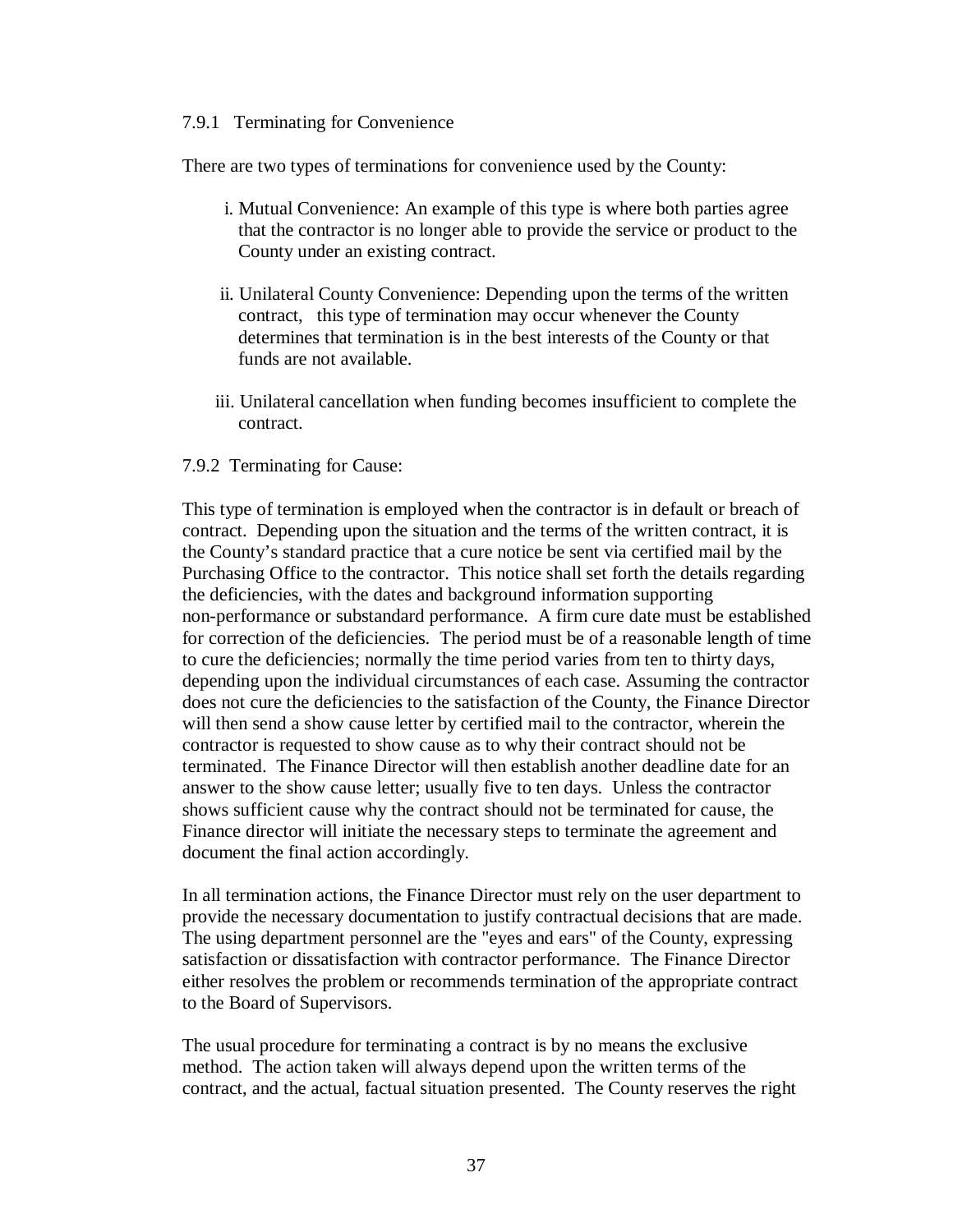#### 7.9.1 Terminating for Convenience

There are two types of terminations for convenience used by the County:

- i. Mutual Convenience: An example of this type is where both parties agree that the contractor is no longer able to provide the service or product to the County under an existing contract.
- ii. Unilateral County Convenience: Depending upon the terms of the written contract, this type of termination may occur whenever the County determines that termination is in the best interests of the County or that funds are not available.
- iii. Unilateral cancellation when funding becomes insufficient to complete the contract.

#### 7.9.2 Terminating for Cause:

This type of termination is employed when the contractor is in default or breach of contract. Depending upon the situation and the terms of the written contract, it is the County's standard practice that a cure notice be sent via certified mail by the Purchasing Office to the contractor. This notice shall set forth the details regarding the deficiencies, with the dates and background information supporting non-performance or substandard performance. A firm cure date must be established for correction of the deficiencies. The period must be of a reasonable length of time to cure the deficiencies; normally the time period varies from ten to thirty days, depending upon the individual circumstances of each case. Assuming the contractor does not cure the deficiencies to the satisfaction of the County, the Finance Director will then send a show cause letter by certified mail to the contractor, wherein the contractor is requested to show cause as to why their contract should not be terminated. The Finance Director will then establish another deadline date for an answer to the show cause letter; usually five to ten days. Unless the contractor shows sufficient cause why the contract should not be terminated for cause, the Finance director will initiate the necessary steps to terminate the agreement and document the final action accordingly.

In all termination actions, the Finance Director must rely on the user department to provide the necessary documentation to justify contractual decisions that are made. The using department personnel are the "eyes and ears" of the County, expressing satisfaction or dissatisfaction with contractor performance. The Finance Director either resolves the problem or recommends termination of the appropriate contract to the Board of Supervisors.

The usual procedure for terminating a contract is by no means the exclusive method. The action taken will always depend upon the written terms of the contract, and the actual, factual situation presented. The County reserves the right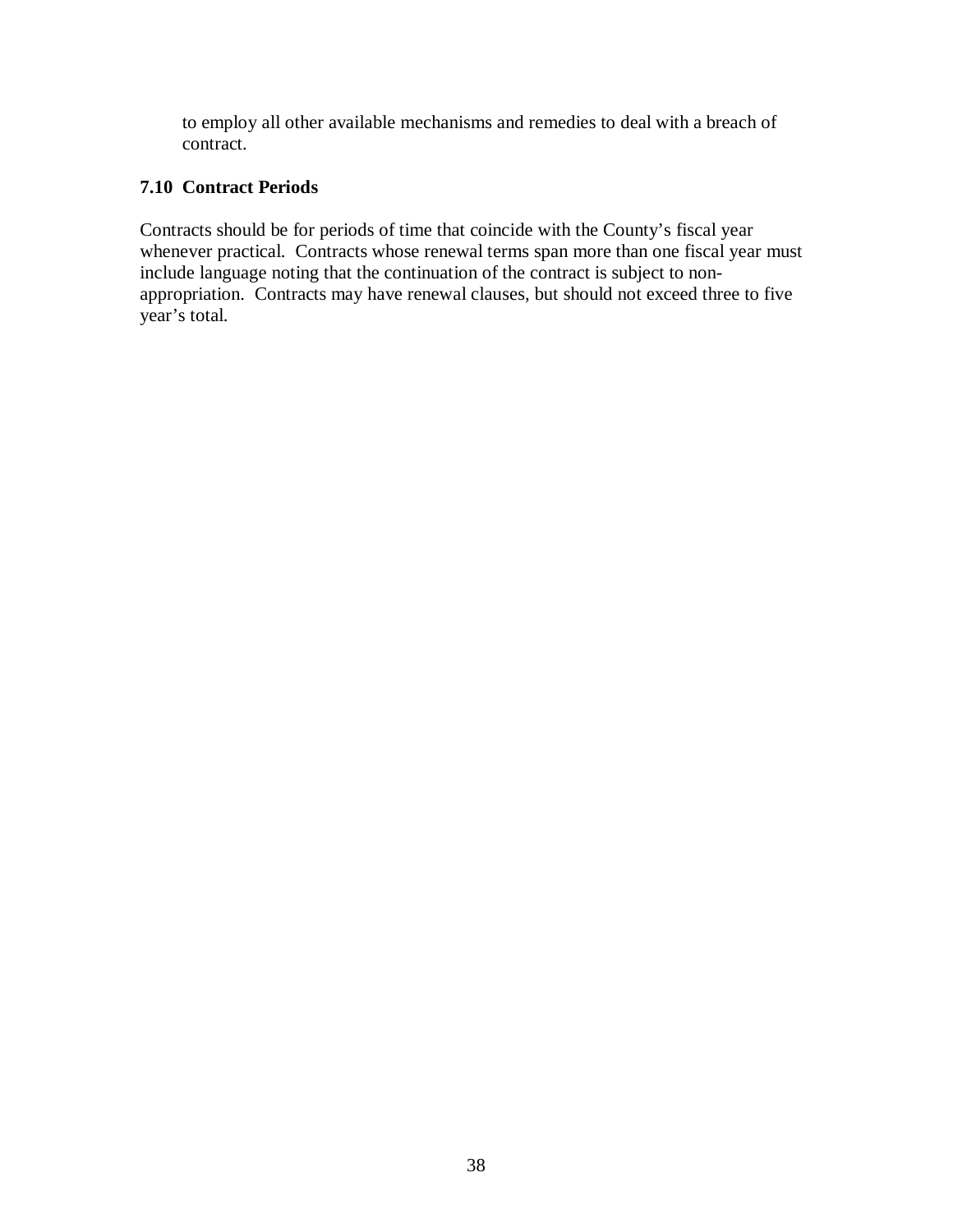to employ all other available mechanisms and remedies to deal with a breach of contract.

#### **7.10 Contract Periods**

Contracts should be for periods of time that coincide with the County's fiscal year whenever practical. Contracts whose renewal terms span more than one fiscal year must include language noting that the continuation of the contract is subject to nonappropriation. Contracts may have renewal clauses, but should not exceed three to five year's total.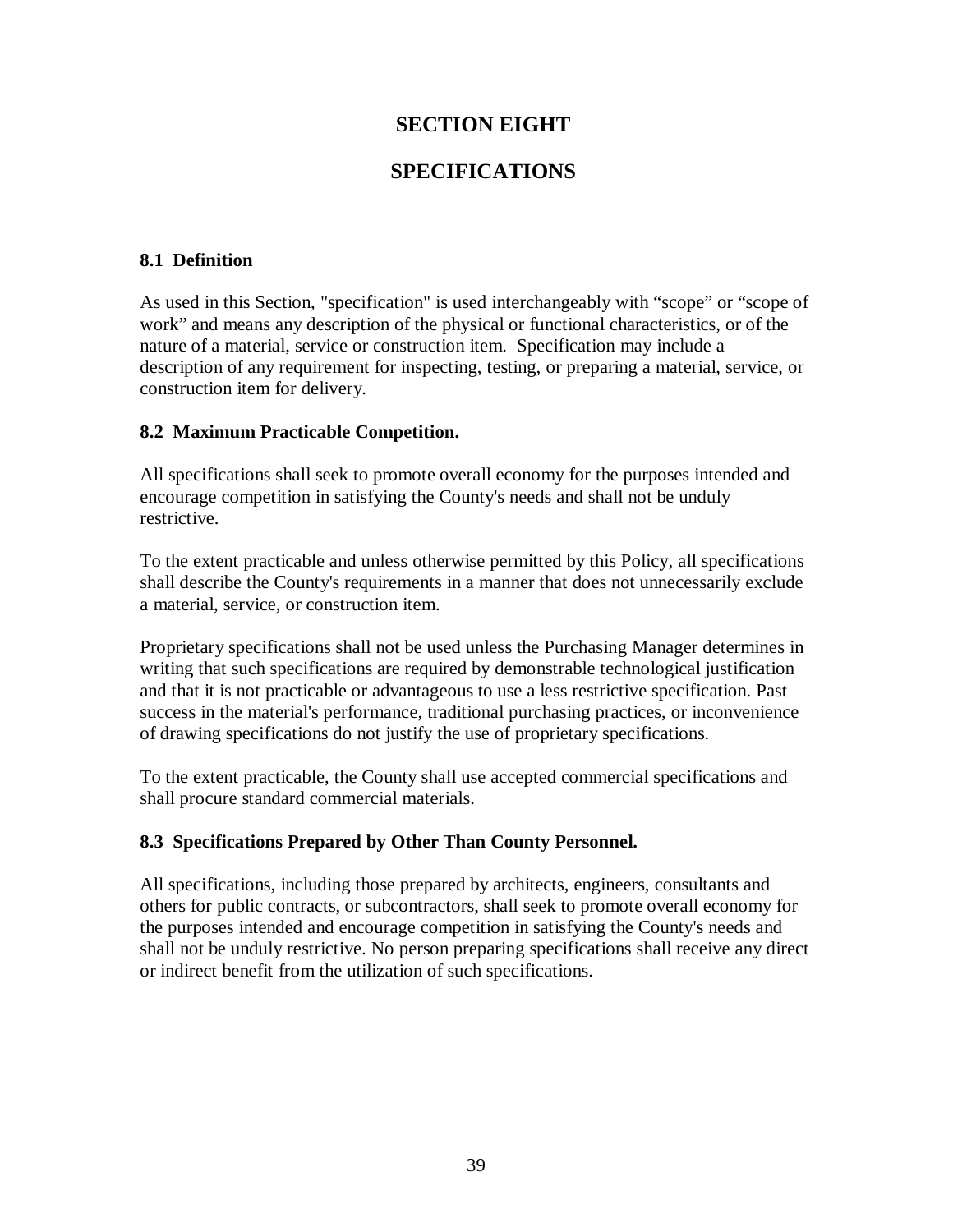### **SECTION EIGHT**

### **SPECIFICATIONS**

#### **8.1 Definition**

As used in this Section, "specification" is used interchangeably with "scope" or "scope of work" and means any description of the physical or functional characteristics, or of the nature of a material, service or construction item. Specification may include a description of any requirement for inspecting, testing, or preparing a material, service, or construction item for delivery.

#### **8.2 Maximum Practicable Competition.**

All specifications shall seek to promote overall economy for the purposes intended and encourage competition in satisfying the County's needs and shall not be unduly restrictive.

To the extent practicable and unless otherwise permitted by this Policy, all specifications shall describe the County's requirements in a manner that does not unnecessarily exclude a material, service, or construction item.

Proprietary specifications shall not be used unless the Purchasing Manager determines in writing that such specifications are required by demonstrable technological justification and that it is not practicable or advantageous to use a less restrictive specification. Past success in the material's performance, traditional purchasing practices, or inconvenience of drawing specifications do not justify the use of proprietary specifications.

To the extent practicable, the County shall use accepted commercial specifications and shall procure standard commercial materials.

#### **8.3 Specifications Prepared by Other Than County Personnel.**

All specifications, including those prepared by architects, engineers, consultants and others for public contracts, or subcontractors, shall seek to promote overall economy for the purposes intended and encourage competition in satisfying the County's needs and shall not be unduly restrictive. No person preparing specifications shall receive any direct or indirect benefit from the utilization of such specifications.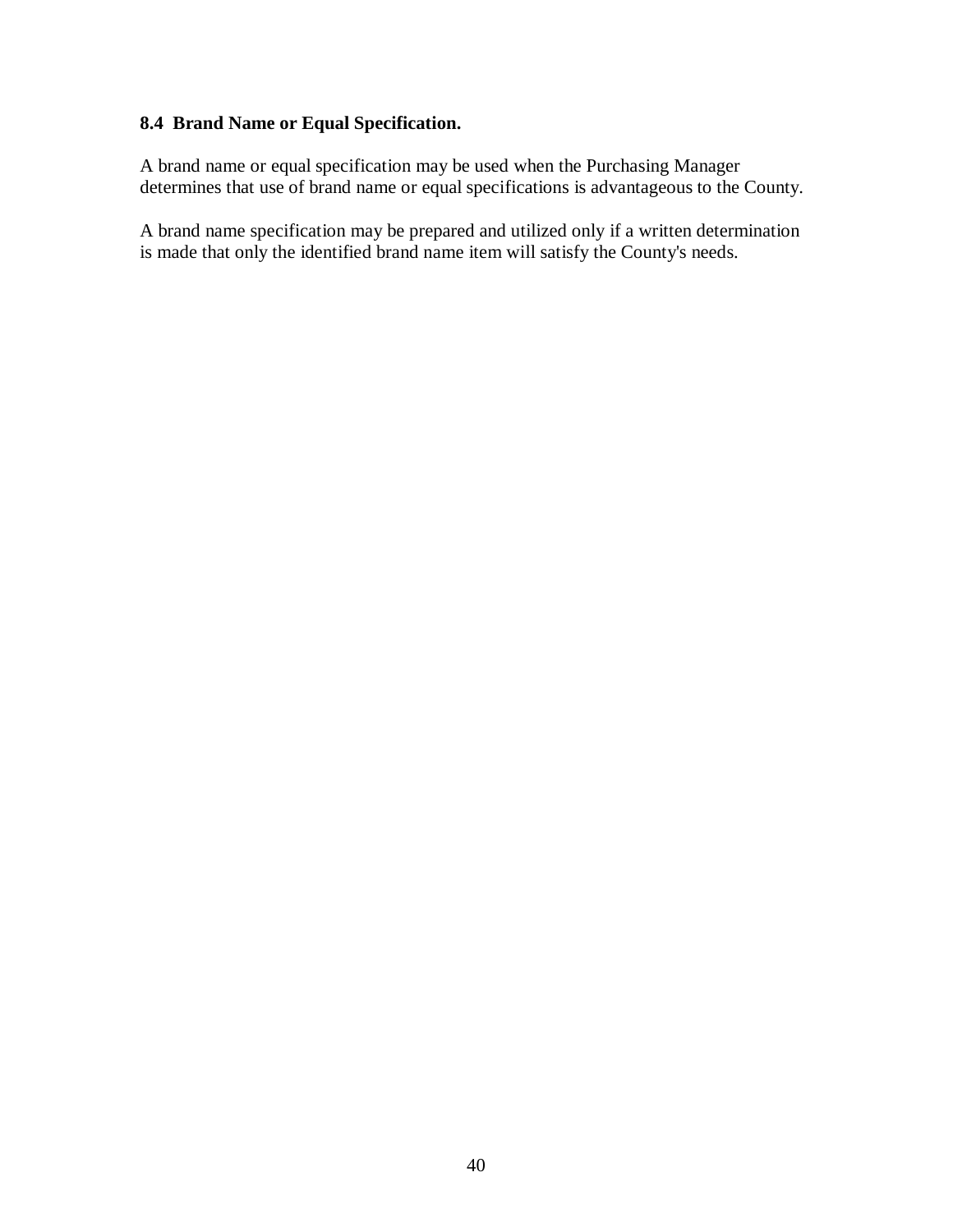### **8.4 Brand Name or Equal Specification.**

A brand name or equal specification may be used when the Purchasing Manager determines that use of brand name or equal specifications is advantageous to the County.

A brand name specification may be prepared and utilized only if a written determination is made that only the identified brand name item will satisfy the County's needs.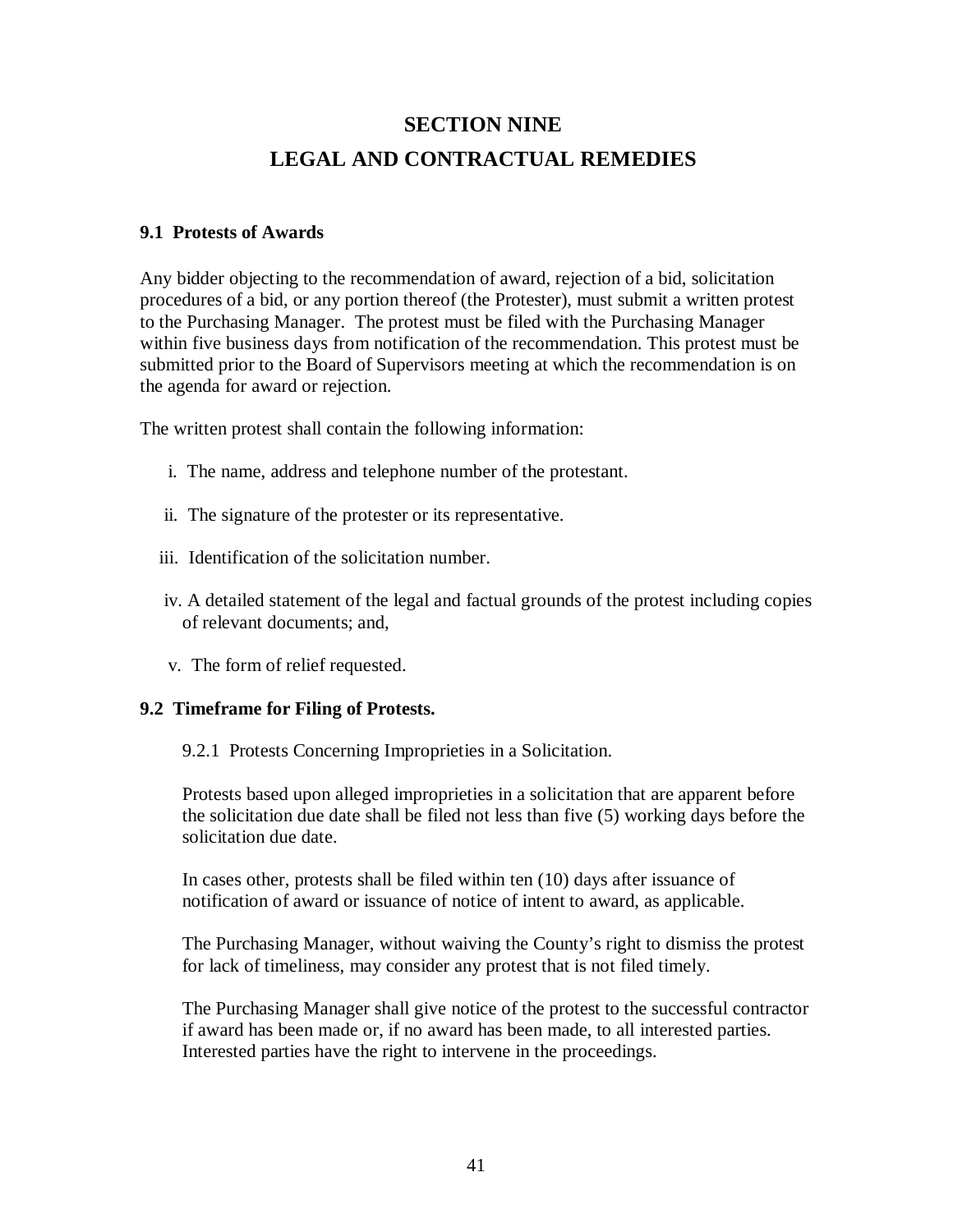## **SECTION NINE LEGAL AND CONTRACTUAL REMEDIES**

#### **9.1 Protests of Awards**

Any bidder objecting to the recommendation of award, rejection of a bid, solicitation procedures of a bid, or any portion thereof (the Protester), must submit a written protest to the Purchasing Manager. The protest must be filed with the Purchasing Manager within five business days from notification of the recommendation. This protest must be submitted prior to the Board of Supervisors meeting at which the recommendation is on the agenda for award or rejection.

The written protest shall contain the following information:

- i. The name, address and telephone number of the protestant.
- ii. The signature of the protester or its representative.
- iii. Identification of the solicitation number.
- iv. A detailed statement of the legal and factual grounds of the protest including copies of relevant documents; and,
- v. The form of relief requested.

#### **9.2 Timeframe for Filing of Protests.**

9.2.1 Protests Concerning Improprieties in a Solicitation.

Protests based upon alleged improprieties in a solicitation that are apparent before the solicitation due date shall be filed not less than five (5) working days before the solicitation due date.

In cases other, protests shall be filed within ten (10) days after issuance of notification of award or issuance of notice of intent to award, as applicable.

The Purchasing Manager, without waiving the County's right to dismiss the protest for lack of timeliness, may consider any protest that is not filed timely.

The Purchasing Manager shall give notice of the protest to the successful contractor if award has been made or, if no award has been made, to all interested parties. Interested parties have the right to intervene in the proceedings.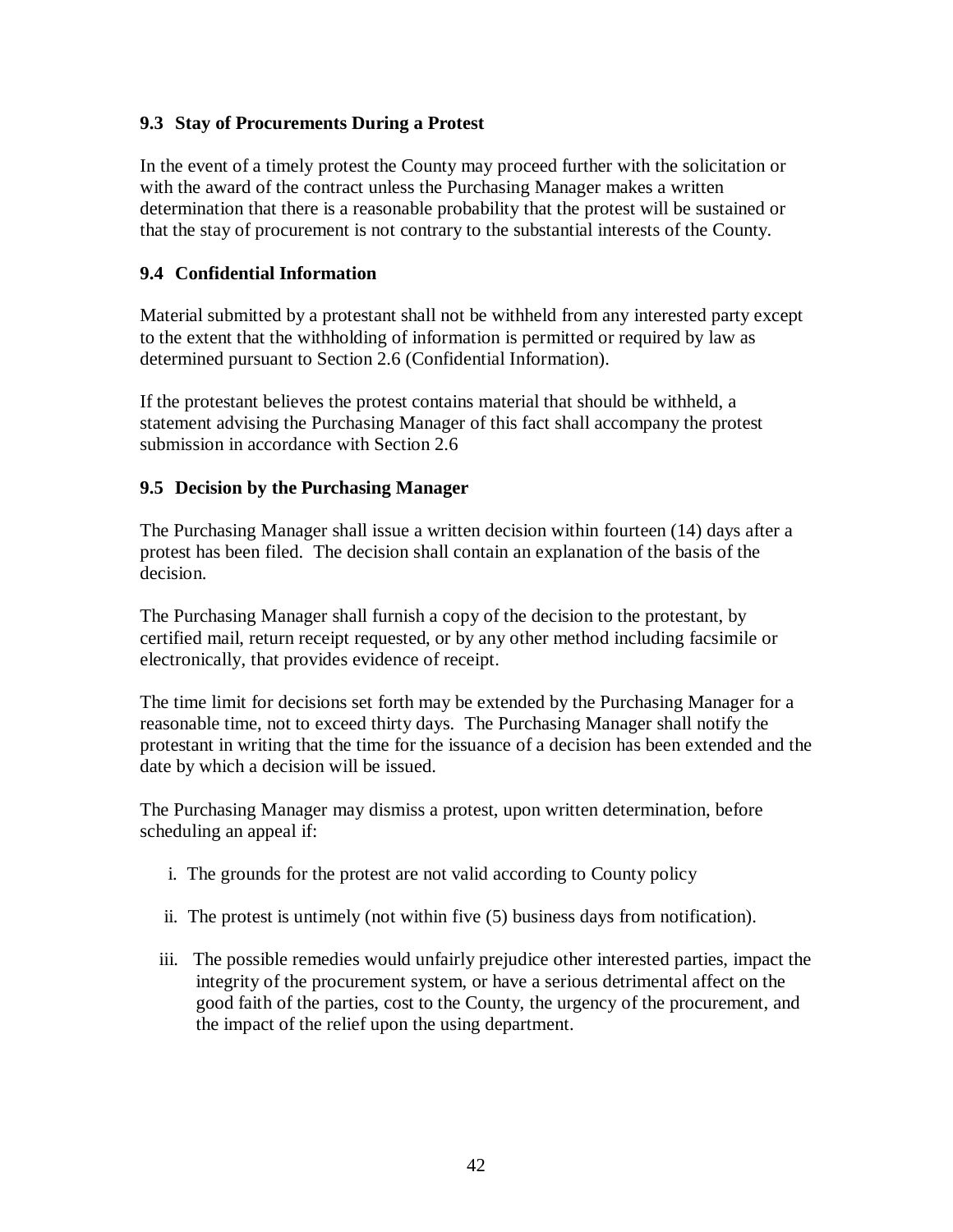#### **9.3 Stay of Procurements During a Protest**

In the event of a timely protest the County may proceed further with the solicitation or with the award of the contract unless the Purchasing Manager makes a written determination that there is a reasonable probability that the protest will be sustained or that the stay of procurement is not contrary to the substantial interests of the County.

#### **9.4 Confidential Information**

Material submitted by a protestant shall not be withheld from any interested party except to the extent that the withholding of information is permitted or required by law as determined pursuant to Section 2.6 (Confidential Information).

If the protestant believes the protest contains material that should be withheld, a statement advising the Purchasing Manager of this fact shall accompany the protest submission in accordance with Section 2.6

#### **9.5 Decision by the Purchasing Manager**

The Purchasing Manager shall issue a written decision within fourteen (14) days after a protest has been filed. The decision shall contain an explanation of the basis of the decision.

The Purchasing Manager shall furnish a copy of the decision to the protestant, by certified mail, return receipt requested, or by any other method including facsimile or electronically, that provides evidence of receipt.

The time limit for decisions set forth may be extended by the Purchasing Manager for a reasonable time, not to exceed thirty days. The Purchasing Manager shall notify the protestant in writing that the time for the issuance of a decision has been extended and the date by which a decision will be issued.

The Purchasing Manager may dismiss a protest, upon written determination, before scheduling an appeal if:

- i. The grounds for the protest are not valid according to County policy
- ii. The protest is untimely (not within five (5) business days from notification).
- iii. The possible remedies would unfairly prejudice other interested parties, impact the integrity of the procurement system, or have a serious detrimental affect on the good faith of the parties, cost to the County, the urgency of the procurement, and the impact of the relief upon the using department.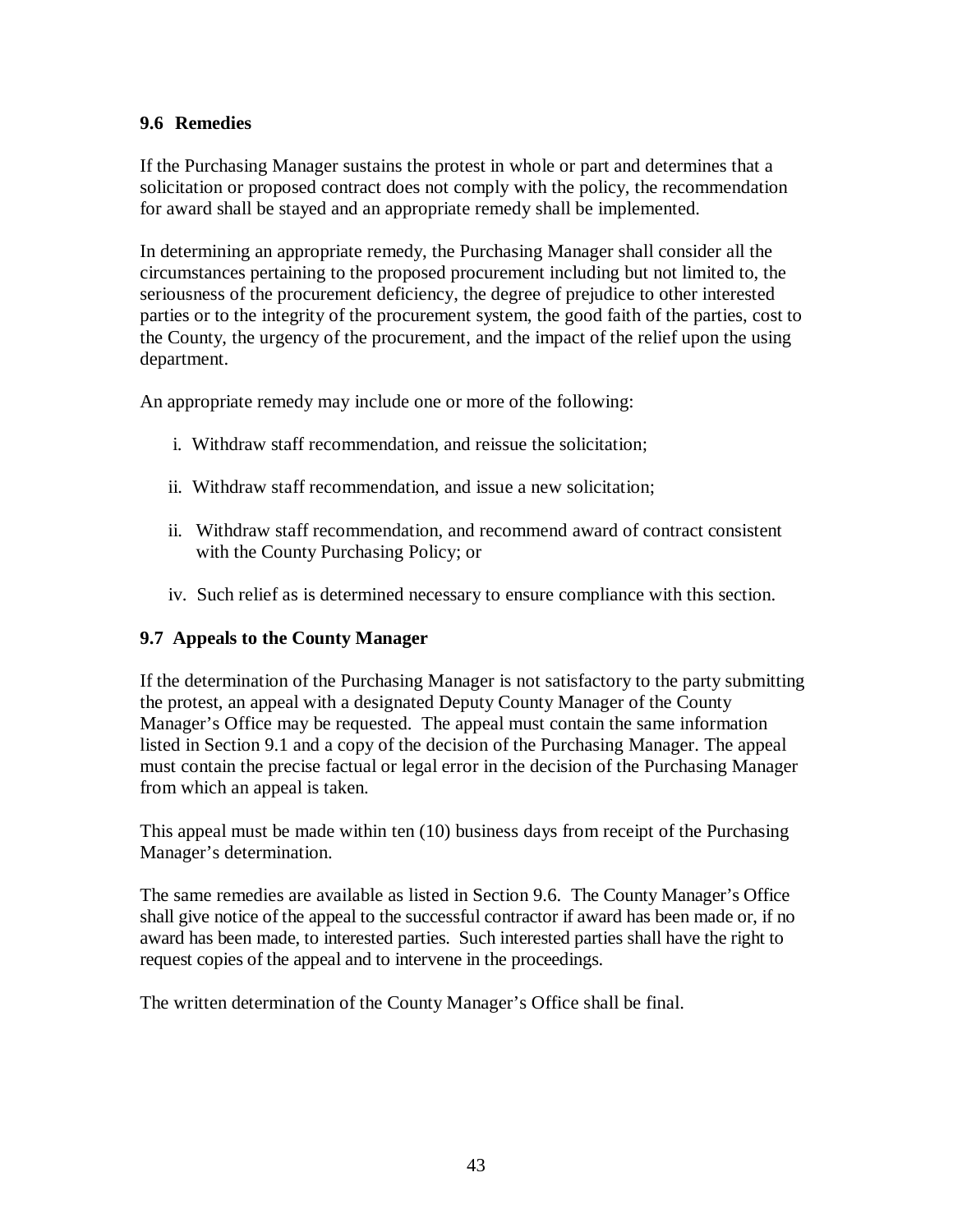#### **9.6 Remedies**

If the Purchasing Manager sustains the protest in whole or part and determines that a solicitation or proposed contract does not comply with the policy, the recommendation for award shall be stayed and an appropriate remedy shall be implemented.

In determining an appropriate remedy, the Purchasing Manager shall consider all the circumstances pertaining to the proposed procurement including but not limited to, the seriousness of the procurement deficiency, the degree of prejudice to other interested parties or to the integrity of the procurement system, the good faith of the parties, cost to the County, the urgency of the procurement, and the impact of the relief upon the using department.

An appropriate remedy may include one or more of the following:

- i. Withdraw staff recommendation, and reissue the solicitation;
- ii. Withdraw staff recommendation, and issue a new solicitation;
- ii. Withdraw staff recommendation, and recommend award of contract consistent with the County Purchasing Policy; or
- iv. Such relief as is determined necessary to ensure compliance with this section.

### **9.7 Appeals to the County Manager**

If the determination of the Purchasing Manager is not satisfactory to the party submitting the protest, an appeal with a designated Deputy County Manager of the County Manager's Office may be requested. The appeal must contain the same information listed in Section 9.1 and a copy of the decision of the Purchasing Manager. The appeal must contain the precise factual or legal error in the decision of the Purchasing Manager from which an appeal is taken.

This appeal must be made within ten (10) business days from receipt of the Purchasing Manager's determination.

The same remedies are available as listed in Section 9.6. The County Manager's Office shall give notice of the appeal to the successful contractor if award has been made or, if no award has been made, to interested parties. Such interested parties shall have the right to request copies of the appeal and to intervene in the proceedings.

The written determination of the County Manager's Office shall be final.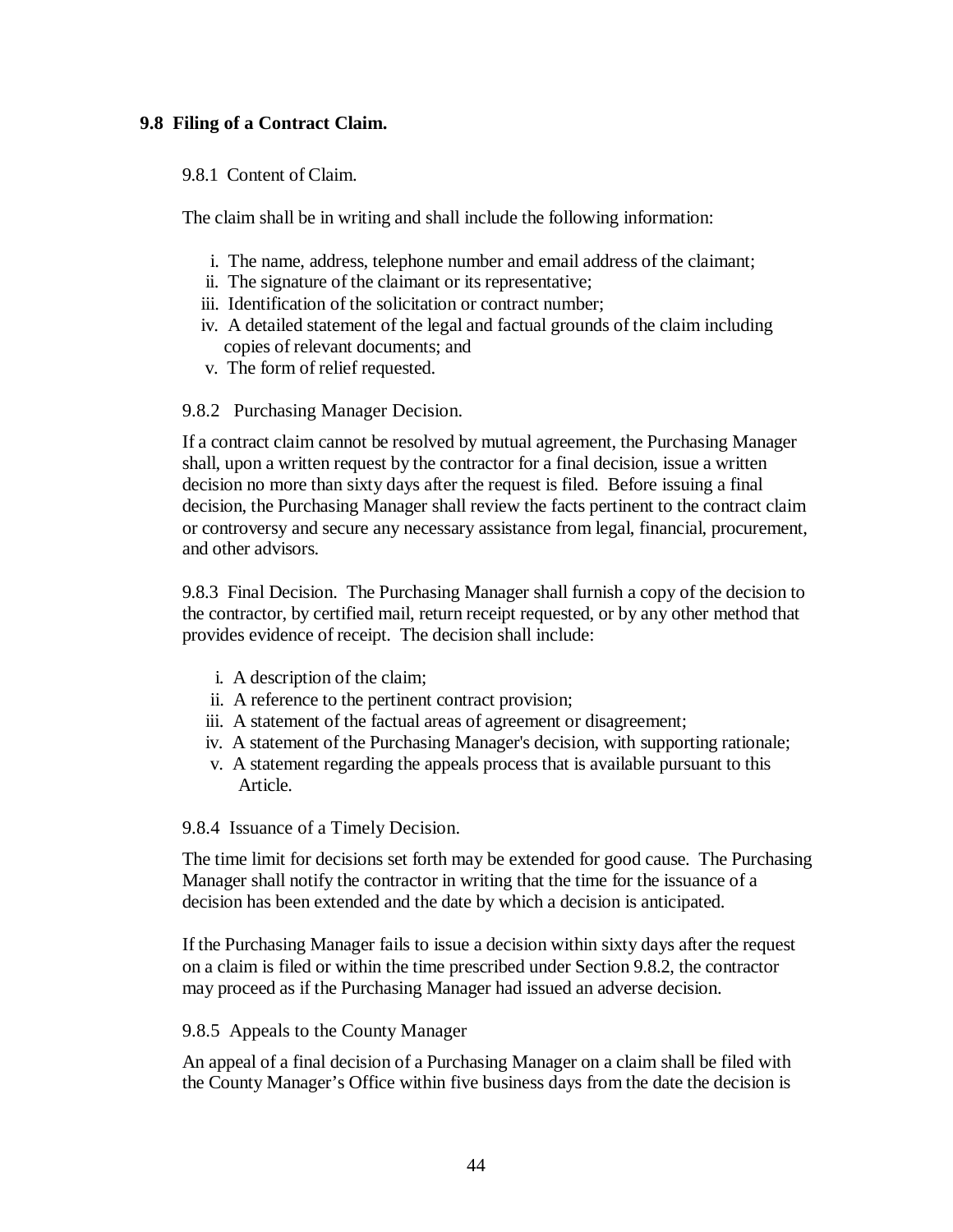#### **9.8 Filing of a Contract Claim.**

9.8.1 Content of Claim.

The claim shall be in writing and shall include the following information:

- i. The name, address, telephone number and email address of the claimant;
- ii. The signature of the claimant or its representative;
- iii. Identification of the solicitation or contract number;
- iv. A detailed statement of the legal and factual grounds of the claim including copies of relevant documents; and
- v. The form of relief requested.

#### 9.8.2 Purchasing Manager Decision.

If a contract claim cannot be resolved by mutual agreement, the Purchasing Manager shall, upon a written request by the contractor for a final decision, issue a written decision no more than sixty days after the request is filed. Before issuing a final decision, the Purchasing Manager shall review the facts pertinent to the contract claim or controversy and secure any necessary assistance from legal, financial, procurement, and other advisors.

9.8.3 Final Decision. The Purchasing Manager shall furnish a copy of the decision to the contractor, by certified mail, return receipt requested, or by any other method that provides evidence of receipt. The decision shall include:

- i. A description of the claim;
- ii. A reference to the pertinent contract provision;
- iii. A statement of the factual areas of agreement or disagreement;
- iv. A statement of the Purchasing Manager's decision, with supporting rationale;
- v. A statement regarding the appeals process that is available pursuant to this Article.

9.8.4 Issuance of a Timely Decision.

The time limit for decisions set forth may be extended for good cause. The Purchasing Manager shall notify the contractor in writing that the time for the issuance of a decision has been extended and the date by which a decision is anticipated.

If the Purchasing Manager fails to issue a decision within sixty days after the request on a claim is filed or within the time prescribed under Section 9.8.2, the contractor may proceed as if the Purchasing Manager had issued an adverse decision.

#### 9.8.5 Appeals to the County Manager

An appeal of a final decision of a Purchasing Manager on a claim shall be filed with the County Manager's Office within five business days from the date the decision is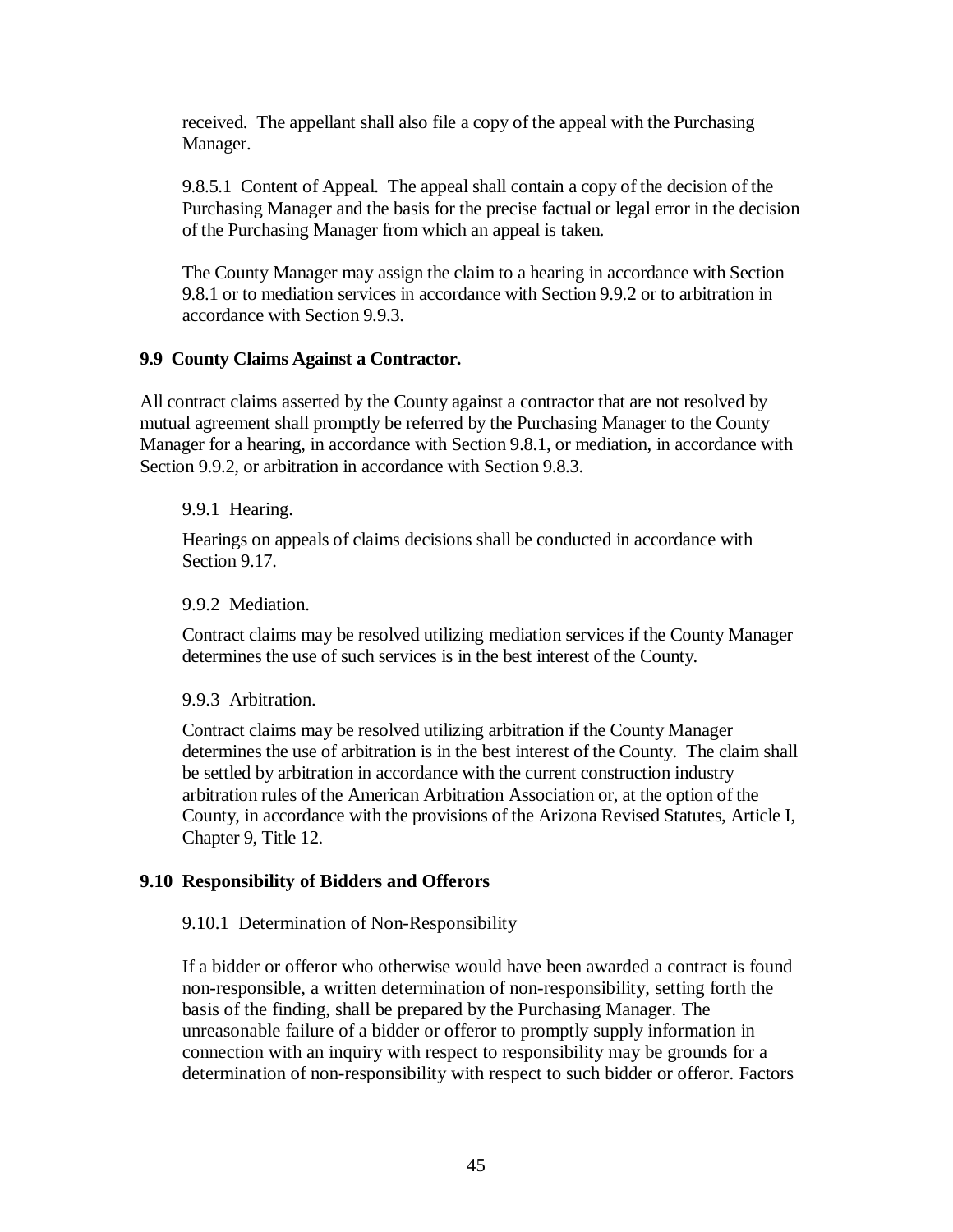received. The appellant shall also file a copy of the appeal with the Purchasing Manager.

9.8.5.1 Content of Appeal. The appeal shall contain a copy of the decision of the Purchasing Manager and the basis for the precise factual or legal error in the decision of the Purchasing Manager from which an appeal is taken.

The County Manager may assign the claim to a hearing in accordance with Section 9.8.1 or to mediation services in accordance with Section 9.9.2 or to arbitration in accordance with Section 9.9.3.

#### **9.9 County Claims Against a Contractor.**

All contract claims asserted by the County against a contractor that are not resolved by mutual agreement shall promptly be referred by the Purchasing Manager to the County Manager for a hearing, in accordance with Section 9.8.1, or mediation, in accordance with Section 9.9.2, or arbitration in accordance with Section 9.8.3.

9.9.1 Hearing.

Hearings on appeals of claims decisions shall be conducted in accordance with Section 9.17.

9.9.2 Mediation.

Contract claims may be resolved utilizing mediation services if the County Manager determines the use of such services is in the best interest of the County.

9.9.3 Arbitration.

Contract claims may be resolved utilizing arbitration if the County Manager determines the use of arbitration is in the best interest of the County. The claim shall be settled by arbitration in accordance with the current construction industry arbitration rules of the American Arbitration Association or, at the option of the County, in accordance with the provisions of the Arizona Revised Statutes, Article I, Chapter 9, Title 12.

#### **9.10 Responsibility of Bidders and Offerors**

9.10.1 Determination of Non-Responsibility

If a bidder or offeror who otherwise would have been awarded a contract is found non-responsible, a written determination of non-responsibility, setting forth the basis of the finding, shall be prepared by the Purchasing Manager. The unreasonable failure of a bidder or offeror to promptly supply information in connection with an inquiry with respect to responsibility may be grounds for a determination of non-responsibility with respect to such bidder or offeror. Factors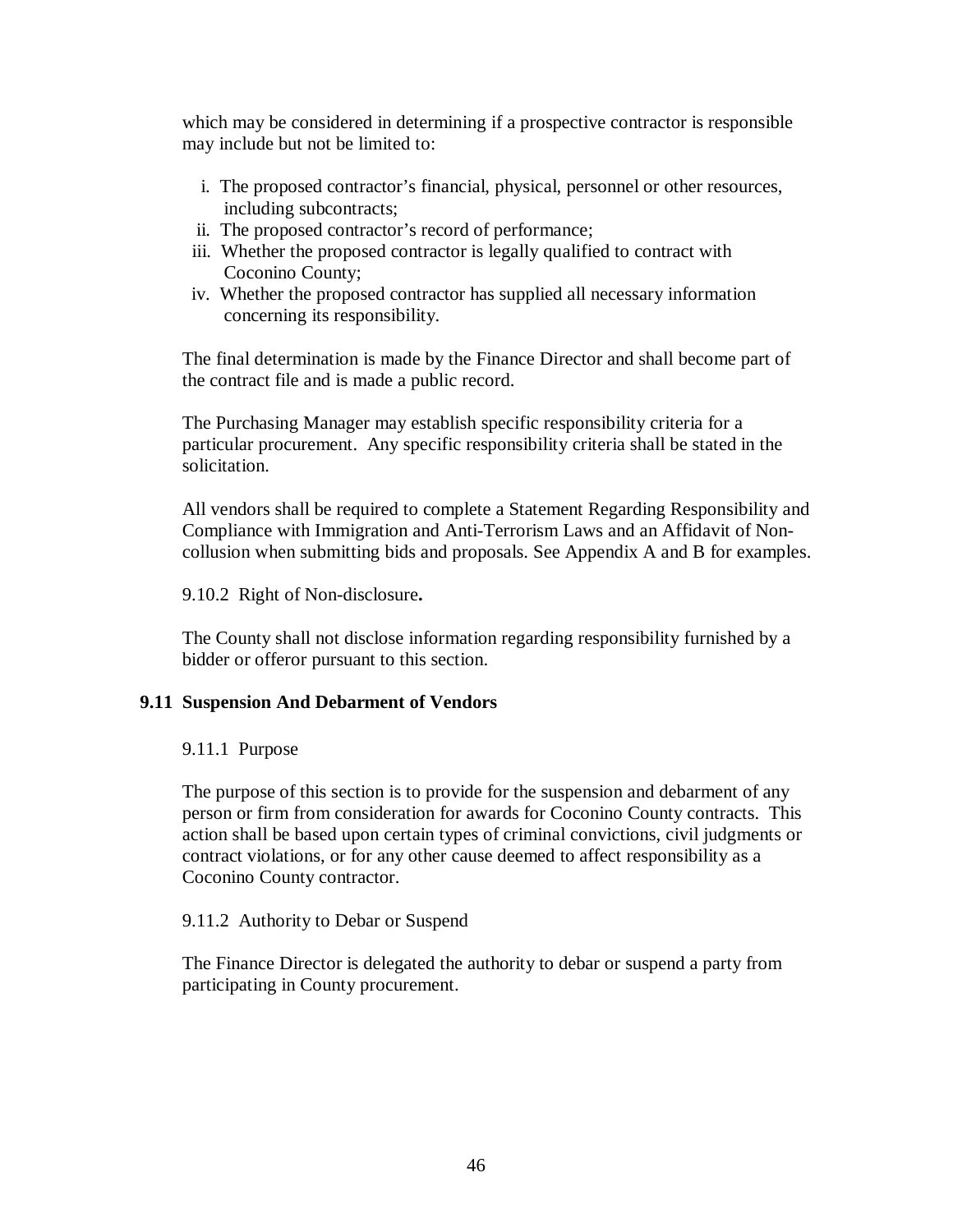which may be considered in determining if a prospective contractor is responsible may include but not be limited to:

- i. The proposed contractor's financial, physical, personnel or other resources, including subcontracts;
- ii. The proposed contractor's record of performance;
- iii. Whether the proposed contractor is legally qualified to contract with Coconino County;
- iv. Whether the proposed contractor has supplied all necessary information concerning its responsibility.

The final determination is made by the Finance Director and shall become part of the contract file and is made a public record.

The Purchasing Manager may establish specific responsibility criteria for a particular procurement. Any specific responsibility criteria shall be stated in the solicitation.

All vendors shall be required to complete a Statement Regarding Responsibility and Compliance with Immigration and Anti-Terrorism Laws and an Affidavit of Noncollusion when submitting bids and proposals. See Appendix A and B for examples.

9.10.2 Right of Non-disclosure**.**

The County shall not disclose information regarding responsibility furnished by a bidder or offeror pursuant to this section.

#### **9.11 Suspension And Debarment of Vendors**

#### 9.11.1 Purpose

The purpose of this section is to provide for the suspension and debarment of any person or firm from consideration for awards for Coconino County contracts. This action shall be based upon certain types of criminal convictions, civil judgments or contract violations, or for any other cause deemed to affect responsibility as a Coconino County contractor.

9.11.2 Authority to Debar or Suspend

The Finance Director is delegated the authority to debar or suspend a party from participating in County procurement.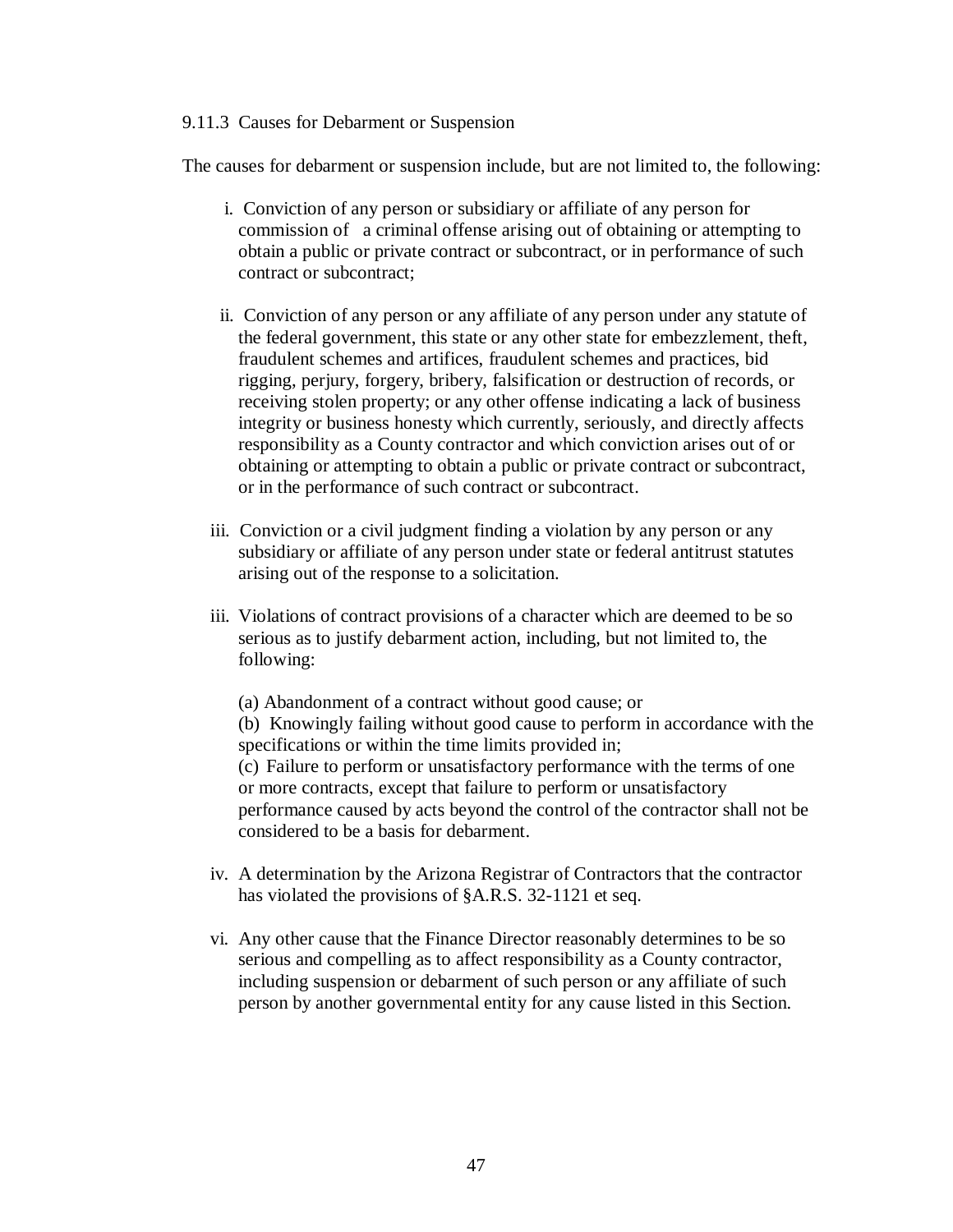#### 9.11.3 Causes for Debarment or Suspension

The causes for debarment or suspension include, but are not limited to, the following:

- i. Conviction of any person or subsidiary or affiliate of any person for commission of a criminal offense arising out of obtaining or attempting to obtain a public or private contract or subcontract, or in performance of such contract or subcontract;
- ii. Conviction of any person or any affiliate of any person under any statute of the federal government, this state or any other state for embezzlement, theft, fraudulent schemes and artifices, fraudulent schemes and practices, bid rigging, perjury, forgery, bribery, falsification or destruction of records, or receiving stolen property; or any other offense indicating a lack of business integrity or business honesty which currently, seriously, and directly affects responsibility as a County contractor and which conviction arises out of or obtaining or attempting to obtain a public or private contract or subcontract, or in the performance of such contract or subcontract.
- iii. Conviction or a civil judgment finding a violation by any person or any subsidiary or affiliate of any person under state or federal antitrust statutes arising out of the response to a solicitation.
- iii. Violations of contract provisions of a character which are deemed to be so serious as to justify debarment action, including, but not limited to, the following:
	- (a) Abandonment of a contract without good cause; or

(b) Knowingly failing without good cause to perform in accordance with the specifications or within the time limits provided in; (c) Failure to perform or unsatisfactory performance with the terms of one or more contracts, except that failure to perform or unsatisfactory performance caused by acts beyond the control of the contractor shall not be considered to be a basis for debarment.

- iv. A determination by the Arizona Registrar of Contractors that the contractor has violated the provisions of §A.R.S. 32-1121 et seq.
- vi. Any other cause that the Finance Director reasonably determines to be so serious and compelling as to affect responsibility as a County contractor, including suspension or debarment of such person or any affiliate of such person by another governmental entity for any cause listed in this Section.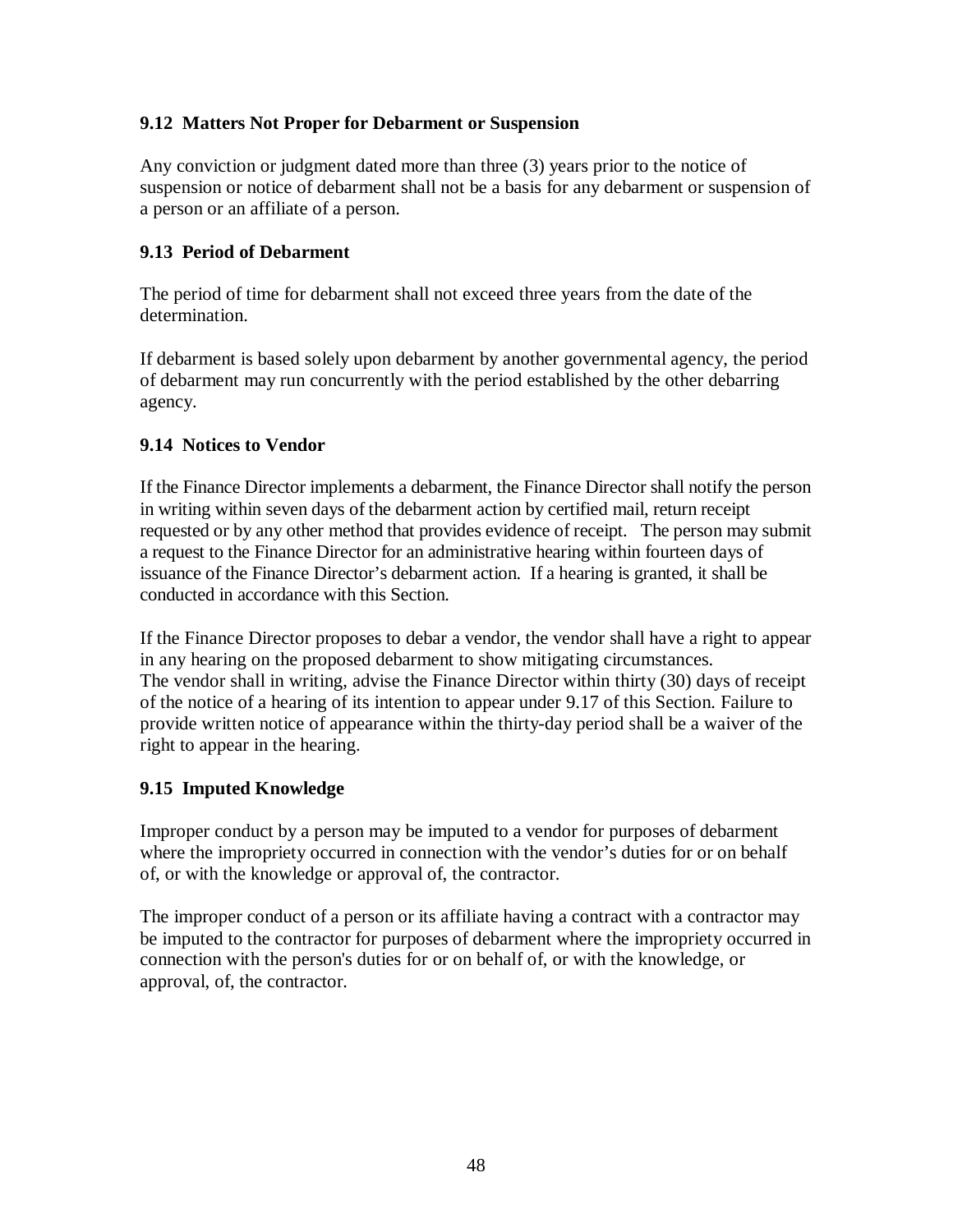#### **9.12 Matters Not Proper for Debarment or Suspension**

Any conviction or judgment dated more than three (3) years prior to the notice of suspension or notice of debarment shall not be a basis for any debarment or suspension of a person or an affiliate of a person.

#### **9.13 Period of Debarment**

The period of time for debarment shall not exceed three years from the date of the determination.

If debarment is based solely upon debarment by another governmental agency, the period of debarment may run concurrently with the period established by the other debarring agency.

#### **9.14 Notices to Vendor**

If the Finance Director implements a debarment, the Finance Director shall notify the person in writing within seven days of the debarment action by certified mail, return receipt requested or by any other method that provides evidence of receipt. The person may submit a request to the Finance Director for an administrative hearing within fourteen days of issuance of the Finance Director's debarment action. If a hearing is granted, it shall be conducted in accordance with this Section.

If the Finance Director proposes to debar a vendor, the vendor shall have a right to appear in any hearing on the proposed debarment to show mitigating circumstances. The vendor shall in writing, advise the Finance Director within thirty (30) days of receipt of the notice of a hearing of its intention to appear under 9.17 of this Section. Failure to provide written notice of appearance within the thirty-day period shall be a waiver of the right to appear in the hearing.

#### **9.15 Imputed Knowledge**

Improper conduct by a person may be imputed to a vendor for purposes of debarment where the impropriety occurred in connection with the vendor's duties for or on behalf of, or with the knowledge or approval of, the contractor.

The improper conduct of a person or its affiliate having a contract with a contractor may be imputed to the contractor for purposes of debarment where the impropriety occurred in connection with the person's duties for or on behalf of, or with the knowledge, or approval, of, the contractor.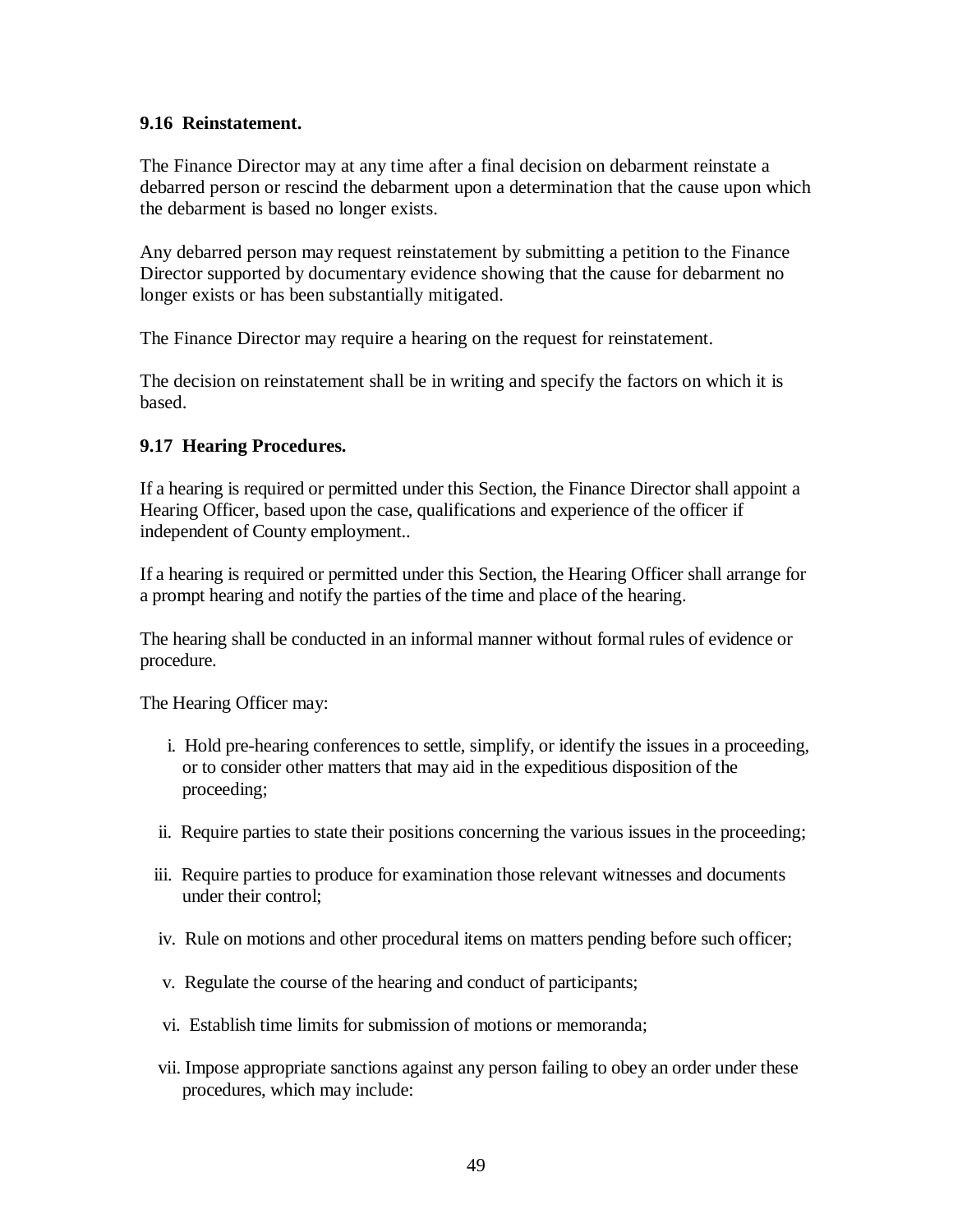#### **9.16 Reinstatement.**

The Finance Director may at any time after a final decision on debarment reinstate a debarred person or rescind the debarment upon a determination that the cause upon which the debarment is based no longer exists.

Any debarred person may request reinstatement by submitting a petition to the Finance Director supported by documentary evidence showing that the cause for debarment no longer exists or has been substantially mitigated.

The Finance Director may require a hearing on the request for reinstatement.

The decision on reinstatement shall be in writing and specify the factors on which it is based.

#### **9.17 Hearing Procedures.**

If a hearing is required or permitted under this Section, the Finance Director shall appoint a Hearing Officer, based upon the case, qualifications and experience of the officer if independent of County employment..

If a hearing is required or permitted under this Section, the Hearing Officer shall arrange for a prompt hearing and notify the parties of the time and place of the hearing.

The hearing shall be conducted in an informal manner without formal rules of evidence or procedure.

The Hearing Officer may:

- i. Hold pre-hearing conferences to settle, simplify, or identify the issues in a proceeding, or to consider other matters that may aid in the expeditious disposition of the proceeding;
- ii. Require parties to state their positions concerning the various issues in the proceeding;
- iii. Require parties to produce for examination those relevant witnesses and documents under their control;
- iv. Rule on motions and other procedural items on matters pending before such officer;
- v. Regulate the course of the hearing and conduct of participants;
- vi. Establish time limits for submission of motions or memoranda;
- vii. Impose appropriate sanctions against any person failing to obey an order under these procedures, which may include: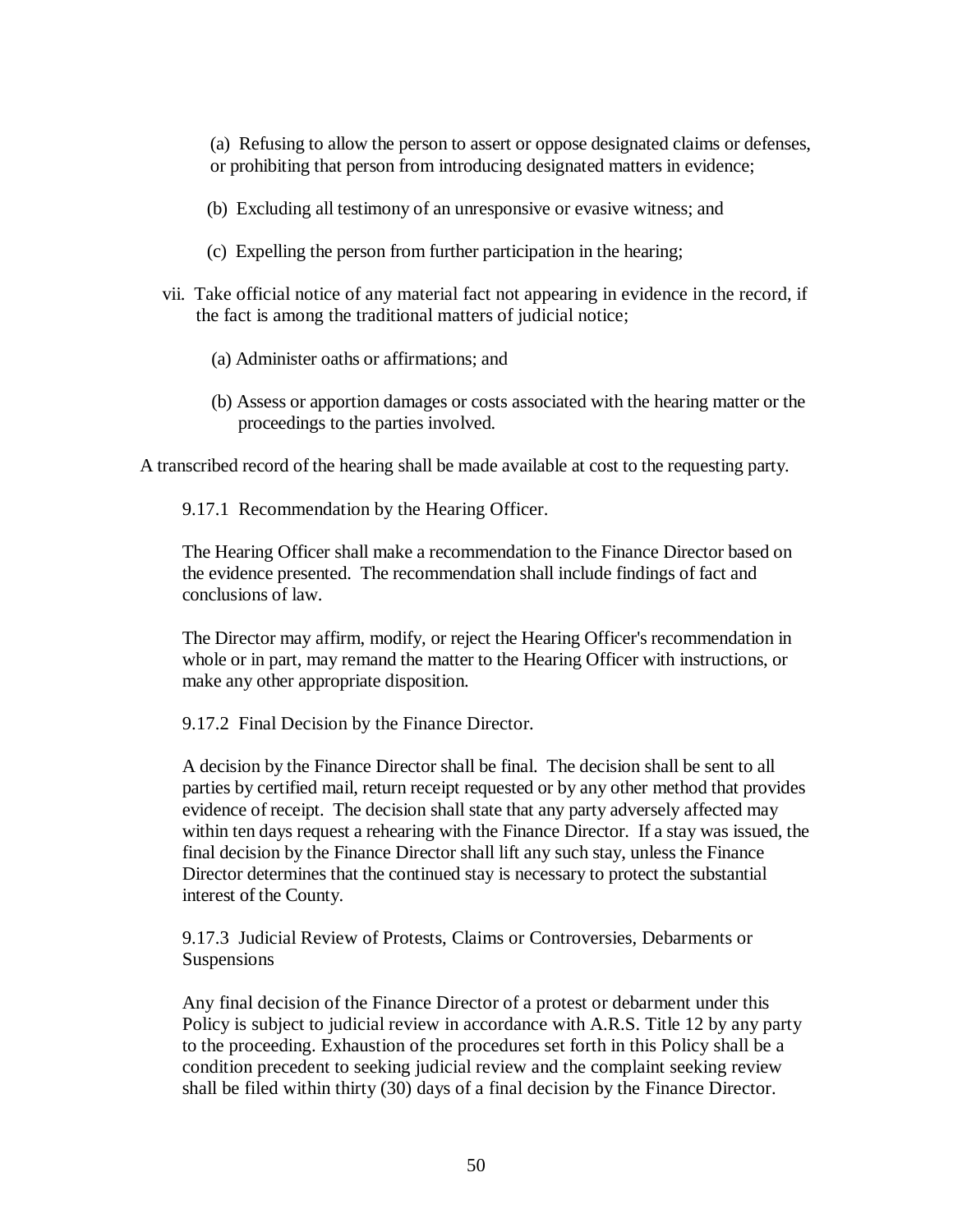(a) Refusing to allow the person to assert or oppose designated claims or defenses, or prohibiting that person from introducing designated matters in evidence;

- (b) Excluding all testimony of an unresponsive or evasive witness; and
- (c) Expelling the person from further participation in the hearing;
- vii. Take official notice of any material fact not appearing in evidence in the record, if the fact is among the traditional matters of judicial notice;
	- (a) Administer oaths or affirmations; and
	- (b) Assess or apportion damages or costs associated with the hearing matter or the proceedings to the parties involved.

A transcribed record of the hearing shall be made available at cost to the requesting party.

9.17.1 Recommendation by the Hearing Officer.

The Hearing Officer shall make a recommendation to the Finance Director based on the evidence presented. The recommendation shall include findings of fact and conclusions of law.

The Director may affirm, modify, or reject the Hearing Officer's recommendation in whole or in part, may remand the matter to the Hearing Officer with instructions, or make any other appropriate disposition.

9.17.2 Final Decision by the Finance Director.

A decision by the Finance Director shall be final. The decision shall be sent to all parties by certified mail, return receipt requested or by any other method that provides evidence of receipt. The decision shall state that any party adversely affected may within ten days request a rehearing with the Finance Director. If a stay was issued, the final decision by the Finance Director shall lift any such stay, unless the Finance Director determines that the continued stay is necessary to protect the substantial interest of the County.

9.17.3 Judicial Review of Protests, Claims or Controversies, Debarments or Suspensions

Any final decision of the Finance Director of a protest or debarment under this Policy is subject to judicial review in accordance with A.R.S. Title 12 by any party to the proceeding. Exhaustion of the procedures set forth in this Policy shall be a condition precedent to seeking judicial review and the complaint seeking review shall be filed within thirty (30) days of a final decision by the Finance Director.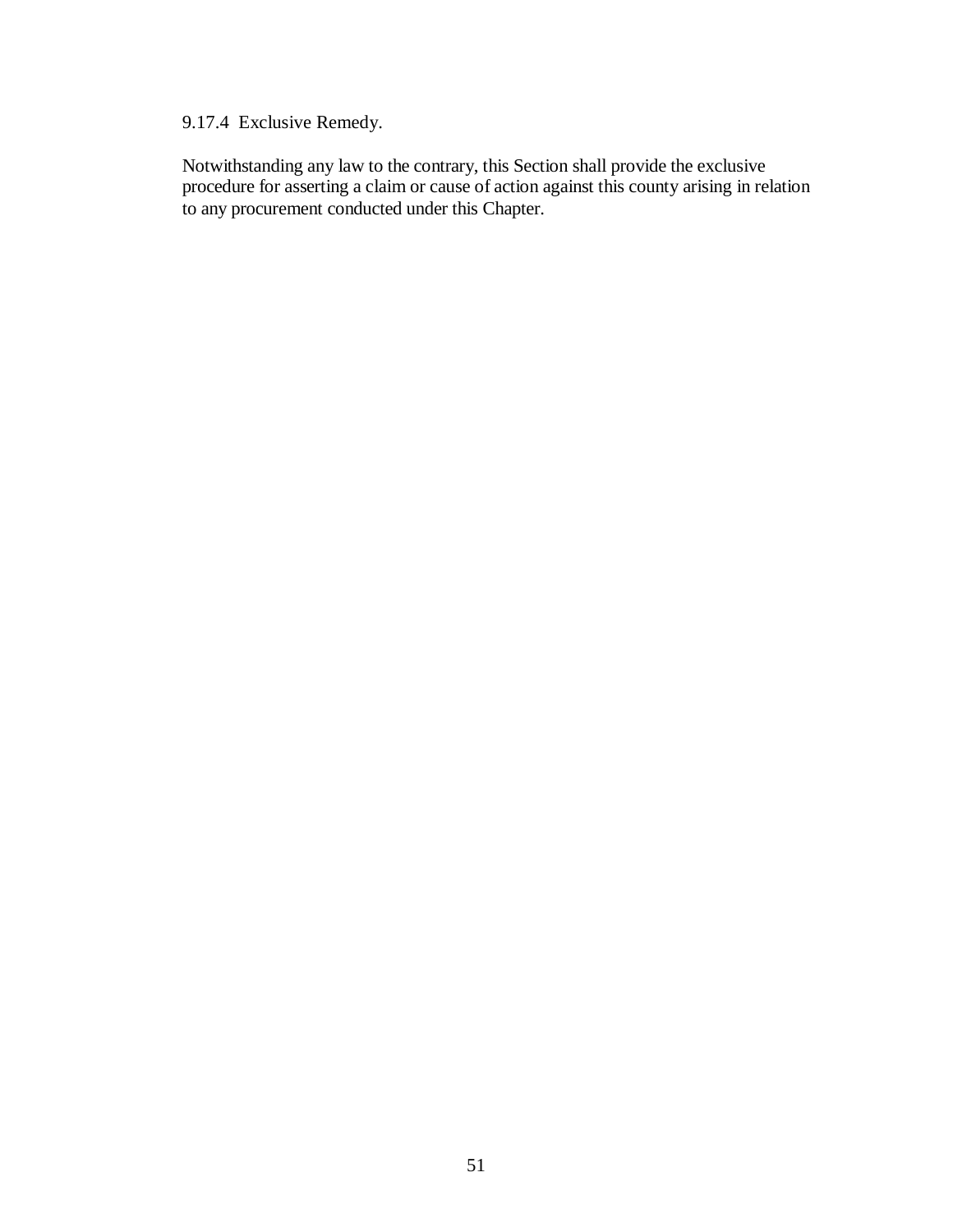### 9.17.4 Exclusive Remedy.

Notwithstanding any law to the contrary, this Section shall provide the exclusive procedure for asserting a claim or cause of action against this county arising in relation to any procurement conducted under this Chapter.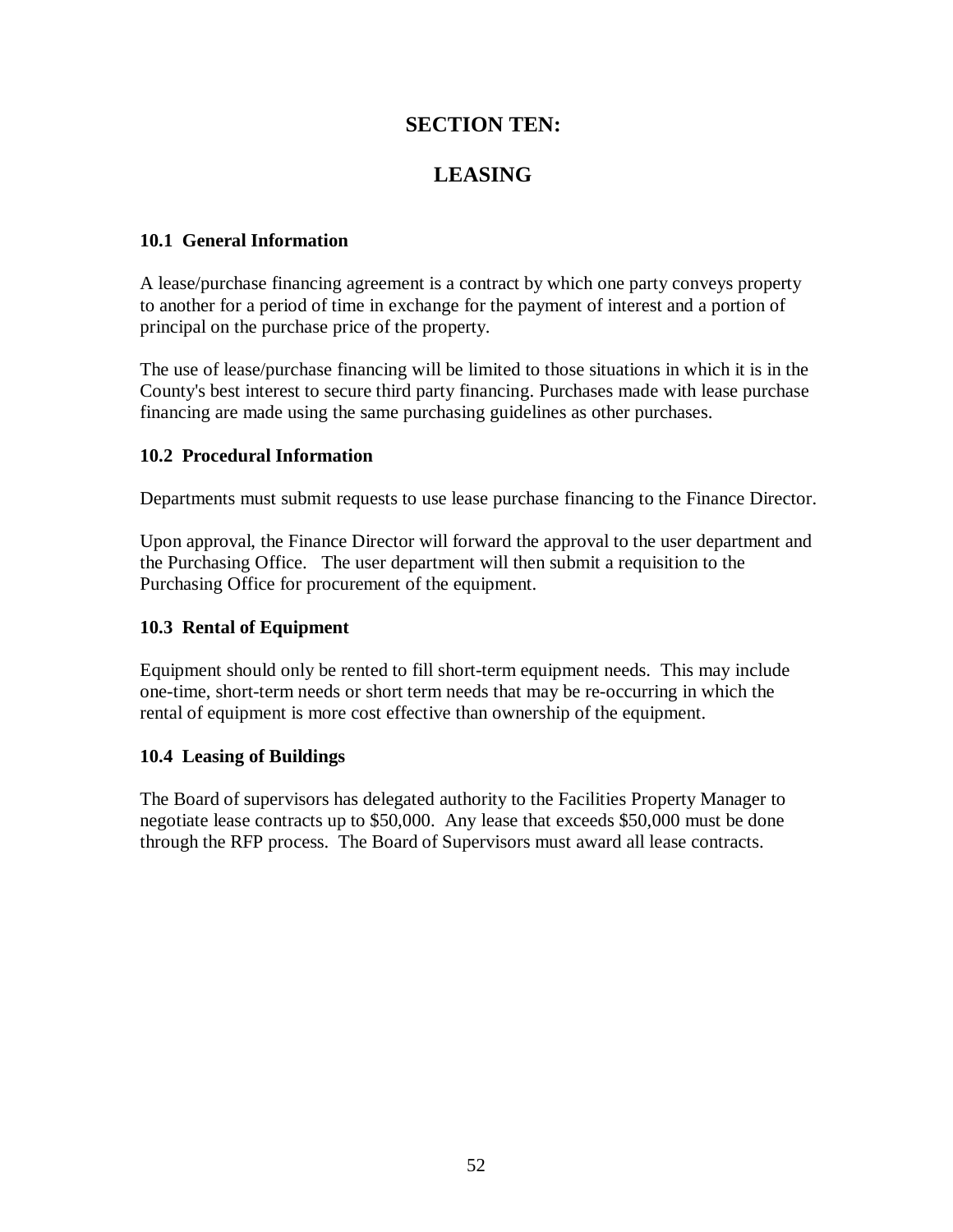### **SECTION TEN:**

## **LEASING**

#### **10.1 General Information**

A lease/purchase financing agreement is a contract by which one party conveys property to another for a period of time in exchange for the payment of interest and a portion of principal on the purchase price of the property.

The use of lease/purchase financing will be limited to those situations in which it is in the County's best interest to secure third party financing. Purchases made with lease purchase financing are made using the same purchasing guidelines as other purchases.

#### **10.2 Procedural Information**

Departments must submit requests to use lease purchase financing to the Finance Director.

Upon approval, the Finance Director will forward the approval to the user department and the Purchasing Office. The user department will then submit a requisition to the Purchasing Office for procurement of the equipment.

#### **10.3 Rental of Equipment**

Equipment should only be rented to fill short-term equipment needs. This may include one-time, short-term needs or short term needs that may be re-occurring in which the rental of equipment is more cost effective than ownership of the equipment.

#### **10.4 Leasing of Buildings**

 The Board of supervisors has delegated authority to the Facilities Property Manager to negotiate lease contracts up to \$50,000. Any lease that exceeds \$50,000 must be done through the RFP process. The Board of Supervisors must award all lease contracts.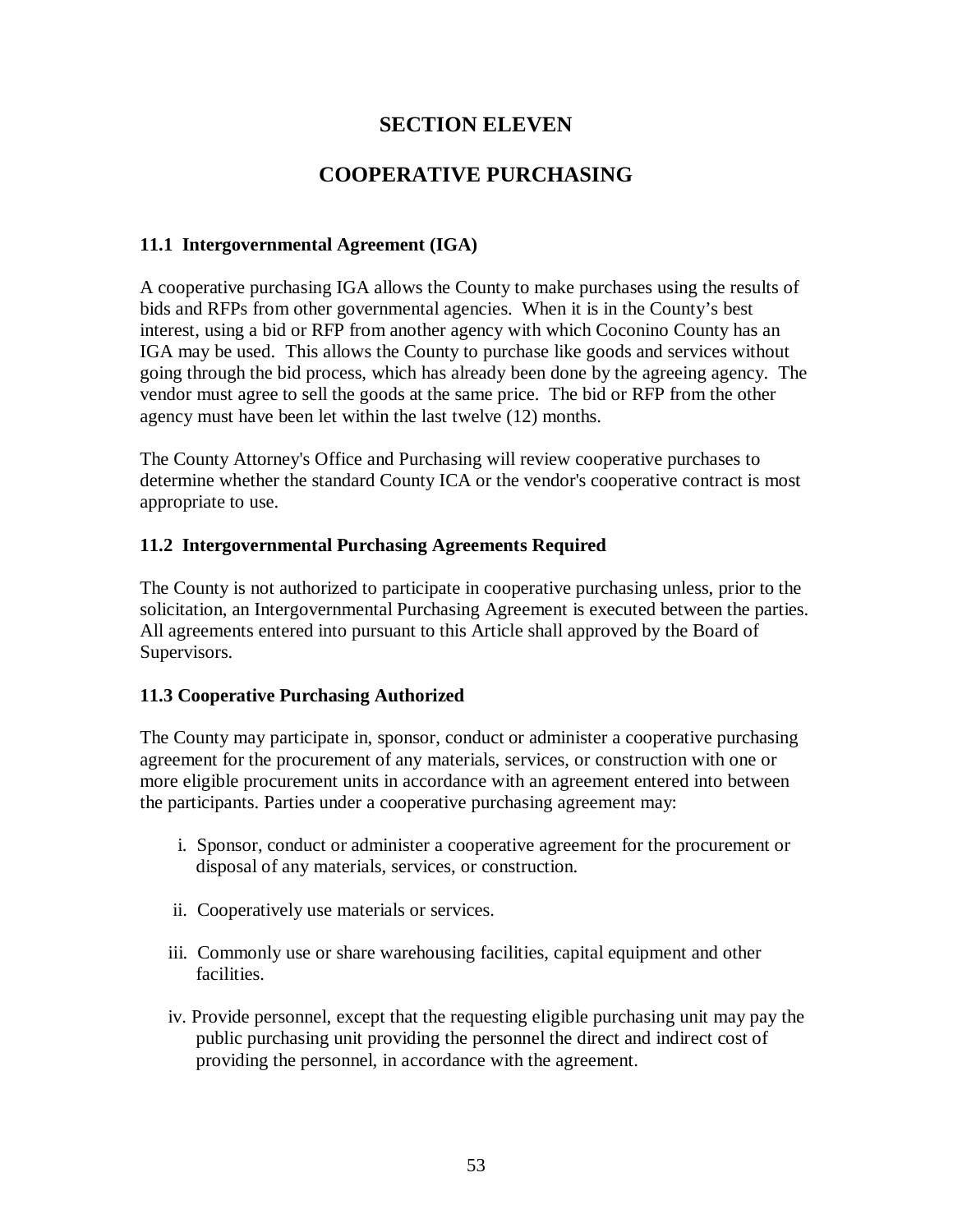### **SECTION ELEVEN**

## **COOPERATIVE PURCHASING**

### **11.1 Intergovernmental Agreement (IGA)**

A cooperative purchasing IGA allows the County to make purchases using the results of bids and RFPs from other governmental agencies. When it is in the County's best interest, using a bid or RFP from another agency with which Coconino County has an IGA may be used. This allows the County to purchase like goods and services without going through the bid process, which has already been done by the agreeing agency. The vendor must agree to sell the goods at the same price. The bid or RFP from the other agency must have been let within the last twelve (12) months.

The County Attorney's Office and Purchasing will review cooperative purchases to determine whether the standard County ICA or the vendor's cooperative contract is most appropriate to use.

#### **11.2 Intergovernmental Purchasing Agreements Required**

The County is not authorized to participate in cooperative purchasing unless, prior to the solicitation, an Intergovernmental Purchasing Agreement is executed between the parties. All agreements entered into pursuant to this Article shall approved by the Board of Supervisors.

#### **11.3 Cooperative Purchasing Authorized**

The County may participate in, sponsor, conduct or administer a cooperative purchasing agreement for the procurement of any materials, services, or construction with one or more eligible procurement units in accordance with an agreement entered into between the participants. Parties under a cooperative purchasing agreement may:

- i. Sponsor, conduct or administer a cooperative agreement for the procurement or disposal of any materials, services, or construction.
- ii. Cooperatively use materials or services.
- iii. Commonly use or share warehousing facilities, capital equipment and other facilities.
- iv. Provide personnel, except that the requesting eligible purchasing unit may pay the public purchasing unit providing the personnel the direct and indirect cost of providing the personnel, in accordance with the agreement.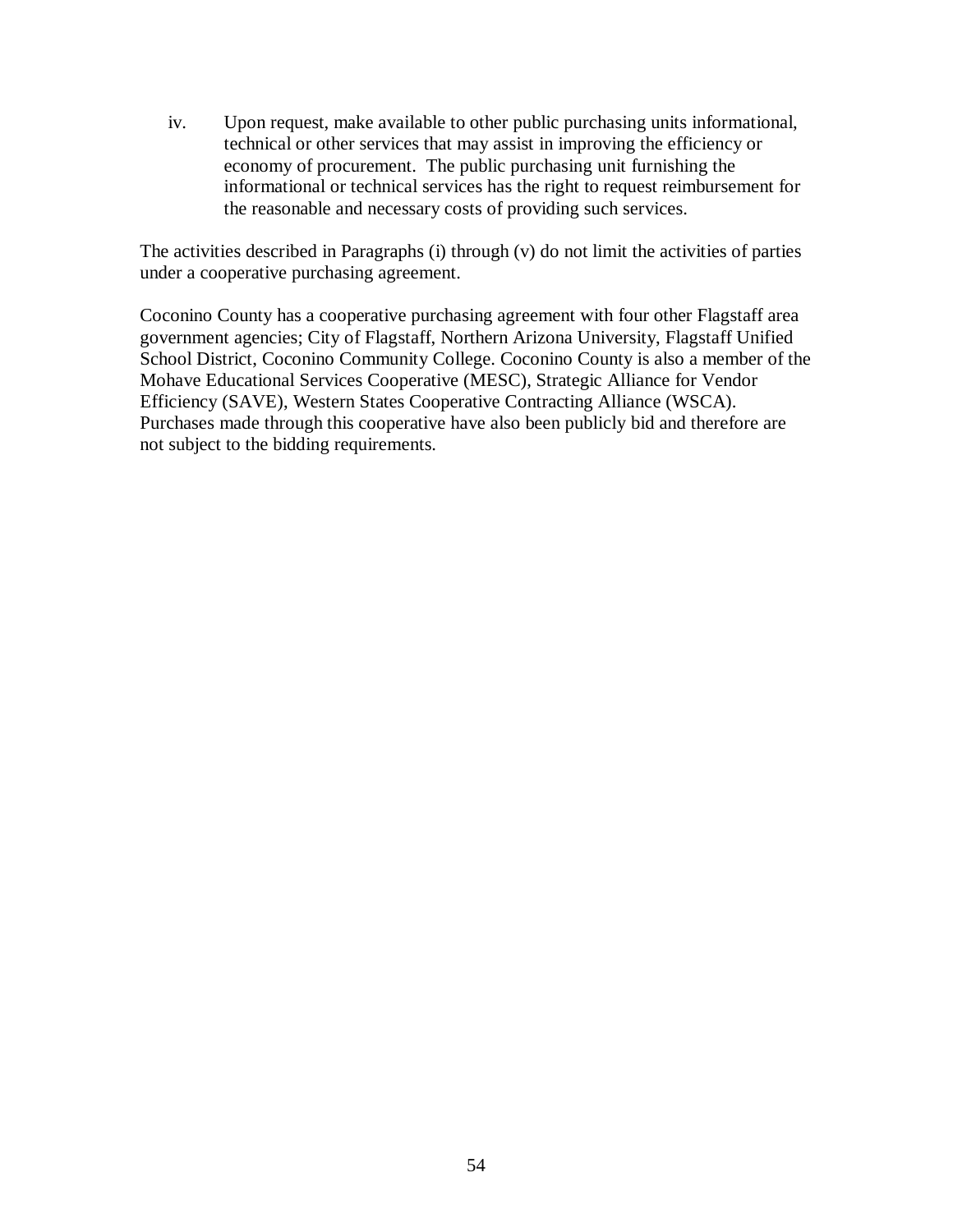iv. Upon request, make available to other public purchasing units informational, technical or other services that may assist in improving the efficiency or economy of procurement. The public purchasing unit furnishing the informational or technical services has the right to request reimbursement for the reasonable and necessary costs of providing such services.

The activities described in Paragraphs (i) through (v) do not limit the activities of parties under a cooperative purchasing agreement.

Coconino County has a cooperative purchasing agreement with four other Flagstaff area government agencies; City of Flagstaff, Northern Arizona University, Flagstaff Unified School District, Coconino Community College. Coconino County is also a member of the Mohave Educational Services Cooperative (MESC), Strategic Alliance for Vendor Efficiency (SAVE), Western States Cooperative Contracting Alliance (WSCA). Purchases made through this cooperative have also been publicly bid and therefore are not subject to the bidding requirements.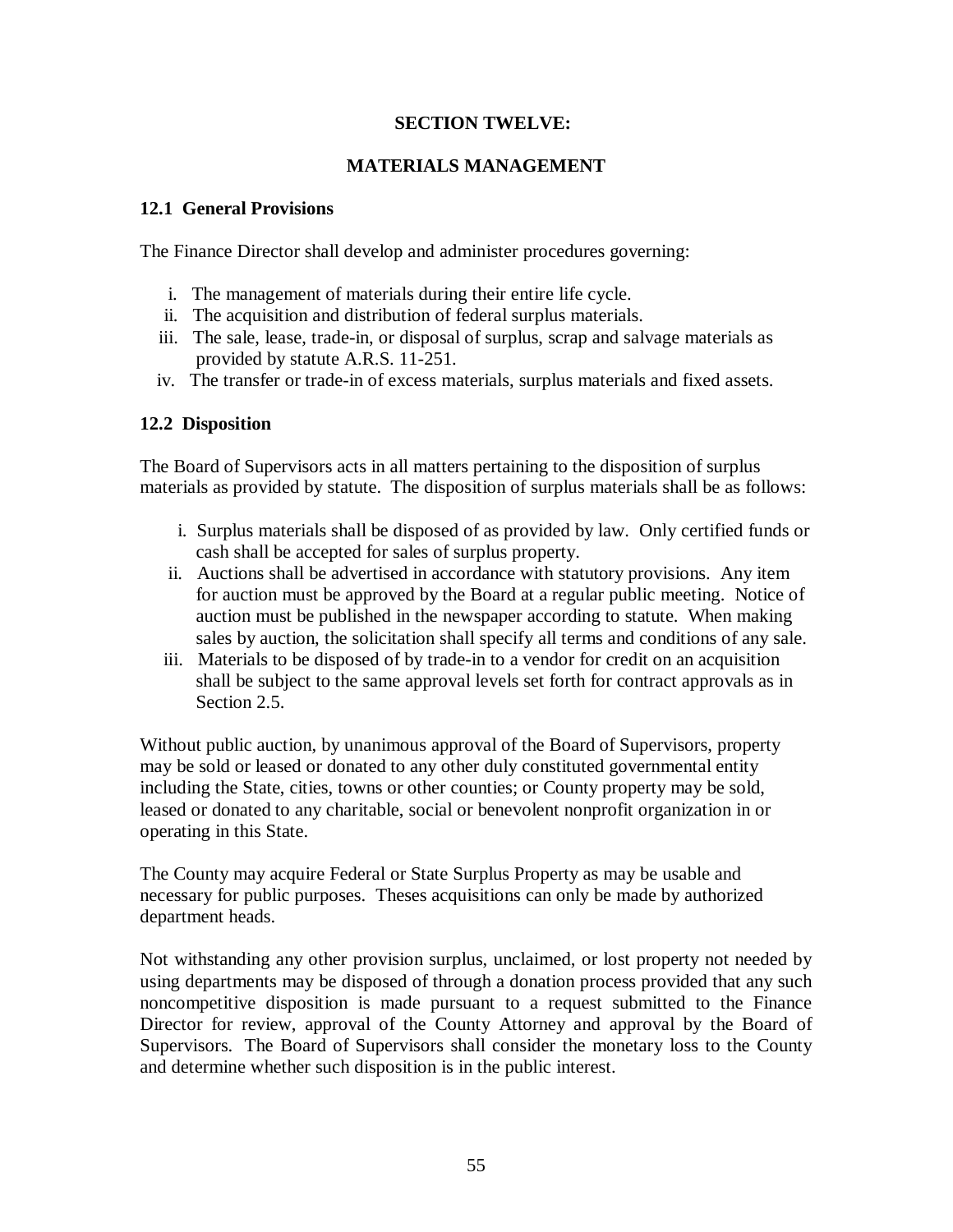#### **SECTION TWELVE:**

#### **MATERIALS MANAGEMENT**

#### **12.1 General Provisions**

The Finance Director shall develop and administer procedures governing:

- i. The management of materials during their entire life cycle.
- ii. The acquisition and distribution of federal surplus materials.
- iii. The sale, lease, trade-in, or disposal of surplus, scrap and salvage materials as provided by statute A.R.S. 11-251.
- iv. The transfer or trade-in of excess materials, surplus materials and fixed assets.

#### **12.2 Disposition**

The Board of Supervisors acts in all matters pertaining to the disposition of surplus materials as provided by statute. The disposition of surplus materials shall be as follows:

- i. Surplus materials shall be disposed of as provided by law. Only certified funds or cash shall be accepted for sales of surplus property.
- ii. Auctions shall be advertised in accordance with statutory provisions. Any item for auction must be approved by the Board at a regular public meeting. Notice of auction must be published in the newspaper according to statute. When making sales by auction, the solicitation shall specify all terms and conditions of any sale.
- iii. Materials to be disposed of by trade-in to a vendor for credit on an acquisition shall be subject to the same approval levels set forth for contract approvals as in Section 2.5.

Without public auction, by unanimous approval of the Board of Supervisors, property may be sold or leased or donated to any other duly constituted governmental entity including the State, cities, towns or other counties; or County property may be sold, leased or donated to any charitable, social or benevolent nonprofit organization in or operating in this State.

The County may acquire Federal or State Surplus Property as may be usable and necessary for public purposes. Theses acquisitions can only be made by authorized department heads.

Not withstanding any other provision surplus, unclaimed, or lost property not needed by using departments may be disposed of through a donation process provided that any such noncompetitive disposition is made pursuant to a request submitted to the Finance Director for review, approval of the County Attorney and approval by the Board of Supervisors. The Board of Supervisors shall consider the monetary loss to the County and determine whether such disposition is in the public interest.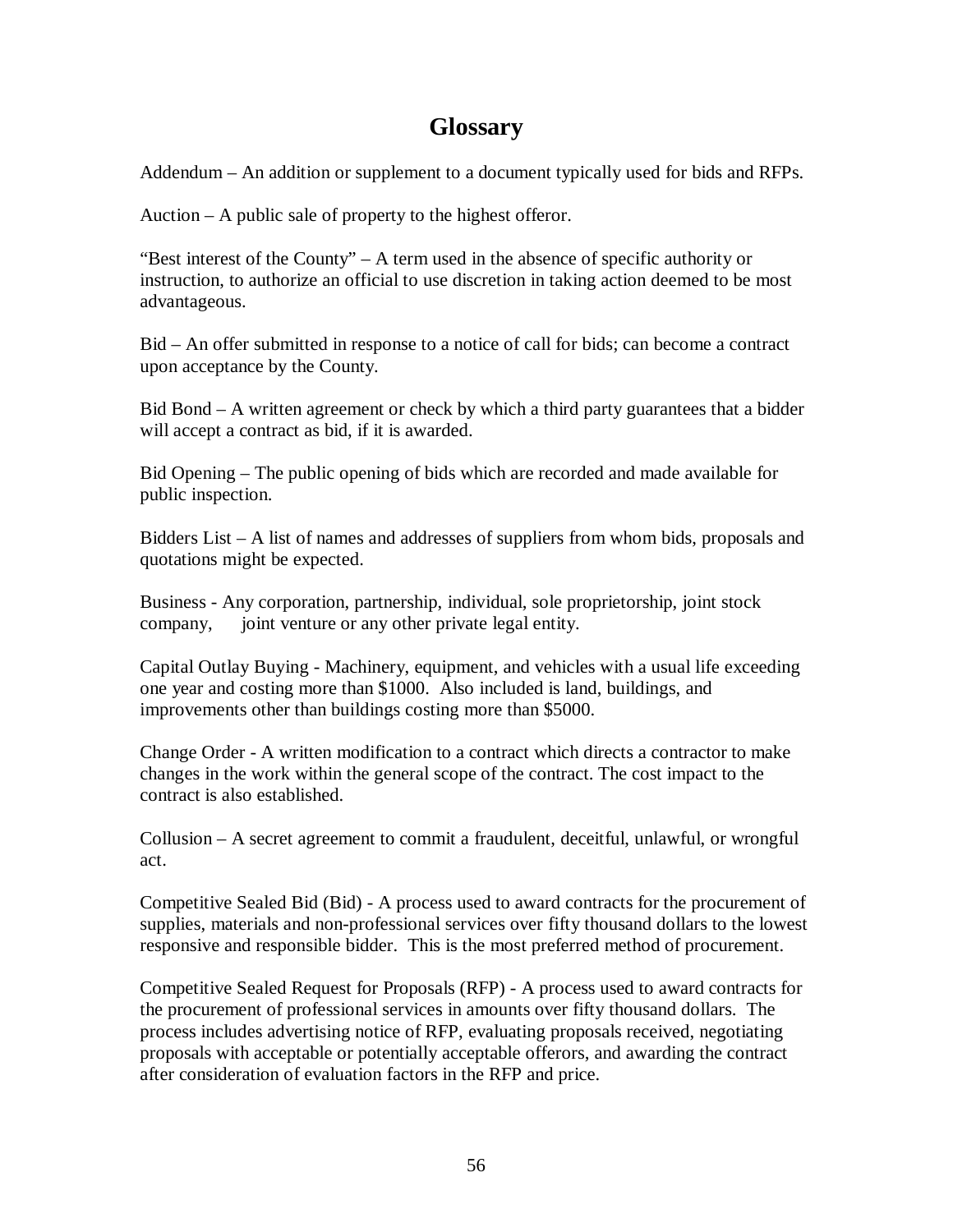## **Glossary**

Addendum – An addition or supplement to a document typically used for bids and RFPs.

Auction – A public sale of property to the highest offeror.

"Best interest of the County"  $-$  A term used in the absence of specific authority or instruction, to authorize an official to use discretion in taking action deemed to be most advantageous.

Bid – An offer submitted in response to a notice of call for bids; can become a contract upon acceptance by the County.

Bid Bond – A written agreement or check by which a third party guarantees that a bidder will accept a contract as bid, if it is awarded.

Bid Opening – The public opening of bids which are recorded and made available for public inspection.

Bidders List – A list of names and addresses of suppliers from whom bids, proposals and quotations might be expected.

Business - Any corporation, partnership, individual, sole proprietorship, joint stock company, joint venture or any other private legal entity.

Capital Outlay Buying - Machinery, equipment, and vehicles with a usual life exceeding one year and costing more than \$1000. Also included is land, buildings, and improvements other than buildings costing more than \$5000.

Change Order - A written modification to a contract which directs a contractor to make changes in the work within the general scope of the contract. The cost impact to the contract is also established.

Collusion – A secret agreement to commit a fraudulent, deceitful, unlawful, or wrongful act.

Competitive Sealed Bid (Bid) - A process used to award contracts for the procurement of supplies, materials and non-professional services over fifty thousand dollars to the lowest responsive and responsible bidder. This is the most preferred method of procurement.

Competitive Sealed Request for Proposals (RFP) - A process used to award contracts for the procurement of professional services in amounts over fifty thousand dollars. The process includes advertising notice of RFP, evaluating proposals received, negotiating proposals with acceptable or potentially acceptable offerors, and awarding the contract after consideration of evaluation factors in the RFP and price.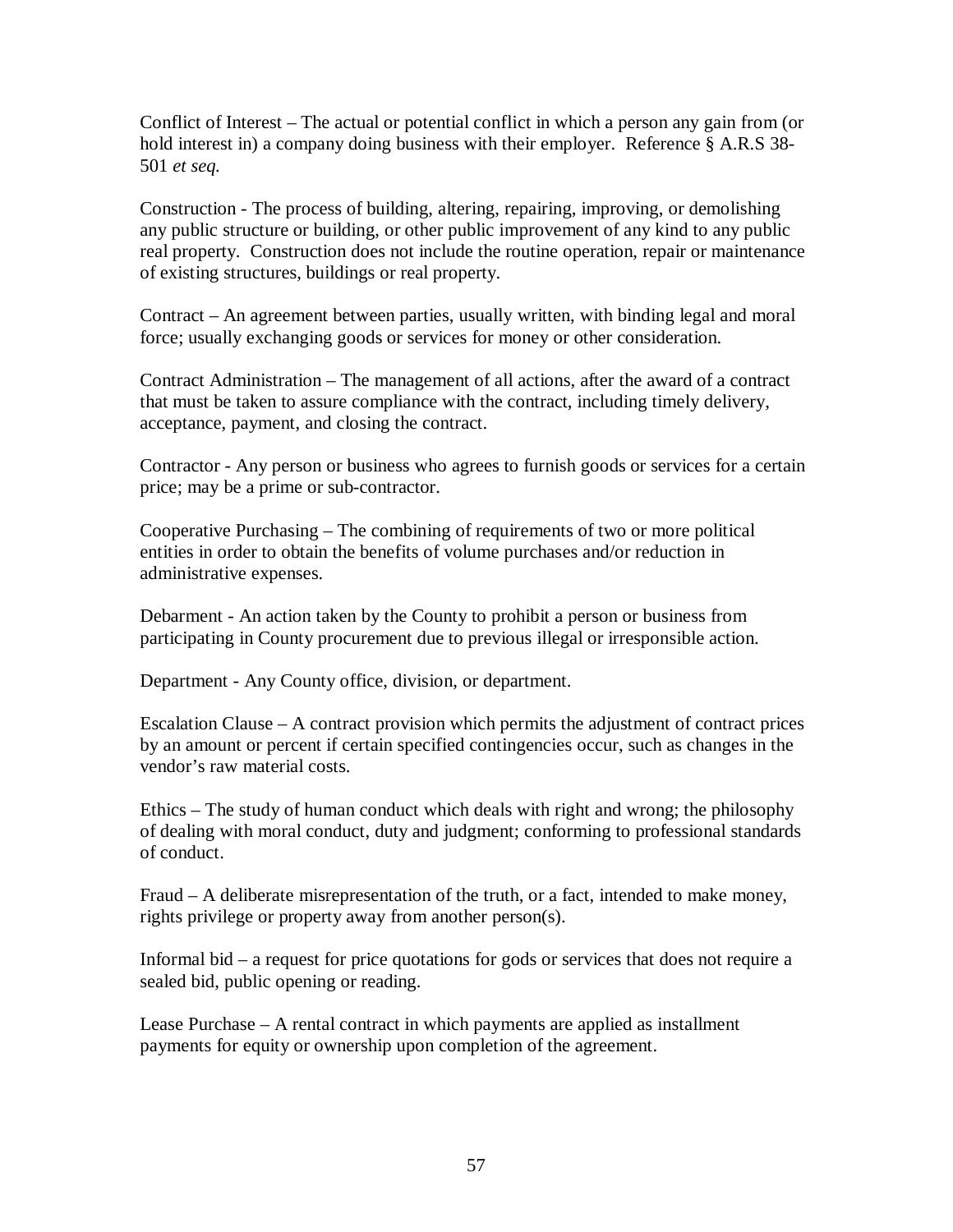Conflict of Interest – The actual or potential conflict in which a person any gain from (or hold interest in) a company doing business with their employer. Reference § A.R.S 38- 501 *et seq.*

Construction - The process of building, altering, repairing, improving, or demolishing any public structure or building, or other public improvement of any kind to any public real property. Construction does not include the routine operation, repair or maintenance of existing structures, buildings or real property.

Contract – An agreement between parties, usually written, with binding legal and moral force; usually exchanging goods or services for money or other consideration.

Contract Administration – The management of all actions, after the award of a contract that must be taken to assure compliance with the contract, including timely delivery, acceptance, payment, and closing the contract.

Contractor - Any person or business who agrees to furnish goods or services for a certain price; may be a prime or sub-contractor.

Cooperative Purchasing – The combining of requirements of two or more political entities in order to obtain the benefits of volume purchases and/or reduction in administrative expenses.

Debarment - An action taken by the County to prohibit a person or business from participating in County procurement due to previous illegal or irresponsible action.

Department - Any County office, division, or department.

Escalation Clause – A contract provision which permits the adjustment of contract prices by an amount or percent if certain specified contingencies occur, such as changes in the vendor's raw material costs.

Ethics – The study of human conduct which deals with right and wrong; the philosophy of dealing with moral conduct, duty and judgment; conforming to professional standards of conduct.

Fraud – A deliberate misrepresentation of the truth, or a fact, intended to make money, rights privilege or property away from another person(s).

Informal bid – a request for price quotations for gods or services that does not require a sealed bid, public opening or reading.

Lease Purchase – A rental contract in which payments are applied as installment payments for equity or ownership upon completion of the agreement.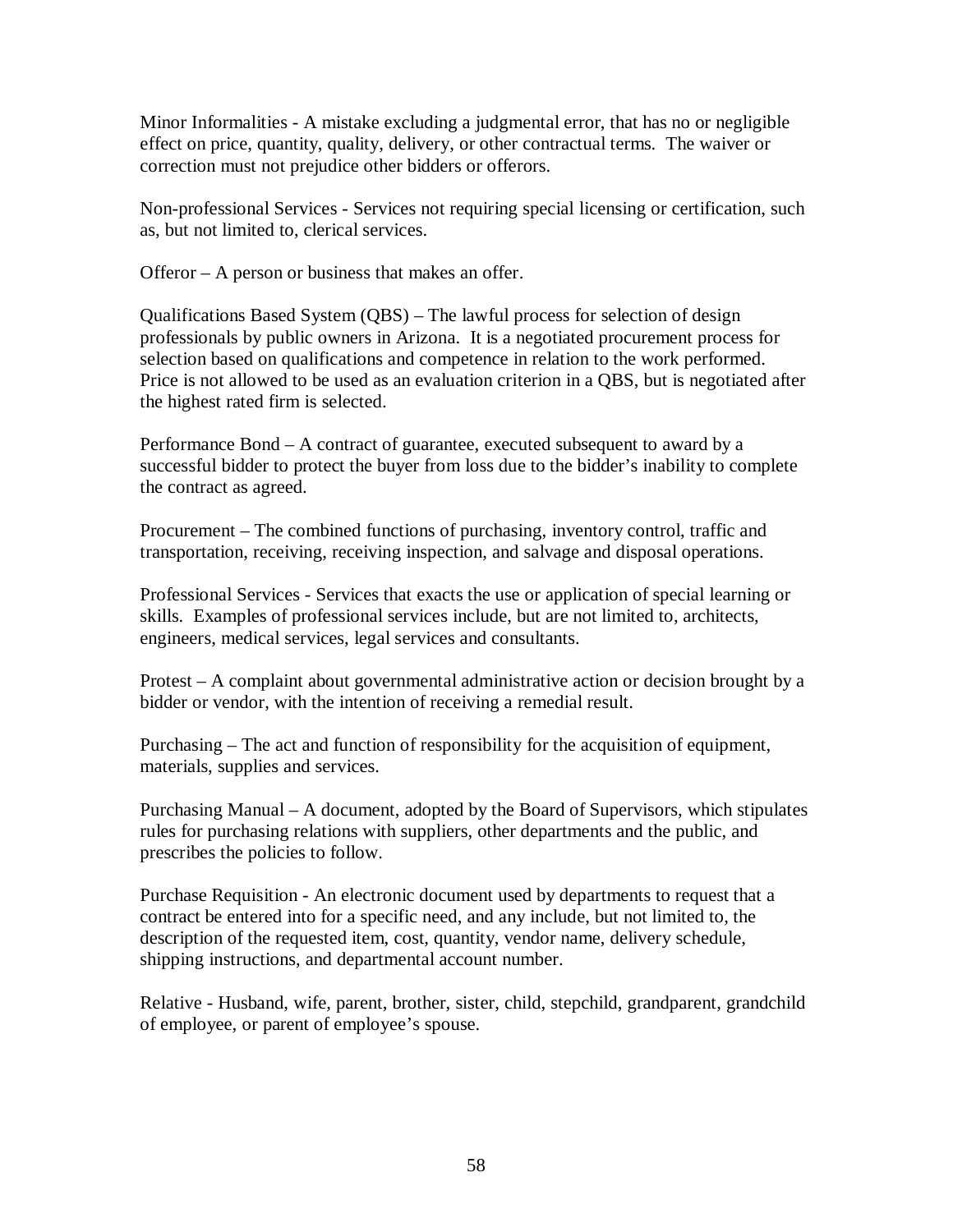Minor Informalities - A mistake excluding a judgmental error, that has no or negligible effect on price, quantity, quality, delivery, or other contractual terms. The waiver or correction must not prejudice other bidders or offerors.

Non-professional Services - Services not requiring special licensing or certification, such as, but not limited to, clerical services.

Offeror – A person or business that makes an offer.

Qualifications Based System (QBS) – The lawful process for selection of design professionals by public owners in Arizona. It is a negotiated procurement process for selection based on qualifications and competence in relation to the work performed. Price is not allowed to be used as an evaluation criterion in a QBS, but is negotiated after the highest rated firm is selected.

Performance Bond – A contract of guarantee, executed subsequent to award by a successful bidder to protect the buyer from loss due to the bidder's inability to complete the contract as agreed.

Procurement – The combined functions of purchasing, inventory control, traffic and transportation, receiving, receiving inspection, and salvage and disposal operations.

Professional Services - Services that exacts the use or application of special learning or skills. Examples of professional services include, but are not limited to, architects, engineers, medical services, legal services and consultants.

Protest – A complaint about governmental administrative action or decision brought by a bidder or vendor, with the intention of receiving a remedial result.

Purchasing – The act and function of responsibility for the acquisition of equipment, materials, supplies and services.

Purchasing Manual – A document, adopted by the Board of Supervisors, which stipulates rules for purchasing relations with suppliers, other departments and the public, and prescribes the policies to follow.

Purchase Requisition - An electronic document used by departments to request that a contract be entered into for a specific need, and any include, but not limited to, the description of the requested item, cost, quantity, vendor name, delivery schedule, shipping instructions, and departmental account number.

Relative - Husband, wife, parent, brother, sister, child, stepchild, grandparent, grandchild of employee, or parent of employee's spouse.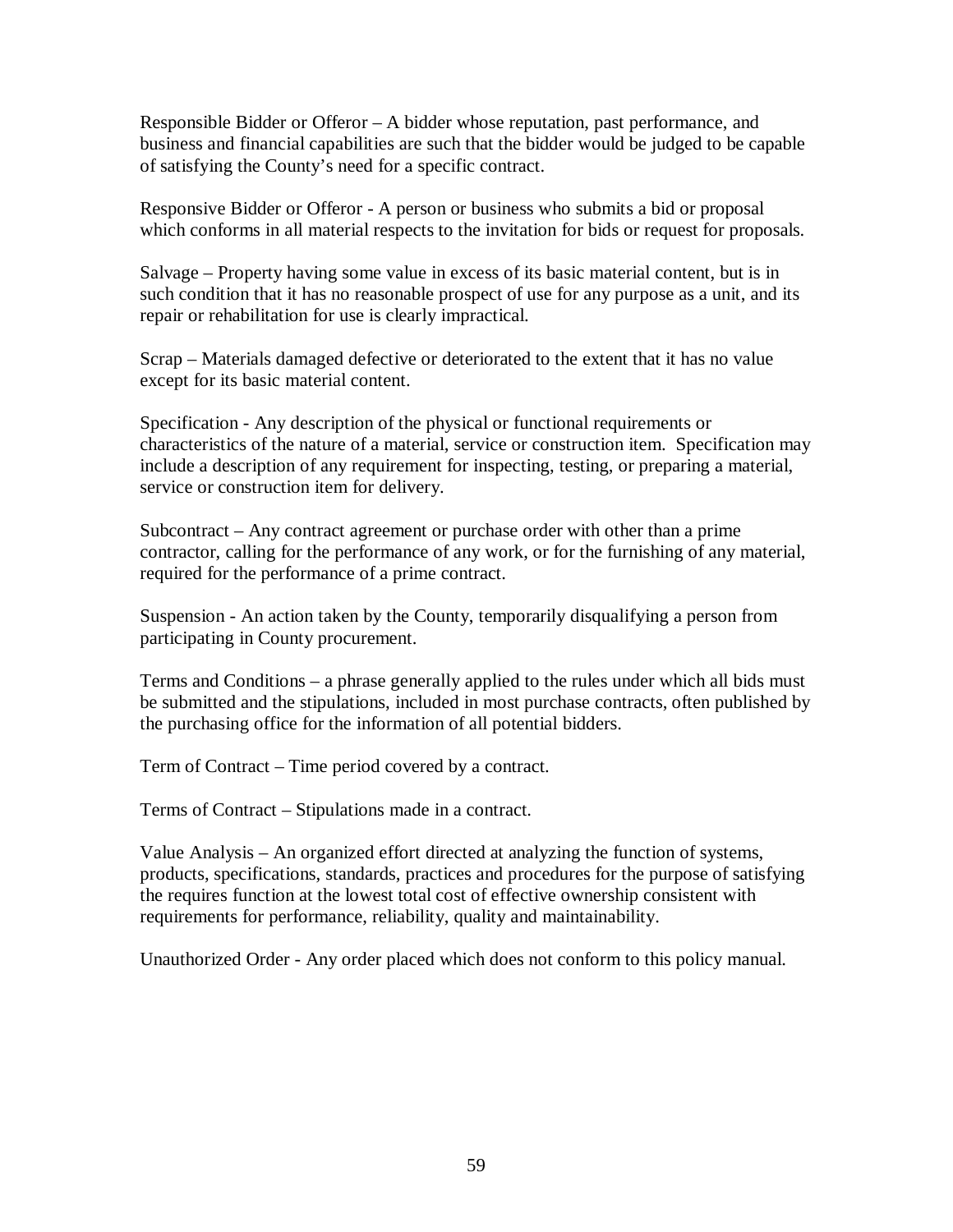Responsible Bidder or Offeror – A bidder whose reputation, past performance, and business and financial capabilities are such that the bidder would be judged to be capable of satisfying the County's need for a specific contract.

Responsive Bidder or Offeror - A person or business who submits a bid or proposal which conforms in all material respects to the invitation for bids or request for proposals.

Salvage – Property having some value in excess of its basic material content, but is in such condition that it has no reasonable prospect of use for any purpose as a unit, and its repair or rehabilitation for use is clearly impractical.

Scrap – Materials damaged defective or deteriorated to the extent that it has no value except for its basic material content.

Specification - Any description of the physical or functional requirements or characteristics of the nature of a material, service or construction item. Specification may include a description of any requirement for inspecting, testing, or preparing a material, service or construction item for delivery.

Subcontract – Any contract agreement or purchase order with other than a prime contractor, calling for the performance of any work, or for the furnishing of any material, required for the performance of a prime contract.

Suspension - An action taken by the County, temporarily disqualifying a person from participating in County procurement.

Terms and Conditions – a phrase generally applied to the rules under which all bids must be submitted and the stipulations, included in most purchase contracts, often published by the purchasing office for the information of all potential bidders.

Term of Contract – Time period covered by a contract.

Terms of Contract – Stipulations made in a contract.

Value Analysis – An organized effort directed at analyzing the function of systems, products, specifications, standards, practices and procedures for the purpose of satisfying the requires function at the lowest total cost of effective ownership consistent with requirements for performance, reliability, quality and maintainability.

Unauthorized Order - Any order placed which does not conform to this policy manual.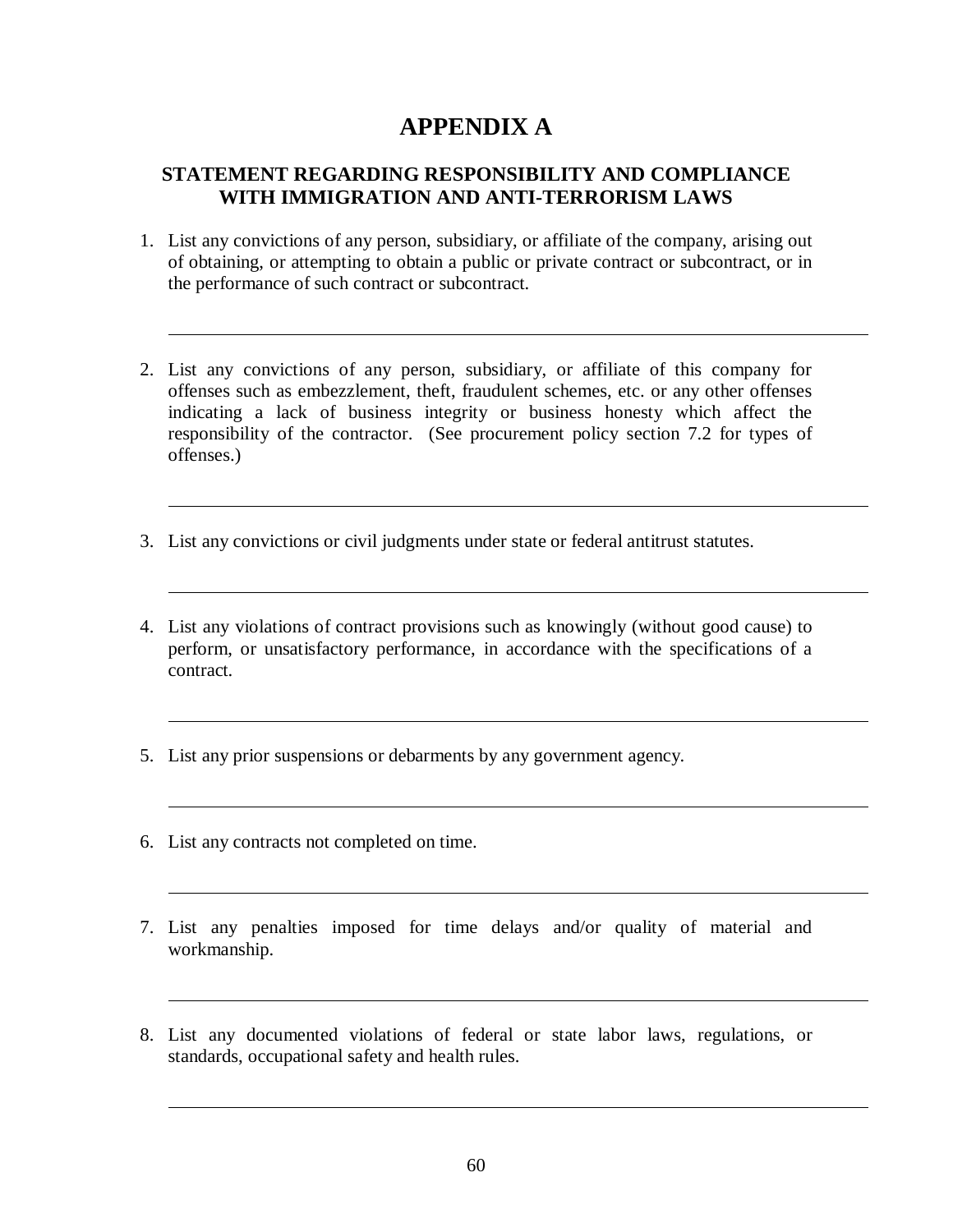## **APPENDIX A**

### **STATEMENT REGARDING RESPONSIBILITY AND COMPLIANCE WITH IMMIGRATION AND ANTI-TERRORISM LAWS**

- 1. List any convictions of any person, subsidiary, or affiliate of the company, arising out of obtaining, or attempting to obtain a public or private contract or subcontract, or in the performance of such contract or subcontract.
- 2. List any convictions of any person, subsidiary, or affiliate of this company for offenses such as embezzlement, theft, fraudulent schemes, etc. or any other offenses indicating a lack of business integrity or business honesty which affect the responsibility of the contractor. (See procurement policy section 7.2 for types of offenses.)
- 3. List any convictions or civil judgments under state or federal antitrust statutes.
- 4. List any violations of contract provisions such as knowingly (without good cause) to perform, or unsatisfactory performance, in accordance with the specifications of a contract.
- 5. List any prior suspensions or debarments by any government agency.
- 6. List any contracts not completed on time.
- 7. List any penalties imposed for time delays and/or quality of material and workmanship.
- 8. List any documented violations of federal or state labor laws, regulations, or standards, occupational safety and health rules.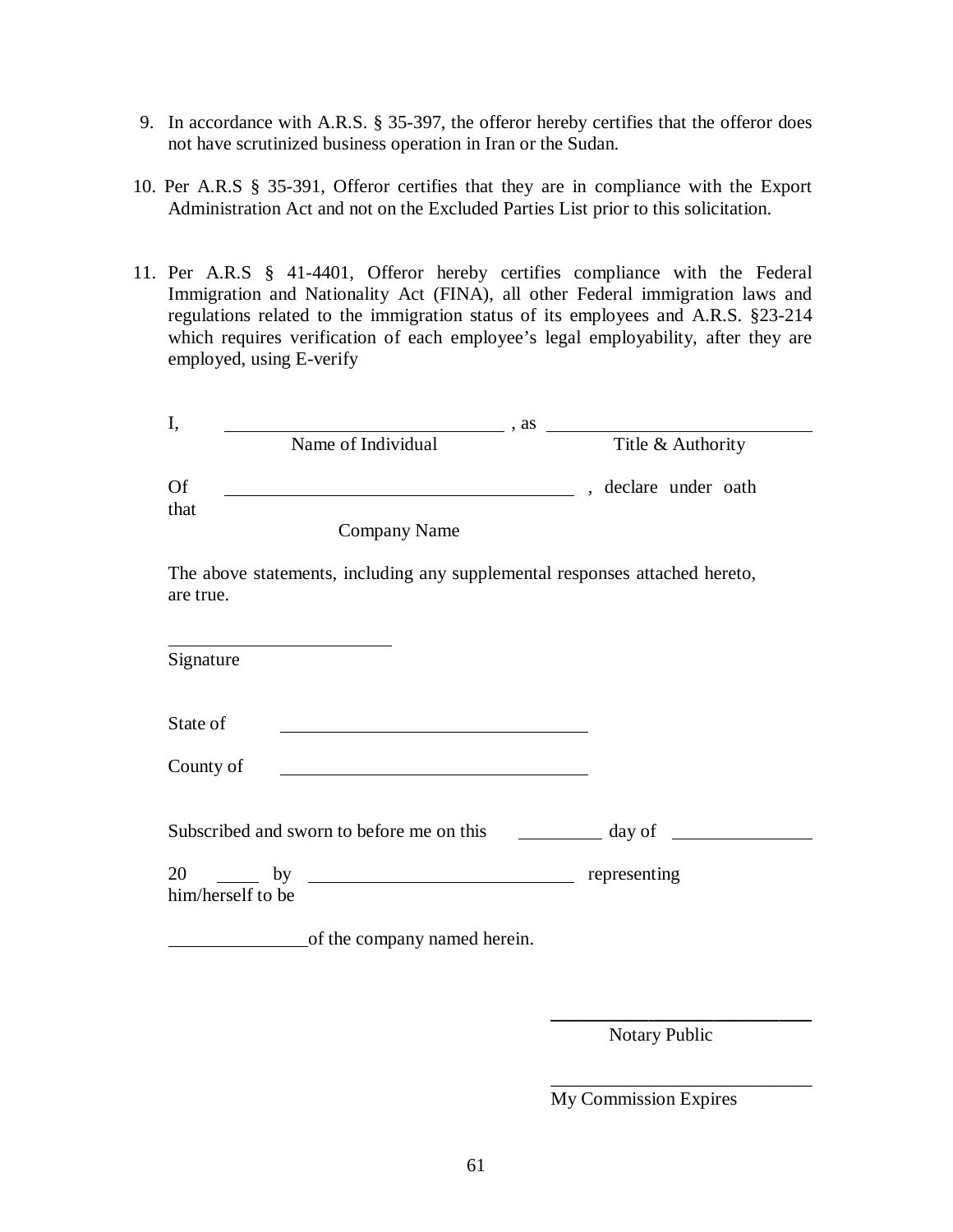- 9. In accordance with A.R.S. § 35-397, the offeror hereby certifies that the offeror does not have scrutinized business operation in Iran or the Sudan.
- 10. Per A.R.S § 35-391, Offeror certifies that they are in compliance with the Export Administration Act and not on the Excluded Parties List prior to this solicitation.
- 11. Per A.R.S § 41-4401, Offeror hereby certifies compliance with the Federal Immigration and Nationality Act (FINA), all other Federal immigration laws and regulations related to the immigration status of its employees and A.R.S. §23-214 which requires verification of each employee's legal employability, after they are employed, using E-verify

| I,                                                                                                                                                                |                                                                                                                                                                                                                                                   |
|-------------------------------------------------------------------------------------------------------------------------------------------------------------------|---------------------------------------------------------------------------------------------------------------------------------------------------------------------------------------------------------------------------------------------------|
|                                                                                                                                                                   | $\begin{tabular}{ll} \hline \textbf{Name of Individual} & \end{tabular} \vspace{0.5em} \begin{tabular}{ll} \multicolumn{3}{l}{} \textbf{Case} & \multicolumn{3}{l}{} \textbf{True} & \multicolumn{3}{l}{} \textbf{Value} \\ \hline \end{tabular}$ |
| <b>Of</b><br><u> 1989 - Johann Barbara, martin amerikan basar dan berasal dan berasal dalam basar dalam basar dalam basar dala</u><br>that<br><b>Company Name</b> | , declare under oath                                                                                                                                                                                                                              |
| The above statements, including any supplemental responses attached hereto,                                                                                       |                                                                                                                                                                                                                                                   |
| are true.                                                                                                                                                         |                                                                                                                                                                                                                                                   |
| Signature                                                                                                                                                         |                                                                                                                                                                                                                                                   |
| State of                                                                                                                                                          |                                                                                                                                                                                                                                                   |
| County of<br><u> 1980 - Johann Barn, mars ar breithinn ar chuid ann an t-Alban ann an t-Alban ann an t-Alban ann an t-Alban a</u>                                 |                                                                                                                                                                                                                                                   |
| Subscribed and sworn to before me on this                                                                                                                         | $\frac{1}{2}$ day of                                                                                                                                                                                                                              |
| him/herself to be                                                                                                                                                 |                                                                                                                                                                                                                                                   |
| of the company named herein.                                                                                                                                      |                                                                                                                                                                                                                                                   |

Notary Public

**\_\_\_\_\_\_\_\_\_\_\_\_\_\_\_\_\_\_\_\_\_\_\_\_**

\_\_\_\_\_\_\_\_\_\_\_\_\_\_\_\_\_\_\_\_\_\_\_\_\_\_\_\_

My Commission Expires